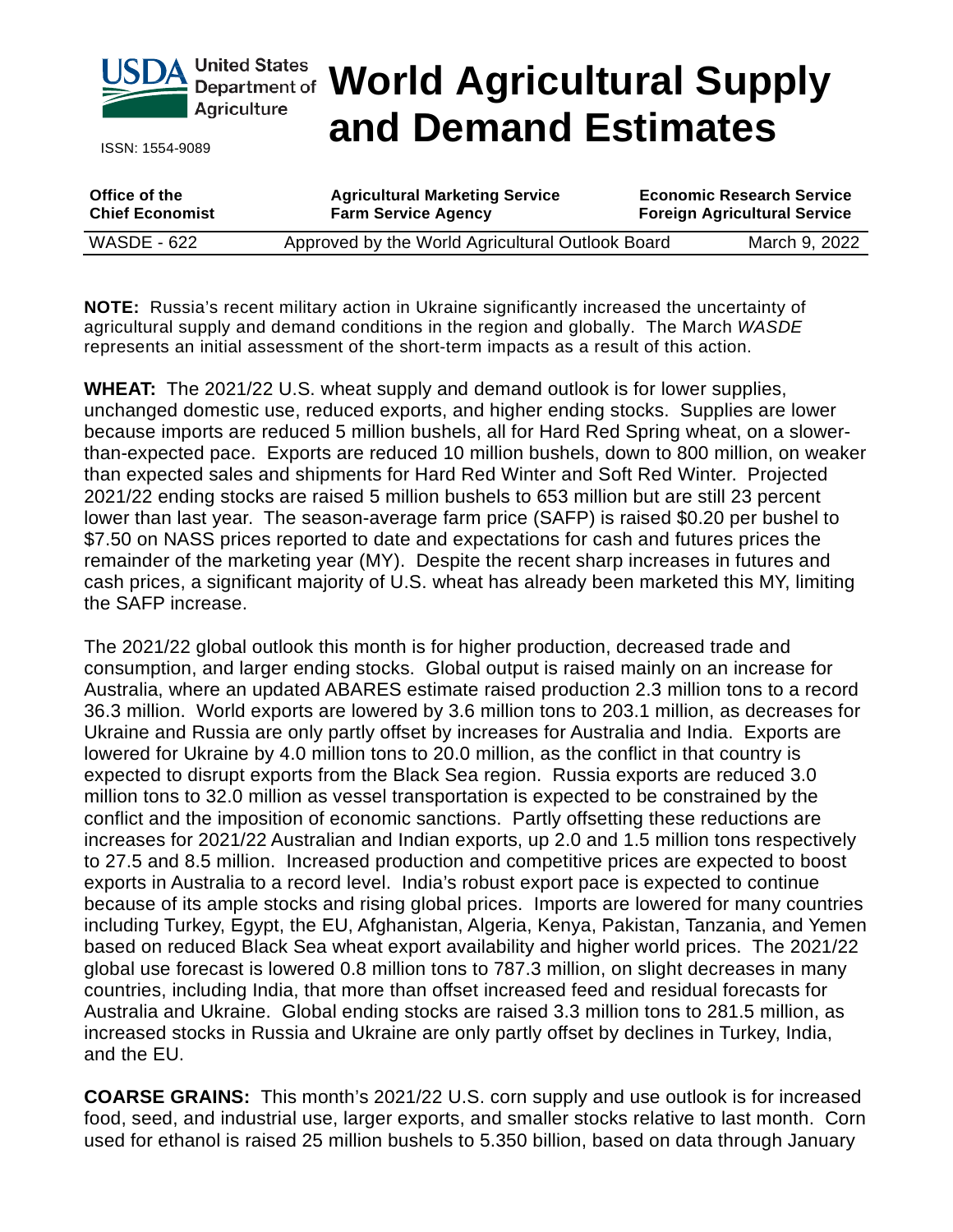

ISSN: 1554-9089

# **Department of World Agricultural Supply and Demand Estimates**

| Office of the          | <b>Agricultural Marketing Service</b>            | <b>Economic Research Service</b>    |
|------------------------|--------------------------------------------------|-------------------------------------|
| <b>Chief Economist</b> | <b>Farm Service Agency</b>                       | <b>Foreign Agricultural Service</b> |
| <b>WASDE - 622</b>     | Approved by the World Agricultural Outlook Board | March 9, 2022                       |

**NOTE:** Russia's recent military action in Ukraine significantly increased the uncertainty of agricultural supply and demand conditions in the region and globally. The March *WASDE* represents an initial assessment of the short-term impacts as a result of this action.

**WHEAT:** The 2021/22 U.S. wheat supply and demand outlook is for lower supplies, unchanged domestic use, reduced exports, and higher ending stocks. Supplies are lower because imports are reduced 5 million bushels, all for Hard Red Spring wheat, on a slowerthan-expected pace. Exports are reduced 10 million bushels, down to 800 million, on weaker than expected sales and shipments for Hard Red Winter and Soft Red Winter. Projected 2021/22 ending stocks are raised 5 million bushels to 653 million but are still 23 percent lower than last year. The season-average farm price (SAFP) is raised \$0.20 per bushel to \$7.50 on NASS prices reported to date and expectations for cash and futures prices the remainder of the marketing year (MY). Despite the recent sharp increases in futures and cash prices, a significant majority of U.S. wheat has already been marketed this MY, limiting the SAFP increase.

The 2021/22 global outlook this month is for higher production, decreased trade and consumption, and larger ending stocks. Global output is raised mainly on an increase for Australia, where an updated ABARES estimate raised production 2.3 million tons to a record 36.3 million. World exports are lowered by 3.6 million tons to 203.1 million, as decreases for Ukraine and Russia are only partly offset by increases for Australia and India. Exports are lowered for Ukraine by 4.0 million tons to 20.0 million, as the conflict in that country is expected to disrupt exports from the Black Sea region. Russia exports are reduced 3.0 million tons to 32.0 million as vessel transportation is expected to be constrained by the conflict and the imposition of economic sanctions. Partly offsetting these reductions are increases for 2021/22 Australian and Indian exports, up 2.0 and 1.5 million tons respectively to 27.5 and 8.5 million. Increased production and competitive prices are expected to boost exports in Australia to a record level. India's robust export pace is expected to continue because of its ample stocks and rising global prices. Imports are lowered for many countries including Turkey, Egypt, the EU, Afghanistan, Algeria, Kenya, Pakistan, Tanzania, and Yemen based on reduced Black Sea wheat export availability and higher world prices. The 2021/22 global use forecast is lowered 0.8 million tons to 787.3 million, on slight decreases in many countries, including India, that more than offset increased feed and residual forecasts for Australia and Ukraine. Global ending stocks are raised 3.3 million tons to 281.5 million, as increased stocks in Russia and Ukraine are only partly offset by declines in Turkey, India, and the EU.

**COARSE GRAINS:** This month's 2021/22 U.S. corn supply and use outlook is for increased food, seed, and industrial use, larger exports, and smaller stocks relative to last month. Corn used for ethanol is raised 25 million bushels to 5.350 billion, based on data through January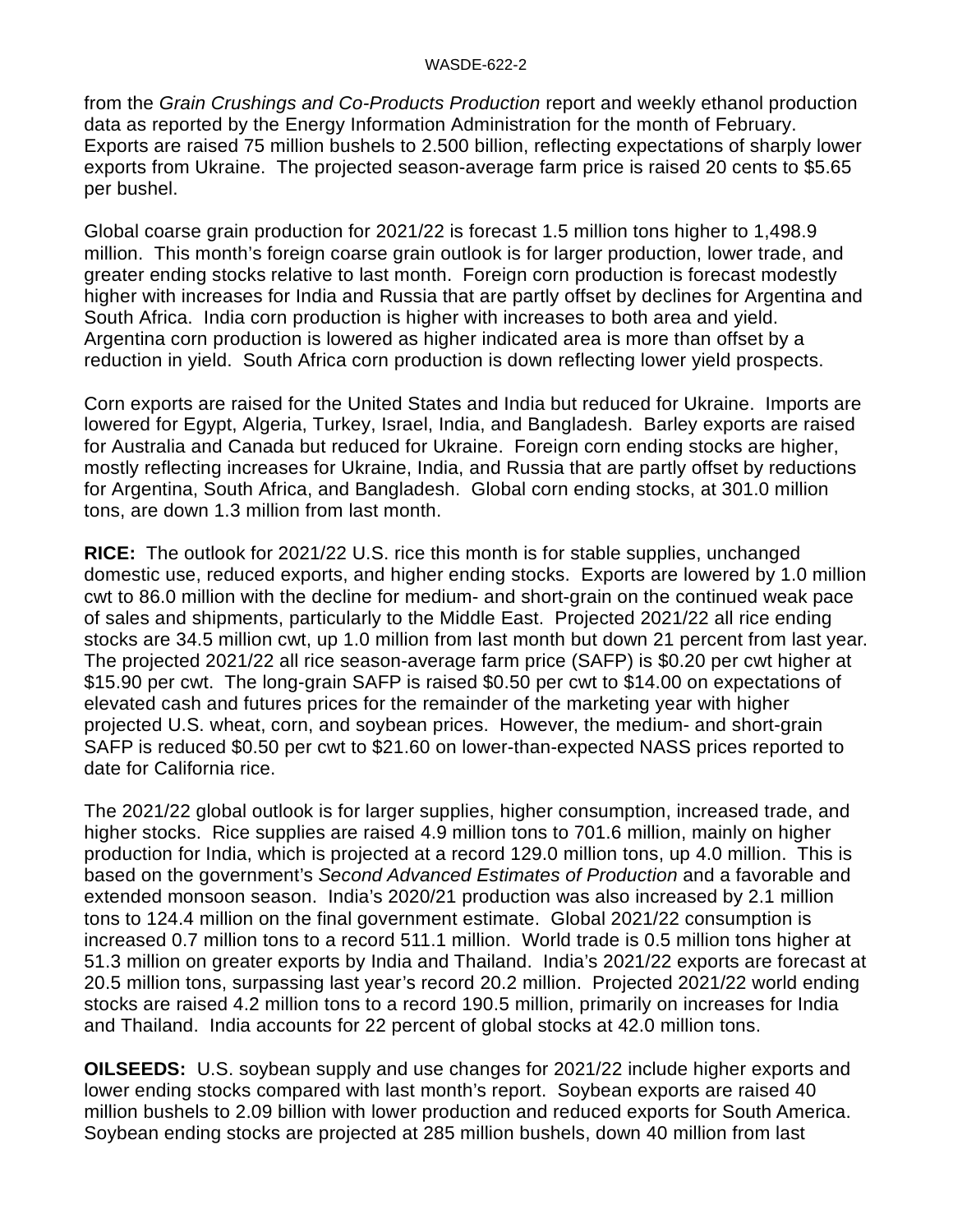#### WASDE-622-2

from the *Grain Crushings and Co-Products Production* report and weekly ethanol production data as reported by the Energy Information Administration for the month of February. Exports are raised 75 million bushels to 2.500 billion, reflecting expectations of sharply lower exports from Ukraine. The projected season-average farm price is raised 20 cents to \$5.65 per bushel.

Global coarse grain production for 2021/22 is forecast 1.5 million tons higher to 1,498.9 million. This month's foreign coarse grain outlook is for larger production, lower trade, and greater ending stocks relative to last month. Foreign corn production is forecast modestly higher with increases for India and Russia that are partly offset by declines for Argentina and South Africa. India corn production is higher with increases to both area and yield. Argentina corn production is lowered as higher indicated area is more than offset by a reduction in yield. South Africa corn production is down reflecting lower yield prospects.

Corn exports are raised for the United States and India but reduced for Ukraine. Imports are lowered for Egypt, Algeria, Turkey, Israel, India, and Bangladesh. Barley exports are raised for Australia and Canada but reduced for Ukraine. Foreign corn ending stocks are higher, mostly reflecting increases for Ukraine, India, and Russia that are partly offset by reductions for Argentina, South Africa, and Bangladesh. Global corn ending stocks, at 301.0 million tons, are down 1.3 million from last month.

**RICE:** The outlook for 2021/22 U.S. rice this month is for stable supplies, unchanged domestic use, reduced exports, and higher ending stocks. Exports are lowered by 1.0 million cwt to 86.0 million with the decline for medium- and short-grain on the continued weak pace of sales and shipments, particularly to the Middle East. Projected 2021/22 all rice ending stocks are 34.5 million cwt, up 1.0 million from last month but down 21 percent from last year. The projected 2021/22 all rice season-average farm price (SAFP) is \$0.20 per cwt higher at \$15.90 per cwt. The long-grain SAFP is raised \$0.50 per cwt to \$14.00 on expectations of elevated cash and futures prices for the remainder of the marketing year with higher projected U.S. wheat, corn, and soybean prices. However, the medium- and short-grain SAFP is reduced \$0.50 per cwt to \$21.60 on lower-than-expected NASS prices reported to date for California rice.

The 2021/22 global outlook is for larger supplies, higher consumption, increased trade, and higher stocks. Rice supplies are raised 4.9 million tons to 701.6 million, mainly on higher production for India, which is projected at a record 129.0 million tons, up 4.0 million. This is based on the government's *Second Advanced Estimates of Production* and a favorable and extended monsoon season. India's 2020/21 production was also increased by 2.1 million tons to 124.4 million on the final government estimate. Global 2021/22 consumption is increased 0.7 million tons to a record 511.1 million. World trade is 0.5 million tons higher at 51.3 million on greater exports by India and Thailand. India's 2021/22 exports are forecast at 20.5 million tons, surpassing last year's record 20.2 million. Projected 2021/22 world ending stocks are raised 4.2 million tons to a record 190.5 million, primarily on increases for India and Thailand. India accounts for 22 percent of global stocks at 42.0 million tons.

**OILSEEDS:** U.S. soybean supply and use changes for 2021/22 include higher exports and lower ending stocks compared with last month's report. Soybean exports are raised 40 million bushels to 2.09 billion with lower production and reduced exports for South America. Soybean ending stocks are projected at 285 million bushels, down 40 million from last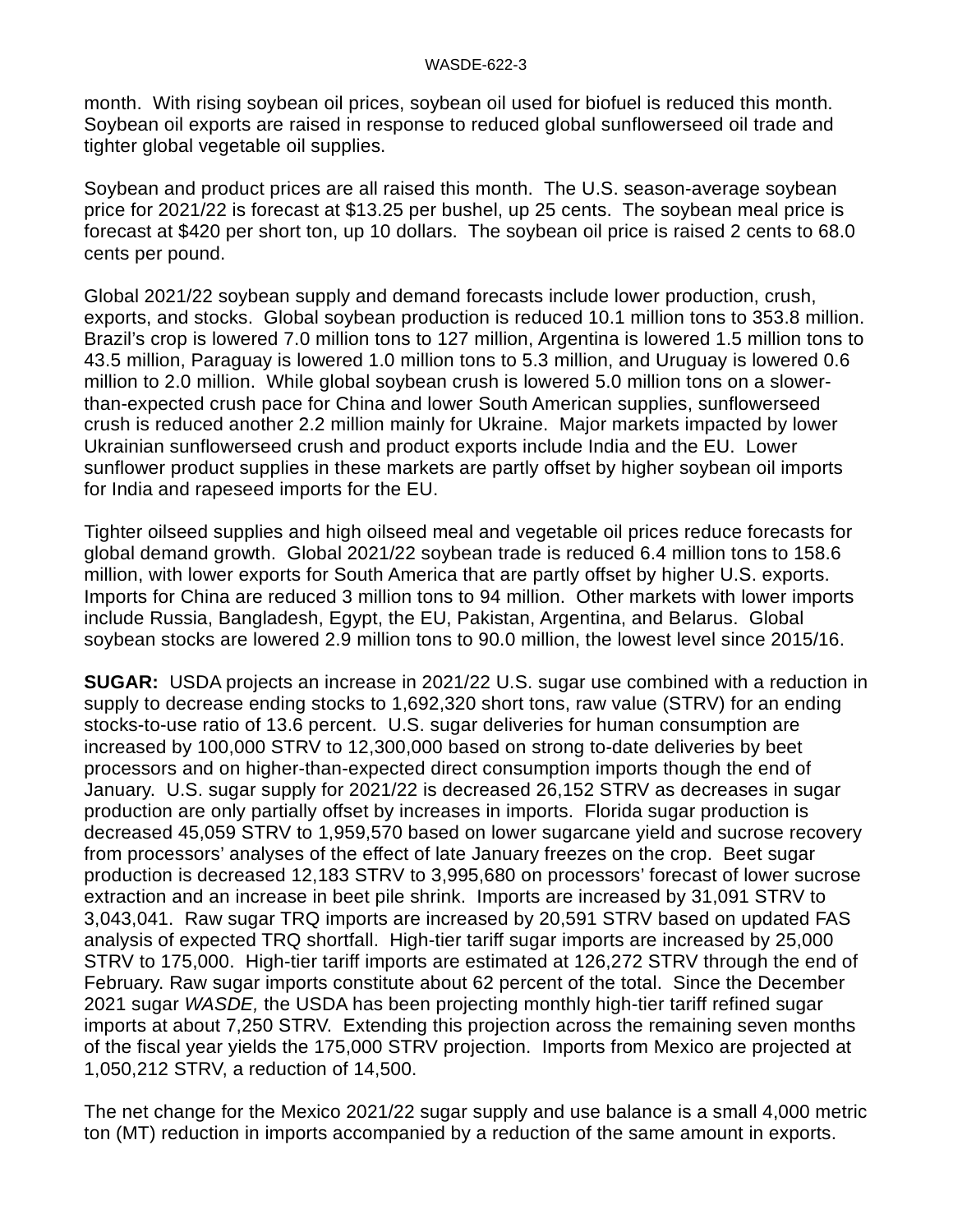month. With rising soybean oil prices, soybean oil used for biofuel is reduced this month. Soybean oil exports are raised in response to reduced global sunflowerseed oil trade and tighter global vegetable oil supplies.

Soybean and product prices are all raised this month. The U.S. season-average soybean price for 2021/22 is forecast at \$13.25 per bushel, up 25 cents. The soybean meal price is forecast at \$420 per short ton, up 10 dollars. The soybean oil price is raised 2 cents to 68.0 cents per pound.

Global 2021/22 soybean supply and demand forecasts include lower production, crush, exports, and stocks. Global soybean production is reduced 10.1 million tons to 353.8 million. Brazil's crop is lowered 7.0 million tons to 127 million, Argentina is lowered 1.5 million tons to 43.5 million, Paraguay is lowered 1.0 million tons to 5.3 million, and Uruguay is lowered 0.6 million to 2.0 million. While global soybean crush is lowered 5.0 million tons on a slowerthan-expected crush pace for China and lower South American supplies, sunflowerseed crush is reduced another 2.2 million mainly for Ukraine. Major markets impacted by lower Ukrainian sunflowerseed crush and product exports include India and the EU. Lower sunflower product supplies in these markets are partly offset by higher soybean oil imports for India and rapeseed imports for the EU.

Tighter oilseed supplies and high oilseed meal and vegetable oil prices reduce forecasts for global demand growth. Global 2021/22 soybean trade is reduced 6.4 million tons to 158.6 million, with lower exports for South America that are partly offset by higher U.S. exports. Imports for China are reduced 3 million tons to 94 million. Other markets with lower imports include Russia, Bangladesh, Egypt, the EU, Pakistan, Argentina, and Belarus. Global soybean stocks are lowered 2.9 million tons to 90.0 million, the lowest level since 2015/16.

**SUGAR:** USDA projects an increase in 2021/22 U.S. sugar use combined with a reduction in supply to decrease ending stocks to 1,692,320 short tons, raw value (STRV) for an ending stocks-to-use ratio of 13.6 percent. U.S. sugar deliveries for human consumption are increased by 100,000 STRV to 12,300,000 based on strong to-date deliveries by beet processors and on higher-than-expected direct consumption imports though the end of January. U.S. sugar supply for 2021/22 is decreased 26,152 STRV as decreases in sugar production are only partially offset by increases in imports. Florida sugar production is decreased 45,059 STRV to 1,959,570 based on lower sugarcane yield and sucrose recovery from processors' analyses of the effect of late January freezes on the crop. Beet sugar production is decreased 12,183 STRV to 3,995,680 on processors' forecast of lower sucrose extraction and an increase in beet pile shrink. Imports are increased by 31,091 STRV to 3,043,041. Raw sugar TRQ imports are increased by 20,591 STRV based on updated FAS analysis of expected TRQ shortfall. High-tier tariff sugar imports are increased by 25,000 STRV to 175,000. High-tier tariff imports are estimated at 126,272 STRV through the end of February. Raw sugar imports constitute about 62 percent of the total. Since the December 2021 sugar *WASDE,* the USDA has been projecting monthly high-tier tariff refined sugar imports at about 7,250 STRV. Extending this projection across the remaining seven months of the fiscal year yields the 175,000 STRV projection. Imports from Mexico are projected at 1,050,212 STRV, a reduction of 14,500.

The net change for the Mexico 2021/22 sugar supply and use balance is a small 4,000 metric ton (MT) reduction in imports accompanied by a reduction of the same amount in exports.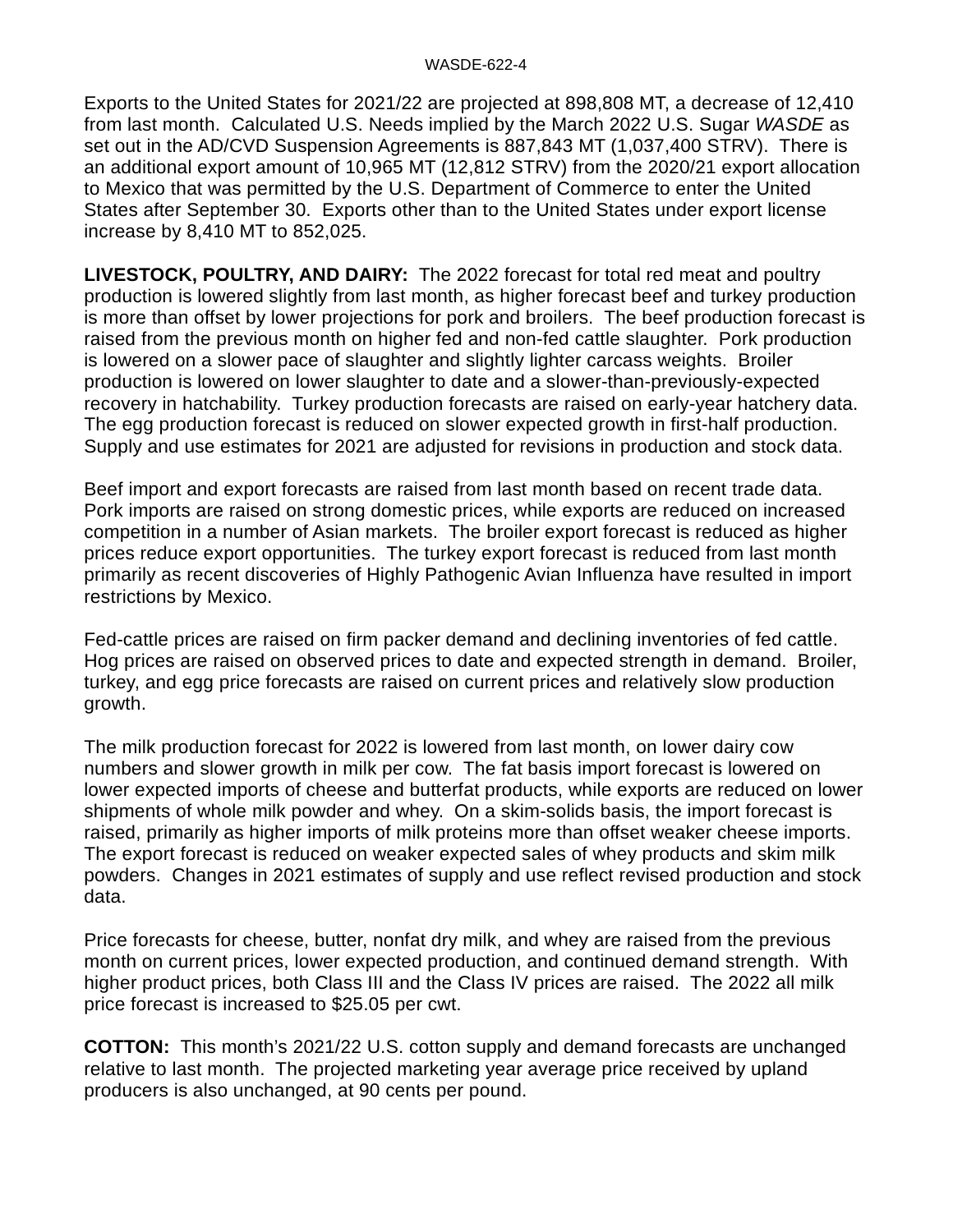Exports to the United States for 2021/22 are projected at 898,808 MT, a decrease of 12,410 from last month. Calculated U.S. Needs implied by the March 2022 U.S. Sugar *WASDE* as set out in the AD/CVD Suspension Agreements is 887,843 MT (1,037,400 STRV). There is an additional export amount of 10,965 MT (12,812 STRV) from the 2020/21 export allocation to Mexico that was permitted by the U.S. Department of Commerce to enter the United States after September 30. Exports other than to the United States under export license increase by 8,410 MT to 852,025.

**LIVESTOCK, POULTRY, AND DAIRY:** The 2022 forecast for total red meat and poultry production is lowered slightly from last month, as higher forecast beef and turkey production is more than offset by lower projections for pork and broilers. The beef production forecast is raised from the previous month on higher fed and non-fed cattle slaughter. Pork production is lowered on a slower pace of slaughter and slightly lighter carcass weights. Broiler production is lowered on lower slaughter to date and a slower-than-previously-expected recovery in hatchability. Turkey production forecasts are raised on early-year hatchery data. The egg production forecast is reduced on slower expected growth in first-half production. Supply and use estimates for 2021 are adjusted for revisions in production and stock data.

Beef import and export forecasts are raised from last month based on recent trade data. Pork imports are raised on strong domestic prices, while exports are reduced on increased competition in a number of Asian markets. The broiler export forecast is reduced as higher prices reduce export opportunities. The turkey export forecast is reduced from last month primarily as recent discoveries of Highly Pathogenic Avian Influenza have resulted in import restrictions by Mexico.

Fed-cattle prices are raised on firm packer demand and declining inventories of fed cattle. Hog prices are raised on observed prices to date and expected strength in demand. Broiler, turkey, and egg price forecasts are raised on current prices and relatively slow production growth.

The milk production forecast for 2022 is lowered from last month, on lower dairy cow numbers and slower growth in milk per cow. The fat basis import forecast is lowered on lower expected imports of cheese and butterfat products, while exports are reduced on lower shipments of whole milk powder and whey. On a skim-solids basis, the import forecast is raised, primarily as higher imports of milk proteins more than offset weaker cheese imports. The export forecast is reduced on weaker expected sales of whey products and skim milk powders. Changes in 2021 estimates of supply and use reflect revised production and stock data.

Price forecasts for cheese, butter, nonfat dry milk, and whey are raised from the previous month on current prices, lower expected production, and continued demand strength. With higher product prices, both Class III and the Class IV prices are raised. The 2022 all milk price forecast is increased to \$25.05 per cwt.

**COTTON:** This month's 2021/22 U.S. cotton supply and demand forecasts are unchanged relative to last month. The projected marketing year average price received by upland producers is also unchanged, at 90 cents per pound.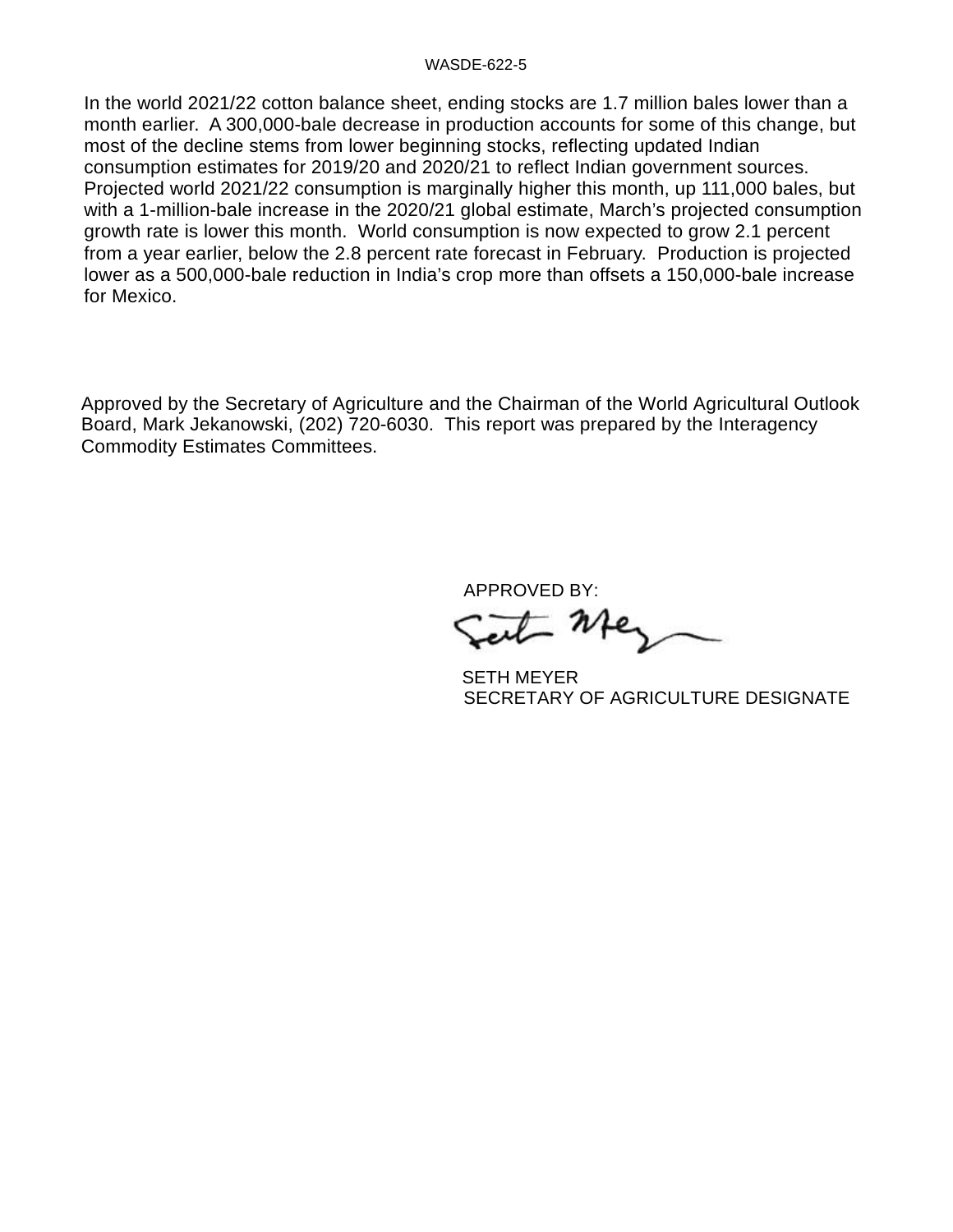#### WASDE-622-5

In the world 2021/22 cotton balance sheet, ending stocks are 1.7 million bales lower than a month earlier. A 300,000-bale decrease in production accounts for some of this change, but most of the decline stems from lower beginning stocks, reflecting updated Indian consumption estimates for 2019/20 and 2020/21 to reflect Indian government sources. Projected world 2021/22 consumption is marginally higher this month, up 111,000 bales, but with a 1-million-bale increase in the 2020/21 global estimate, March's projected consumption growth rate is lower this month. World consumption is now expected to grow 2.1 percent from a year earlier, below the 2.8 percent rate forecast in February. Production is projected lower as a 500,000-bale reduction in India's crop more than offsets a 150,000-bale increase for Mexico.

Approved by the Secretary of Agriculture and the Chairman of the World Agricultural Outlook Board, Mark Jekanowski, (202) 720-6030. This report was prepared by the Interagency Commodity Estimates Committees.

APPROVED BY:

t Me

 SETH MEYER SECRETARY OF AGRICULTURE DESIGNATE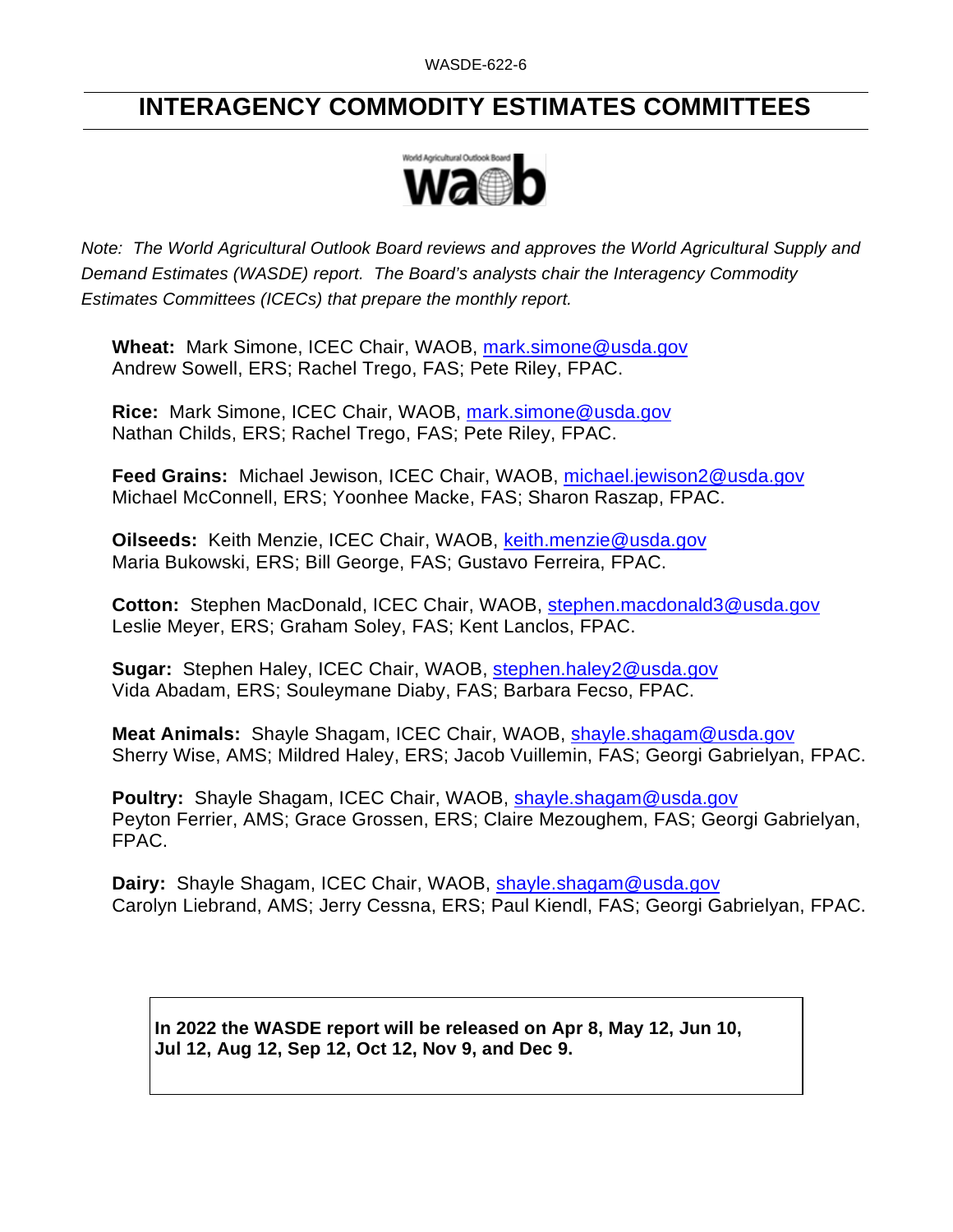# **INTERAGENCY COMMODITY ESTIMATES COMMITTEES**



*Note: The World Agricultural Outlook Board reviews and approves the World Agricultural Supply and Demand Estimates (WASDE) report. The Board's analysts chair the Interagency Commodity Estimates Committees (ICECs) that prepare the monthly report.* 

**Wheat:** Mark Simone, ICEC Chair, WAOB, [mark.simone@usda.gov](mailto:mark.simone@usda.gov) Andrew Sowell, ERS; Rachel Trego, FAS; Pete Riley, FPAC.

**Rice:** Mark Simone, ICEC Chair, WAOB, [mark.simone@usda.gov](mailto:mark.simone@usda.gov) Nathan Childs, ERS; Rachel Trego, FAS; Pete Riley, FPAC.

**Feed Grains:** Michael Jewison, ICEC Chair, WAOB, [michael.jewison2@usda.gov](mailto:michael.jewison2@usda.gov) Michael McConnell, ERS; Yoonhee Macke, FAS; Sharon Raszap, FPAC.

**Oilseeds:** Keith Menzie, ICEC Chair, WAOB, [keith.menzie@usda.gov](mailto:keith.menzie@usda.gov) Maria Bukowski, ERS; Bill George, FAS; Gustavo Ferreira, FPAC.

**Cotton:** Stephen MacDonald, ICEC Chair, WAOB, [stephen.macdonald3@usda.gov](mailto:stephen.macdonald3@usda.gov) Leslie Meyer, ERS; Graham Soley, FAS; Kent Lanclos, FPAC.

**Sugar:** Stephen Haley, ICEC Chair, WAOB, [stephen.haley2@usda.gov](mailto:stephen.haley2@usda.gov)  Vida Abadam, ERS; Souleymane Diaby, FAS; Barbara Fecso, FPAC.

**Meat Animals:** Shayle Shagam, ICEC Chair, WAOB, [shayle.shagam@usda.gov](mailto:shayle.shagam@usda.gov) Sherry Wise, AMS; Mildred Haley, ERS; Jacob Vuillemin, FAS; Georgi Gabrielyan, FPAC.

**Poultry:** Shayle Shagam, ICEC Chair, WAOB, [shayle.shagam@usda.gov](mailto:shayle.shagam@usda.gov) Peyton Ferrier, AMS; Grace Grossen, ERS; Claire Mezoughem, FAS; Georgi Gabrielyan, FPAC.

**Dairy:** Shayle Shagam, ICEC Chair, WAOB, [shayle.shagam@usda.gov](mailto:shayle.shagam@usda.gov) Carolyn Liebrand, AMS; Jerry Cessna, ERS; Paul Kiendl, FAS; Georgi Gabrielyan, FPAC.

**In 2022 the WASDE report will be released on Apr 8, May 12, Jun 10, Jul 12, Aug 12, Sep 12, Oct 12, Nov 9, and Dec 9.**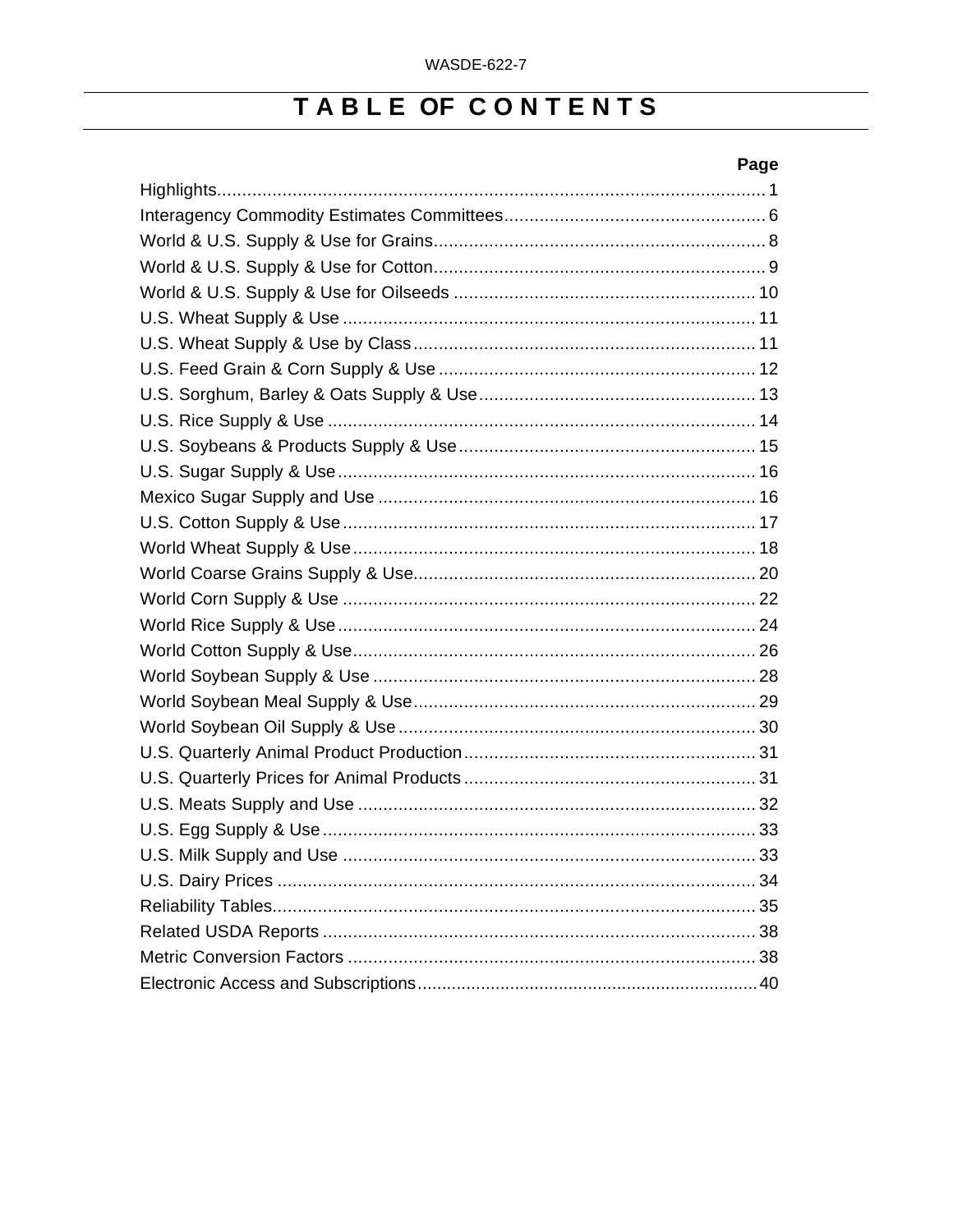# TABLE OF CONTENTS

### Page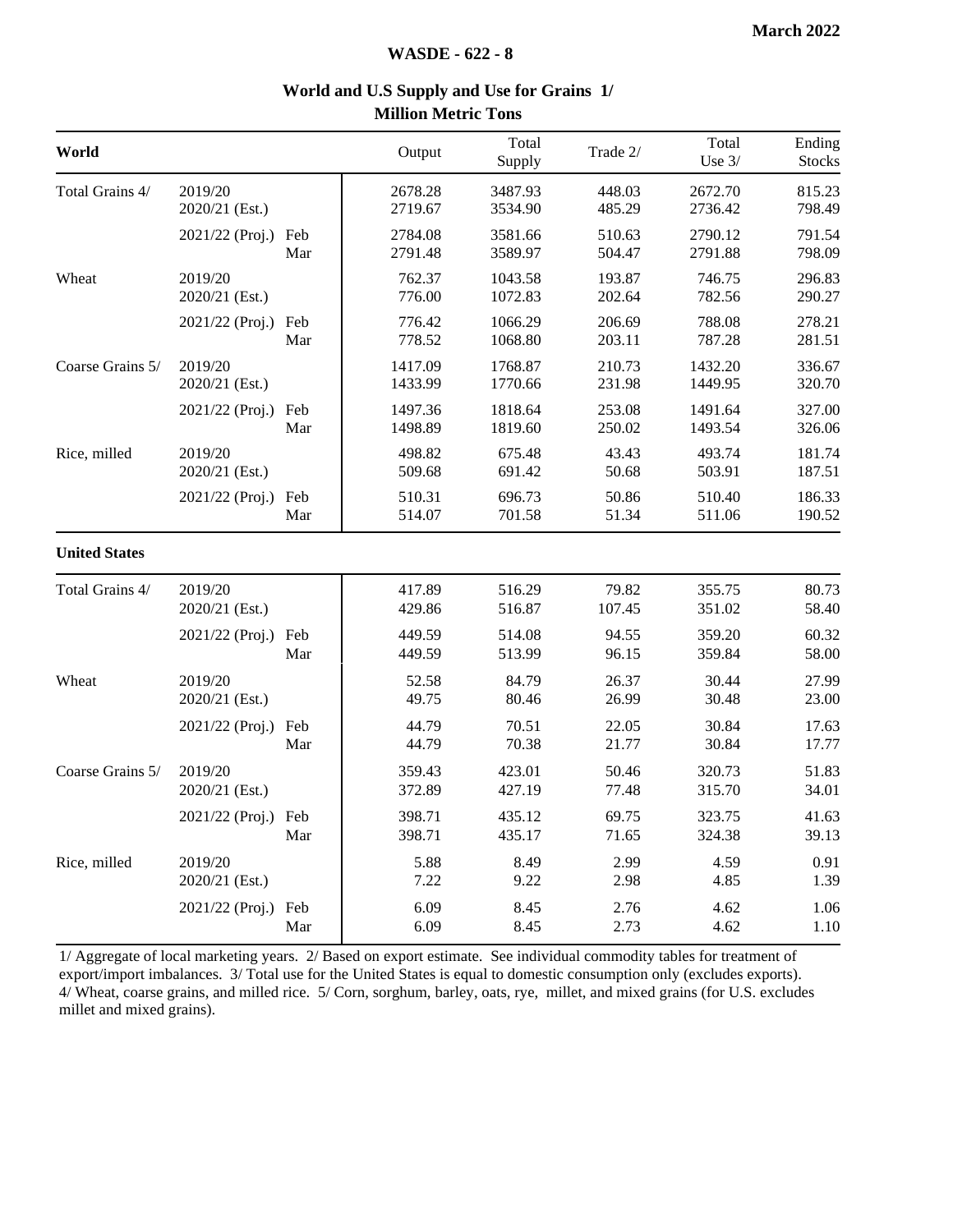| World                |                           |            | Output             | Total<br>Supply    | Trade 2/         | Total<br>Use $3/$  | Ending<br><b>Stocks</b> |
|----------------------|---------------------------|------------|--------------------|--------------------|------------------|--------------------|-------------------------|
| Total Grains 4/      | 2019/20<br>2020/21 (Est.) |            | 2678.28<br>2719.67 | 3487.93<br>3534.90 | 448.03<br>485.29 | 2672.70<br>2736.42 | 815.23<br>798.49        |
|                      | 2021/22 (Proj.)           | Feb<br>Mar | 2784.08<br>2791.48 | 3581.66<br>3589.97 | 510.63<br>504.47 | 2790.12<br>2791.88 | 791.54<br>798.09        |
| Wheat                | 2019/20<br>2020/21 (Est.) |            | 762.37<br>776.00   | 1043.58<br>1072.83 | 193.87<br>202.64 | 746.75<br>782.56   | 296.83<br>290.27        |
|                      | 2021/22 (Proj.)           | Feb<br>Mar | 776.42<br>778.52   | 1066.29<br>1068.80 | 206.69<br>203.11 | 788.08<br>787.28   | 278.21<br>281.51        |
| Coarse Grains 5/     | 2019/20<br>2020/21 (Est.) |            | 1417.09<br>1433.99 | 1768.87<br>1770.66 | 210.73<br>231.98 | 1432.20<br>1449.95 | 336.67<br>320.70        |
|                      | 2021/22 (Proj.)           | Feb<br>Mar | 1497.36<br>1498.89 | 1818.64<br>1819.60 | 253.08<br>250.02 | 1491.64<br>1493.54 | 327.00<br>326.06        |
| Rice, milled         | 2019/20<br>2020/21 (Est.) |            | 498.82<br>509.68   | 675.48<br>691.42   | 43.43<br>50.68   | 493.74<br>503.91   | 181.74<br>187.51        |
|                      | 2021/22 (Proj.)           | Feb<br>Mar | 510.31<br>514.07   | 696.73<br>701.58   | 50.86<br>51.34   | 510.40<br>511.06   | 186.33<br>190.52        |
| <b>United States</b> |                           |            |                    |                    |                  |                    |                         |
| Total Grains 4/      | 2019/20<br>2020/21 (Est.) |            | 417.89<br>429.86   | 516.29<br>516.87   | 79.82<br>107.45  | 355.75<br>351.02   | 80.73<br>58.40          |
|                      | 2021/22 (Proj.)           | Feb<br>Mar | 449.59<br>449.59   | 514.08<br>513.99   | 94.55<br>96.15   | 359.20<br>359.84   | 60.32<br>58.00          |
| Wheat                | 2019/20<br>2020/21 (Est.) |            | 52.58<br>49.75     | 84.79<br>80.46     | 26.37<br>26.99   | 30.44<br>30.48     | 27.99<br>23.00          |
|                      | 2021/22 (Proj.)           | Feb<br>Mar | 44.79<br>44.79     | 70.51<br>70.38     | 22.05<br>21.77   | 30.84<br>30.84     | 17.63<br>17.77          |
| Coarse Grains 5/     | 2019/20<br>2020/21 (Est.) |            | 359.43<br>372.89   | 423.01<br>427.19   | 50.46<br>77.48   | 320.73<br>315.70   | 51.83<br>34.01          |
|                      | 2021/22 (Proj.) Feb       | Mar        | 398.71<br>398.71   | 435.12<br>435.17   | 69.75<br>71.65   | 323.75<br>324.38   | 41.63<br>39.13          |
| Rice, milled         | 2019/20<br>2020/21 (Est.) |            | 5.88<br>7.22       | 8.49<br>9.22       | 2.99<br>2.98     | 4.59<br>4.85       | 0.91<br>1.39            |
|                      | 2021/22 (Proj.) Feb       | Mar        | 6.09<br>6.09       | 8.45<br>8.45       | 2.76<br>2.73     | 4.62<br>4.62       | 1.06<br>1.10            |

#### **World and U.S Supply and Use for Grains 1/ Million Metric Tons**

1/ Aggregate of local marketing years. 2/ Based on export estimate. See individual commodity tables for treatment of export/import imbalances. 3/ Total use for the United States is equal to domestic consumption only (excludes exports). 4/ Wheat, coarse grains, and milled rice. 5/ Corn, sorghum, barley, oats, rye, millet, and mixed grains (for U.S. excludes millet and mixed grains).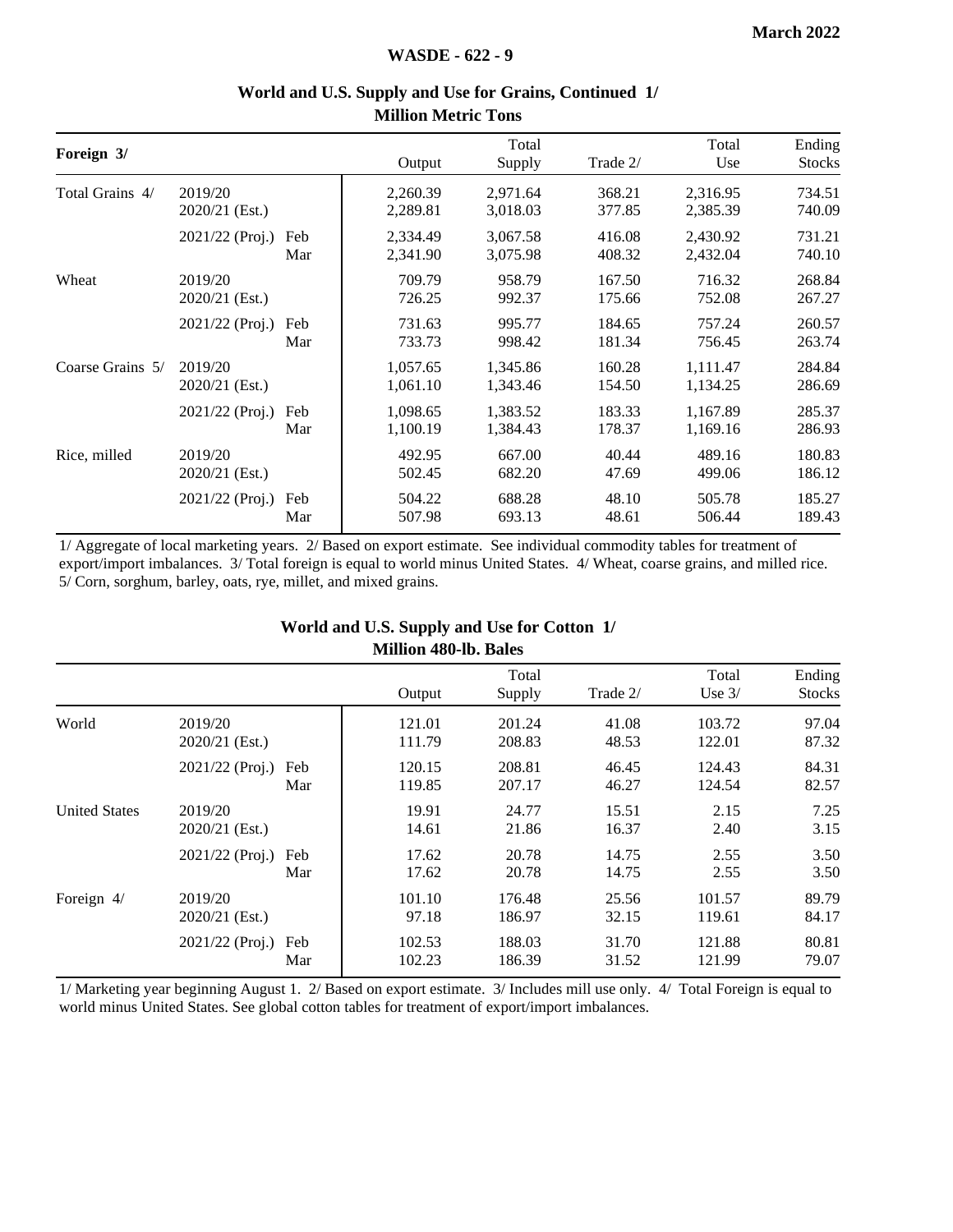| Foreign 3/       |                           |            | Output               | Total<br>Supply      | Trade 2/         | Total<br>Use         | Ending<br><b>Stocks</b> |
|------------------|---------------------------|------------|----------------------|----------------------|------------------|----------------------|-------------------------|
| Total Grains 4/  | 2019/20<br>2020/21 (Est.) |            | 2,260.39<br>2,289.81 | 2,971.64<br>3,018.03 | 368.21<br>377.85 | 2,316.95<br>2,385.39 | 734.51<br>740.09        |
|                  | $2021/22$ (Proj.)         | Feb<br>Mar | 2,334.49<br>2,341.90 | 3,067.58<br>3,075.98 | 416.08<br>408.32 | 2,430.92<br>2,432.04 | 731.21<br>740.10        |
| Wheat            | 2019/20<br>2020/21 (Est.) |            | 709.79<br>726.25     | 958.79<br>992.37     | 167.50<br>175.66 | 716.32<br>752.08     | 268.84<br>267.27        |
|                  | $2021/22$ (Proj.)         | Feb<br>Mar | 731.63<br>733.73     | 995.77<br>998.42     | 184.65<br>181.34 | 757.24<br>756.45     | 260.57<br>263.74        |
| Coarse Grains 5/ | 2019/20<br>2020/21 (Est.) |            | 1,057.65<br>1,061.10 | 1,345.86<br>1,343.46 | 160.28<br>154.50 | 1,111.47<br>1,134.25 | 284.84<br>286.69        |
|                  | $2021/22$ (Proj.)         | Feb<br>Mar | 1,098.65<br>1,100.19 | 1,383.52<br>1,384.43 | 183.33<br>178.37 | 1,167.89<br>1,169.16 | 285.37<br>286.93        |
| Rice, milled     | 2019/20<br>2020/21 (Est.) |            | 492.95<br>502.45     | 667.00<br>682.20     | 40.44<br>47.69   | 489.16<br>499.06     | 180.83<br>186.12        |
|                  | $2021/22$ (Proj.)         | Feb<br>Mar | 504.22<br>507.98     | 688.28<br>693.13     | 48.10<br>48.61   | 505.78<br>506.44     | 185.27<br>189.43        |
|                  |                           |            |                      |                      |                  |                      |                         |

#### **World and U.S. Supply and Use for Grains, Continued 1/ Million Metric Tons**

1/ Aggregate of local marketing years. 2/ Based on export estimate. See individual commodity tables for treatment of export/import imbalances. 3/ Total foreign is equal to world minus United States. 4/ Wheat, coarse grains, and milled rice. 5/ Corn, sorghum, barley, oats, rye, millet, and mixed grains.

#### **World and U.S. Supply and Use for Cotton 1/ Million 480-lb. Bales**

|                      |                             |            |                  | Total            |                | Total            | Ending         |
|----------------------|-----------------------------|------------|------------------|------------------|----------------|------------------|----------------|
|                      |                             |            | Output           | Supply           | Trade 2/       | Use $3/$         | <b>Stocks</b>  |
| World                | 2019/20<br>2020/21 (Est.)   |            | 121.01<br>111.79 | 201.24<br>208.83 | 41.08<br>48.53 | 103.72<br>122.01 | 97.04<br>87.32 |
|                      | 2021/22 (Proj.) Feb         | Mar        | 120.15<br>119.85 | 208.81<br>207.17 | 46.45<br>46.27 | 124.43<br>124.54 | 84.31<br>82.57 |
| <b>United States</b> | 2019/20<br>$2020/21$ (Est.) |            | 19.91<br>14.61   | 24.77<br>21.86   | 15.51<br>16.37 | 2.15<br>2.40     | 7.25<br>3.15   |
|                      | 2021/22 (Proj.)             | Feb<br>Mar | 17.62<br>17.62   | 20.78<br>20.78   | 14.75<br>14.75 | 2.55<br>2.55     | 3.50<br>3.50   |
| Foreign 4/           | 2019/20<br>$2020/21$ (Est.) |            | 101.10<br>97.18  | 176.48<br>186.97 | 25.56<br>32.15 | 101.57<br>119.61 | 89.79<br>84.17 |
|                      | $2021/22$ (Proj.)           | Feb<br>Mar | 102.53<br>102.23 | 188.03<br>186.39 | 31.70<br>31.52 | 121.88<br>121.99 | 80.81<br>79.07 |

1/ Marketing year beginning August 1. 2/ Based on export estimate. 3/ Includes mill use only. 4/ Total Foreign is equal to world minus United States. See global cotton tables for treatment of export/import imbalances.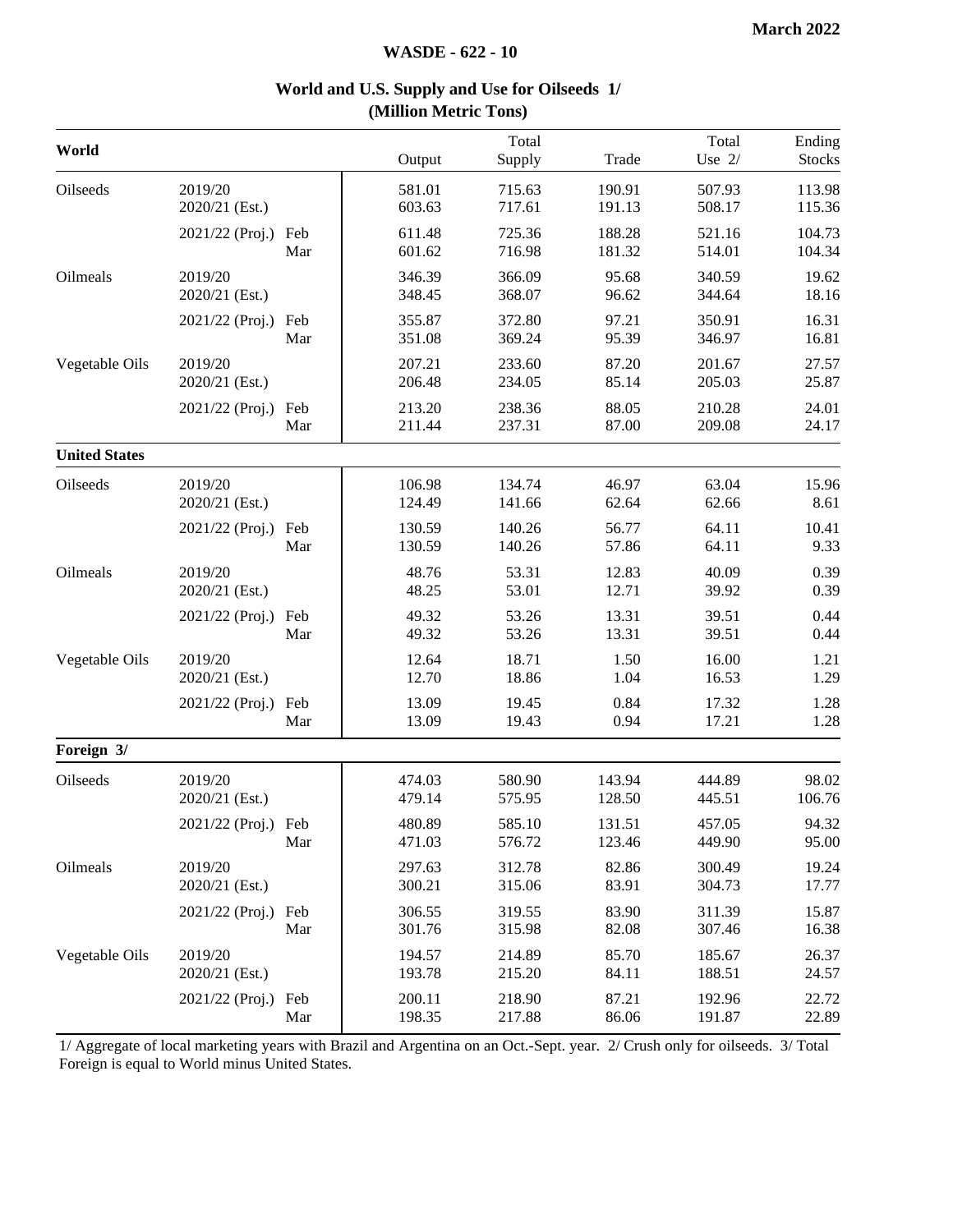#### **WASDE - 622 - 10**

|                      |                           |            | winnon with to Tons |                  |                  |                   |                         |
|----------------------|---------------------------|------------|---------------------|------------------|------------------|-------------------|-------------------------|
| World                |                           |            | Output              | Total<br>Supply  | Trade            | Total<br>Use $2/$ | Ending<br><b>Stocks</b> |
| Oilseeds             | 2019/20<br>2020/21 (Est.) |            | 581.01<br>603.63    | 715.63<br>717.61 | 190.91<br>191.13 | 507.93<br>508.17  | 113.98<br>115.36        |
|                      | 2021/22 (Proj.)           | Feb<br>Mar | 611.48<br>601.62    | 725.36<br>716.98 | 188.28<br>181.32 | 521.16<br>514.01  | 104.73<br>104.34        |
| Oilmeals             | 2019/20<br>2020/21 (Est.) |            | 346.39<br>348.45    | 366.09<br>368.07 | 95.68<br>96.62   | 340.59<br>344.64  | 19.62<br>18.16          |
|                      | 2021/22 (Proj.) Feb       | Mar        | 355.87<br>351.08    | 372.80<br>369.24 | 97.21<br>95.39   | 350.91<br>346.97  | 16.31<br>16.81          |
| Vegetable Oils       | 2019/20<br>2020/21 (Est.) |            | 207.21<br>206.48    | 233.60<br>234.05 | 87.20<br>85.14   | 201.67<br>205.03  | 27.57<br>25.87          |
|                      | 2021/22 (Proj.) Feb       | Mar        | 213.20<br>211.44    | 238.36<br>237.31 | 88.05<br>87.00   | 210.28<br>209.08  | 24.01<br>24.17          |
| <b>United States</b> |                           |            |                     |                  |                  |                   |                         |
| Oilseeds             | 2019/20<br>2020/21 (Est.) |            | 106.98<br>124.49    | 134.74<br>141.66 | 46.97<br>62.64   | 63.04<br>62.66    | 15.96<br>8.61           |
|                      | 2021/22 (Proj.) Feb       | Mar        | 130.59<br>130.59    | 140.26<br>140.26 | 56.77<br>57.86   | 64.11<br>64.11    | 10.41<br>9.33           |
| Oilmeals             | 2019/20<br>2020/21 (Est.) |            | 48.76<br>48.25      | 53.31<br>53.01   | 12.83<br>12.71   | 40.09<br>39.92    | 0.39<br>0.39            |
|                      | 2021/22 (Proj.)           | Feb<br>Mar | 49.32<br>49.32      | 53.26<br>53.26   | 13.31<br>13.31   | 39.51<br>39.51    | 0.44<br>0.44            |
| Vegetable Oils       | 2019/20<br>2020/21 (Est.) |            | 12.64<br>12.70      | 18.71<br>18.86   | 1.50<br>1.04     | 16.00<br>16.53    | 1.21<br>1.29            |
|                      | 2021/22 (Proj.) Feb       | Mar        | 13.09<br>13.09      | 19.45<br>19.43   | 0.84<br>0.94     | 17.32<br>17.21    | 1.28<br>1.28            |
| Foreign 3/           |                           |            |                     |                  |                  |                   |                         |
| Oilseeds             | 2019/20<br>2020/21 (Est.) |            | 474.03<br>479.14    | 580.90<br>575.95 | 143.94<br>128.50 | 444.89<br>445.51  | 98.02<br>106.76         |
|                      | 2021/22 (Proj.) Feb       | Mar        | 480.89<br>471.03    | 585.10<br>576.72 | 131.51<br>123.46 | 457.05<br>449.90  | 94.32<br>95.00          |
| Oilmeals             | 2019/20<br>2020/21 (Est.) |            | 297.63<br>300.21    | 312.78<br>315.06 | 82.86<br>83.91   | 300.49<br>304.73  | 19.24<br>17.77          |
|                      | 2021/22 (Proj.)           | Feb<br>Mar | 306.55<br>301.76    | 319.55<br>315.98 | 83.90<br>82.08   | 311.39<br>307.46  | 15.87<br>16.38          |
| Vegetable Oils       | 2019/20<br>2020/21 (Est.) |            | 194.57<br>193.78    | 214.89<br>215.20 | 85.70<br>84.11   | 185.67<br>188.51  | 26.37<br>24.57          |
|                      | 2021/22 (Proj.)           | Feb<br>Mar | 200.11<br>198.35    | 218.90<br>217.88 | 87.21<br>86.06   | 192.96<br>191.87  | 22.72<br>22.89          |

#### **World and U.S. Supply and Use for Oilseeds 1/ (Million Metric Tons)**

1/ Aggregate of local marketing years with Brazil and Argentina on an Oct.-Sept. year. 2/ Crush only for oilseeds. 3/ Total Foreign is equal to World minus United States.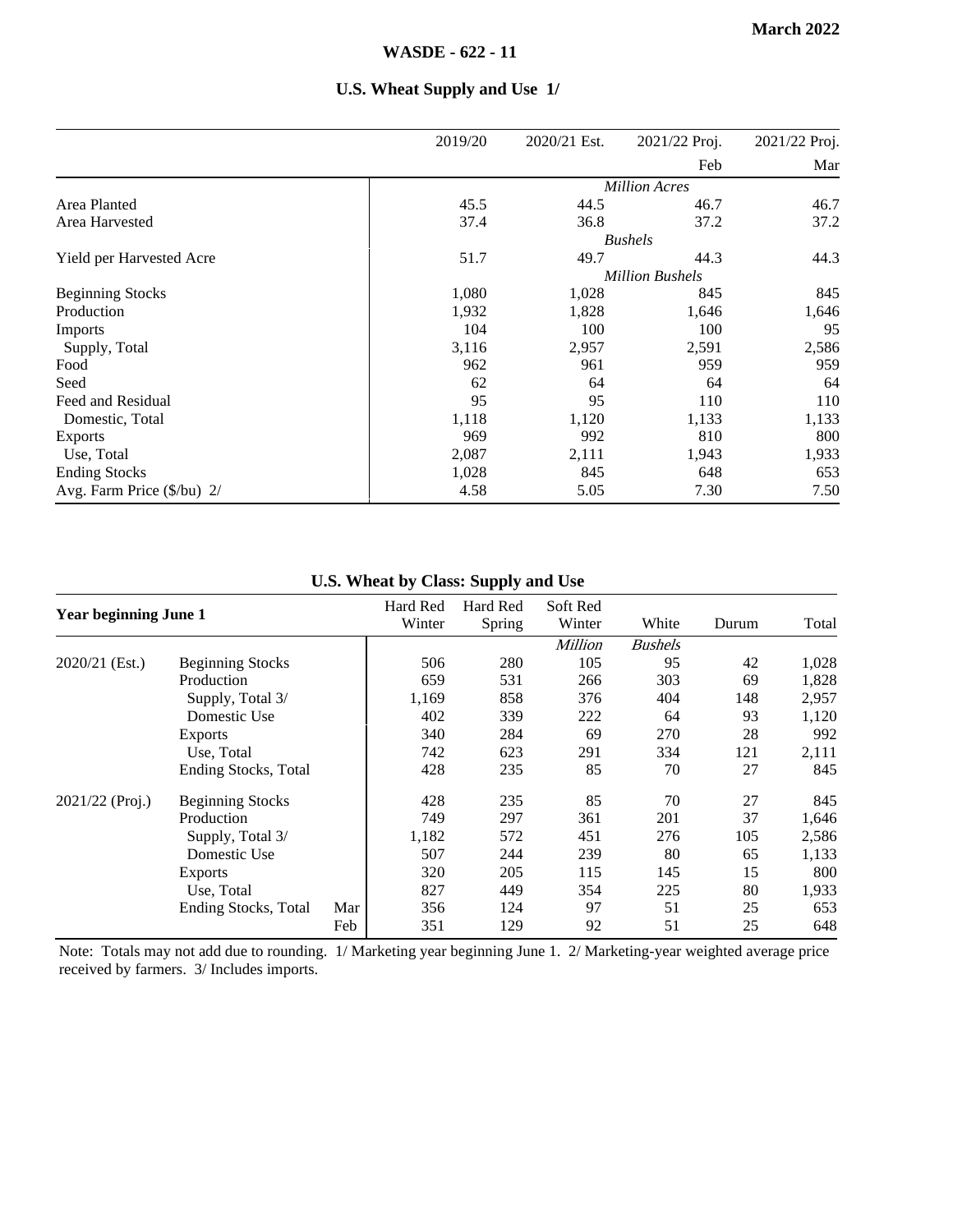|                                     | 2019/20 | 2020/21 Est. | 2021/22 Proj.          | 2021/22 Proj. |
|-------------------------------------|---------|--------------|------------------------|---------------|
|                                     |         |              | Feb                    | Mar           |
|                                     |         |              | <b>Million Acres</b>   |               |
| Area Planted                        | 45.5    | 44.5         | 46.7                   | 46.7          |
| Area Harvested                      | 37.4    | 36.8         | 37.2                   | 37.2          |
|                                     |         |              | <b>Bushels</b>         |               |
| Yield per Harvested Acre            | 51.7    | 49.7         | 44.3                   | 44.3          |
|                                     |         |              | <b>Million Bushels</b> |               |
| <b>Beginning Stocks</b>             | 1,080   | 1,028        | 845                    | 845           |
| Production                          | 1,932   | 1,828        | 1,646                  | 1,646         |
| Imports                             | 104     | 100          | 100                    | 95            |
| Supply, Total                       | 3,116   | 2,957        | 2,591                  | 2,586         |
| Food                                | 962     | 961          | 959                    | 959           |
| Seed                                | 62      | 64           | 64                     | 64            |
| Feed and Residual                   | 95      | 95           | 110                    | 110           |
| Domestic, Total                     | 1,118   | 1,120        | 1,133                  | 1,133         |
| Exports                             | 969     | 992          | 810                    | 800           |
| Use, Total                          | 2,087   | 2,111        | 1,943                  | 1,933         |
| <b>Ending Stocks</b>                | 1,028   | 845          | 648                    | 653           |
| Avg. Farm Price $(\frac{5}{bu})$ 2/ | 4.58    | 5.05         | 7.30                   | 7.50          |

#### **U.S. Wheat Supply and Use 1/**

**U.S. Wheat by Class: Supply and Use**

| <b>Year beginning June 1</b> |                              | Hard Red<br>Winter | Hard Red<br>Spring | Soft Red<br>Winter | White          | Durum          | Total |       |
|------------------------------|------------------------------|--------------------|--------------------|--------------------|----------------|----------------|-------|-------|
|                              |                              |                    |                    |                    | <b>Million</b> | <b>Bushels</b> |       |       |
| 2020/21 (Est.)               | <b>Beginning Stocks</b>      |                    | 506                | 280                | 105            | 95             | 42    | 1,028 |
|                              | Production                   |                    | 659                | 531                | 266            | 303            | 69    | 1,828 |
|                              | Supply, Total 3/             |                    | 1,169              | 858                | 376            | 404            | 148   | 2,957 |
|                              | Domestic Use                 |                    | 402                | 339                | 222            | 64             | 93    | 1,120 |
|                              | <b>Exports</b>               |                    | 340                | 284                | 69             | 270            | 28    | 992   |
|                              | Use, Total                   |                    | 742                | 623                | 291            | 334            | 121   | 2,111 |
|                              | <b>Ending Stocks</b> , Total |                    | 428                | 235                | 85             | 70             | 27    | 845   |
| 2021/22 (Proj.)              | <b>Beginning Stocks</b>      |                    | 428                | 235                | 85             | 70             | 27    | 845   |
|                              | Production                   |                    | 749                | 297                | 361            | 201            | 37    | 1,646 |
|                              | Supply, Total 3/             |                    | 1,182              | 572                | 451            | 276            | 105   | 2,586 |
|                              | Domestic Use                 |                    | 507                | 244                | 239            | 80             | 65    | 1,133 |
|                              | <b>Exports</b>               |                    | 320                | 205                | 115            | 145            | 15    | 800   |
|                              | Use, Total                   |                    | 827                | 449                | 354            | 225            | 80    | 1,933 |
|                              | <b>Ending Stocks</b> , Total | Mar                | 356                | 124                | 97             | 51             | 25    | 653   |
|                              |                              | Feb                | 351                | 129                | 92             | 51             | 25    | 648   |

Note: Totals may not add due to rounding. 1/ Marketing year beginning June 1. 2/ Marketing-year weighted average price received by farmers. 3/ Includes imports.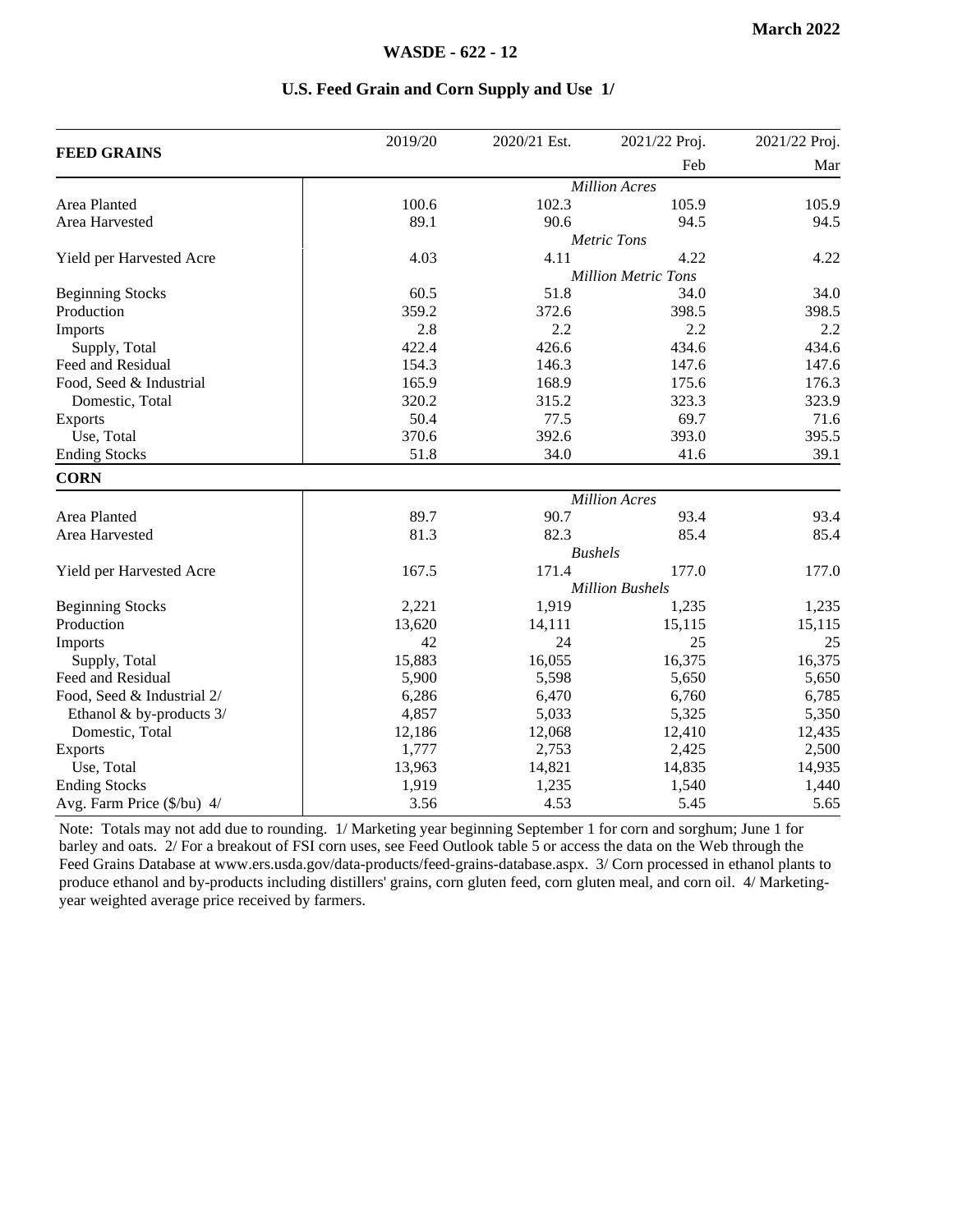| U.S. Feed Grain and Corn Supply and Use 1/ |  |  |  |  |  |  |  |
|--------------------------------------------|--|--|--|--|--|--|--|
|--------------------------------------------|--|--|--|--|--|--|--|

|                            | 2019/20 | 2020/21 Est.         | 2021/22 Proj.              | 2021/22 Proj. |  |
|----------------------------|---------|----------------------|----------------------------|---------------|--|
| <b>FEED GRAINS</b>         |         |                      | Feb                        | Mar           |  |
|                            |         |                      | <b>Million Acres</b>       |               |  |
| Area Planted               | 100.6   | 102.3                | 105.9                      | 105.9         |  |
| Area Harvested             | 89.1    | 90.6                 | 94.5                       | 94.5          |  |
|                            |         |                      | <b>Metric Tons</b>         |               |  |
| Yield per Harvested Acre   | 4.03    | 4.11                 | 4.22                       | 4.22          |  |
|                            |         |                      | <b>Million Metric Tons</b> |               |  |
| <b>Beginning Stocks</b>    | 60.5    | 51.8                 | 34.0                       | 34.0          |  |
| Production                 | 359.2   | 372.6                | 398.5                      | 398.5         |  |
| Imports                    | 2.8     | 2.2                  | 2.2                        | 2.2           |  |
| Supply, Total              | 422.4   | 426.6                | 434.6                      | 434.6         |  |
| Feed and Residual          | 154.3   | 146.3                | 147.6                      | 147.6         |  |
| Food, Seed & Industrial    | 165.9   | 168.9                | 175.6                      | 176.3         |  |
| Domestic, Total            | 320.2   | 315.2                | 323.3                      | 323.9         |  |
| Exports                    | 50.4    | 77.5                 | 69.7                       | 71.6          |  |
| Use, Total                 | 370.6   | 392.6                | 393.0                      | 395.5         |  |
| <b>Ending Stocks</b>       | 51.8    | 34.0                 | 41.6                       | 39.1          |  |
| <b>CORN</b>                |         |                      |                            |               |  |
|                            |         | <b>Million Acres</b> |                            |               |  |
| Area Planted               | 89.7    | 90.7                 | 93.4                       | 93.4          |  |
| Area Harvested             | 81.3    | 82.3                 | 85.4                       | 85.4          |  |
|                            |         |                      | <b>Bushels</b>             |               |  |
| Yield per Harvested Acre   | 167.5   | 171.4                | 177.0                      | 177.0         |  |
|                            |         |                      | <b>Million Bushels</b>     |               |  |
| <b>Beginning Stocks</b>    | 2,221   | 1,919                | 1,235                      | 1,235         |  |
| Production                 | 13,620  | 14,111               | 15,115                     | 15,115        |  |
| Imports                    | 42      | 24                   | 25                         | 25            |  |
| Supply, Total              | 15,883  | 16,055               | 16,375                     | 16,375        |  |
| Feed and Residual          | 5,900   | 5,598                | 5,650                      | 5,650         |  |
| Food, Seed & Industrial 2/ | 6,286   | 6,470                | 6,760                      | 6,785         |  |
| Ethanol & by-products 3/   | 4,857   | 5,033                | 5,325                      | 5,350         |  |
| Domestic, Total            | 12,186  | 12,068               | 12,410                     | 12,435        |  |
| Exports                    | 1,777   | 2,753                | 2,425                      | 2,500         |  |
| Use, Total                 | 13,963  | 14,821               | 14,835                     | 14,935        |  |
| <b>Ending Stocks</b>       | 1,919   | 1,235                | 1,540                      | 1,440         |  |
| Avg. Farm Price (\$/bu) 4/ | 3.56    | 4.53                 | 5.45                       | 5.65          |  |

Note: Totals may not add due to rounding. 1/ Marketing year beginning September 1 for corn and sorghum; June 1 for barley and oats. 2/ For a breakout of FSI corn uses, see Feed Outlook table 5 or access the data on the Web through the Feed Grains Database at www.ers.usda.gov/data-products/feed-grains-database.aspx. 3/ Corn processed in ethanol plants to produce ethanol and by-products including distillers' grains, corn gluten feed, corn gluten meal, and corn oil. 4/ Marketingyear weighted average price received by farmers.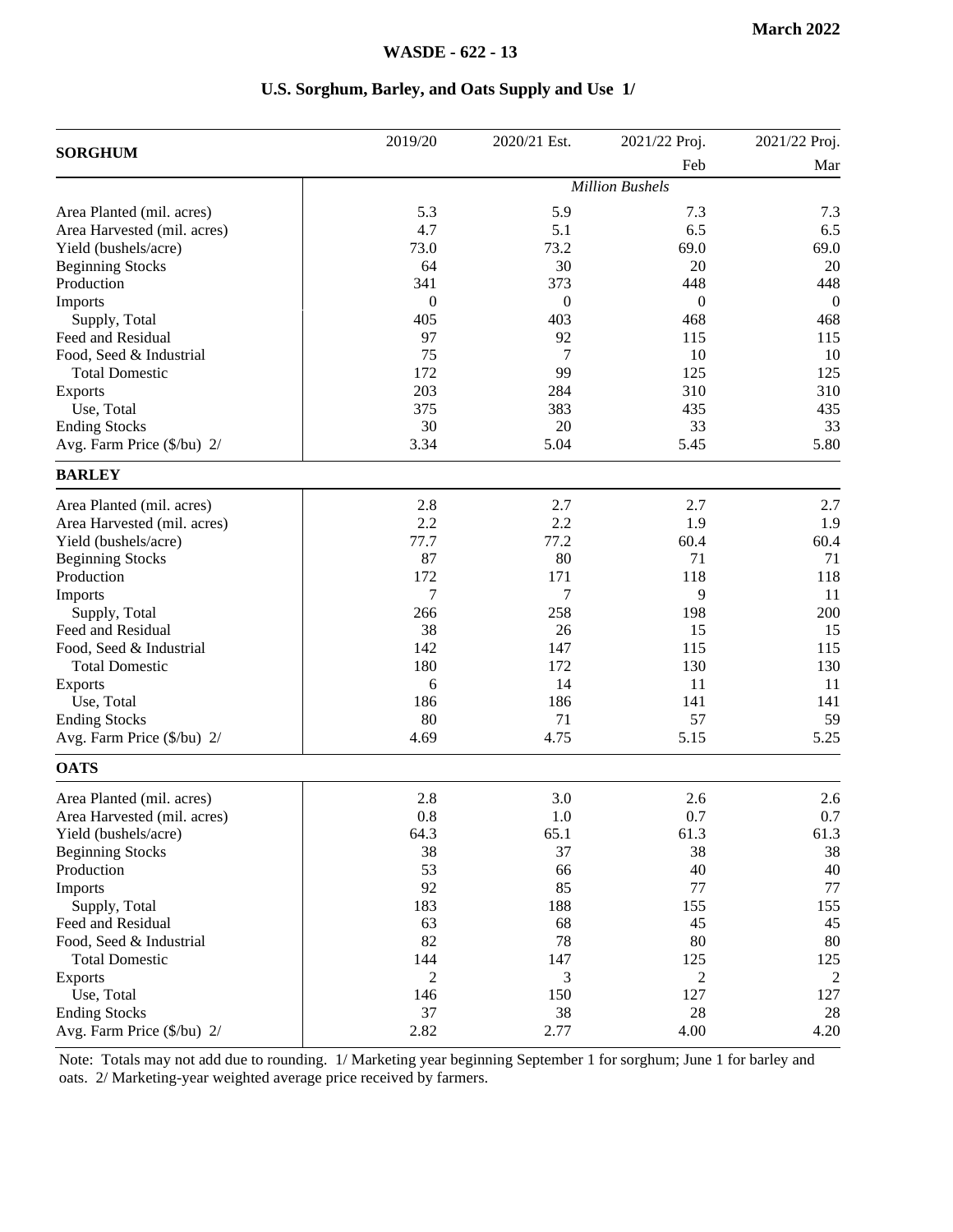#### **U.S. Sorghum, Barley, and Oats Supply and Use 1/**

|                             | 2019/20        | 2020/21 Est. | 2021/22 Proj.          | 2021/22 Proj.  |
|-----------------------------|----------------|--------------|------------------------|----------------|
| <b>SORGHUM</b>              |                |              | Feb                    | Mar            |
|                             |                |              | <b>Million Bushels</b> |                |
| Area Planted (mil. acres)   | 5.3            | 5.9          | 7.3                    | 7.3            |
| Area Harvested (mil. acres) | 4.7            | 5.1          | 6.5                    | 6.5            |
| Yield (bushels/acre)        | 73.0           | 73.2         | 69.0                   | 69.0           |
| <b>Beginning Stocks</b>     | 64             | 30           | 20                     | 20             |
| Production                  | 341            | 373          | 448                    | 448            |
| Imports                     | $\theta$       | $\theta$     | $\mathbf{0}$           | $\overline{0}$ |
| Supply, Total               | 405            | 403          | 468                    | 468            |
| Feed and Residual           | 97             | 92           | 115                    | 115            |
| Food, Seed & Industrial     | 75             | 7            | 10                     | 10             |
| <b>Total Domestic</b>       | 172            | 99           | 125                    | 125            |
| Exports                     | 203            | 284          | 310                    | 310            |
| Use, Total                  | 375            | 383          | 435                    | 435            |
| <b>Ending Stocks</b>        | 30             | 20           | 33                     | 33             |
| Avg. Farm Price (\$/bu) 2/  | 3.34           | 5.04         | 5.45                   | 5.80           |
| <b>BARLEY</b>               |                |              |                        |                |
| Area Planted (mil. acres)   | 2.8            | 2.7          | 2.7                    | 2.7            |
| Area Harvested (mil. acres) | 2.2            | 2.2          | 1.9                    | 1.9            |
| Yield (bushels/acre)        | 77.7           | 77.2         | 60.4                   | 60.4           |
| <b>Beginning Stocks</b>     | 87             | 80           | 71                     | 71             |
| Production                  | 172            | 171          | 118                    | 118            |
| Imports                     | 7              | 7            | 9                      | 11             |
| Supply, Total               | 266            | 258          | 198                    | 200            |
| Feed and Residual           | 38             | 26           | 15                     | 15             |
| Food, Seed & Industrial     | 142            | 147          | 115                    | 115            |
| <b>Total Domestic</b>       | 180            | 172          | 130                    | 130            |
| <b>Exports</b>              | 6              | 14           | 11                     | 11             |
| Use, Total                  | 186            | 186          | 141                    | 141            |
| <b>Ending Stocks</b>        | 80             | 71           | 57                     | 59             |
| Avg. Farm Price (\$/bu) 2/  | 4.69           | 4.75         | 5.15                   | 5.25           |
| <b>OATS</b>                 |                |              |                        |                |
| Area Planted (mil. acres)   | 2.8            | 3.0          | 2.6                    | 2.6            |
| Area Harvested (mil. acres) | 0.8            | 1.0          | 0.7                    | 0.7            |
| Yield (bushels/acre)        | 64.3           | 65.1         | 61.3                   | 61.3           |
| <b>Beginning Stocks</b>     | 38             | 37           | 38                     | 38             |
| Production                  | 53             | 66           | 40                     | 40             |
| Imports                     | 92             | 85           | 77                     | $77 \,$        |
| Supply, Total               | 183            | 188          | 155                    | 155            |
| Feed and Residual           | 63             | 68           | 45                     | 45             |
| Food, Seed & Industrial     | 82             | 78           | 80                     | 80             |
| <b>Total Domestic</b>       | 144            | 147          | 125                    | 125            |
| Exports                     | $\mathfrak{2}$ | 3            | $\overline{c}$         | 2              |
| Use, Total                  | 146            | 150          | 127                    | 127            |
| <b>Ending Stocks</b>        | 37             | 38           | 28                     | 28             |
| Avg. Farm Price (\$/bu) 2/  | 2.82           | 2.77         | 4.00                   | 4.20           |

Note: Totals may not add due to rounding. 1/ Marketing year beginning September 1 for sorghum; June 1 for barley and oats. 2/ Marketing-year weighted average price received by farmers.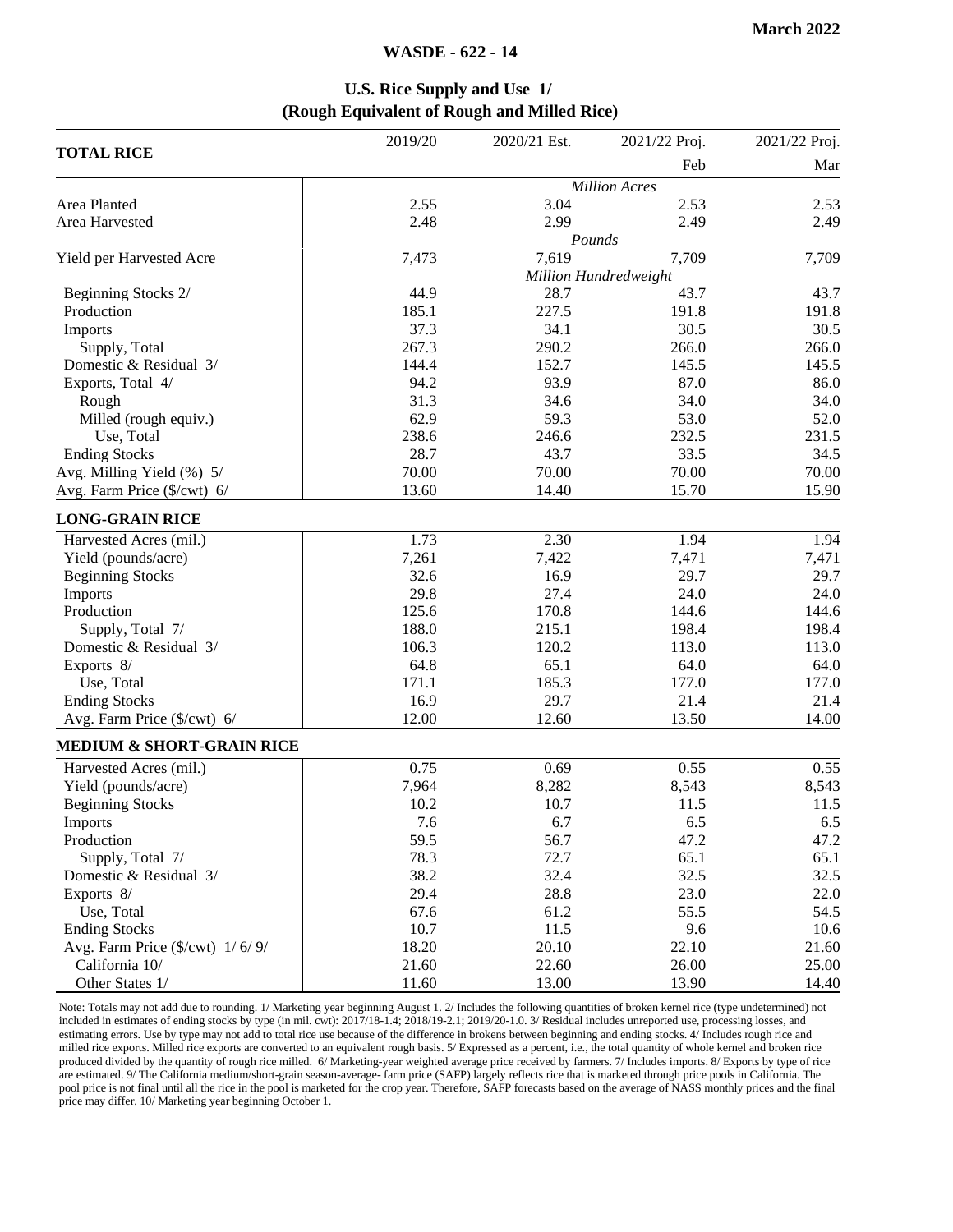#### **WASDE - 622 - 14**

#### **U.S. Rice Supply and Use 1/ (Rough Equivalent of Rough and Milled Rice)**

|                                                          | 2019/20 | 2020/21 Est. | 2021/22 Proj.         | 2021/22 Proj. |
|----------------------------------------------------------|---------|--------------|-----------------------|---------------|
| <b>TOTAL RICE</b>                                        |         |              | Feb                   | Mar           |
|                                                          |         |              | <b>Million Acres</b>  |               |
| Area Planted                                             | 2.55    | 3.04         | 2.53                  | 2.53          |
| Area Harvested                                           | 2.48    | 2.99         | 2.49                  | 2.49          |
|                                                          |         | Pounds       |                       |               |
| Yield per Harvested Acre                                 | 7,473   | 7,619        | 7,709                 | 7,709         |
|                                                          |         |              | Million Hundredweight |               |
| Beginning Stocks 2/                                      | 44.9    | 28.7         | 43.7                  | 43.7          |
| Production                                               | 185.1   | 227.5        | 191.8                 | 191.8         |
| Imports                                                  | 37.3    | 34.1         | 30.5                  | 30.5          |
| Supply, Total                                            | 267.3   | 290.2        | 266.0                 | 266.0         |
| Domestic & Residual 3/                                   | 144.4   | 152.7        | 145.5                 | 145.5         |
| Exports, Total 4/                                        | 94.2    | 93.9         | 87.0                  | 86.0          |
| Rough                                                    | 31.3    | 34.6         | 34.0                  | 34.0          |
| Milled (rough equiv.)                                    | 62.9    | 59.3         | 53.0                  | 52.0          |
| Use, Total                                               | 238.6   | 246.6        | 232.5                 | 231.5         |
| <b>Ending Stocks</b>                                     | 28.7    | 43.7         | 33.5                  | 34.5          |
| Avg. Milling Yield (%) 5/                                | 70.00   | 70.00        | 70.00                 | 70.00         |
| Avg. Farm Price (\$/cwt) 6/                              | 13.60   | 14.40        | 15.70                 | 15.90         |
| <b>LONG-GRAIN RICE</b>                                   |         |              |                       |               |
| Harvested Acres (mil.)                                   | 1.73    | 2.30         | 1.94                  | 1.94          |
| Yield (pounds/acre)                                      | 7,261   | 7,422        | 7,471                 | 7,471         |
| <b>Beginning Stocks</b>                                  | 32.6    | 16.9         | 29.7                  | 29.7          |
| Imports                                                  | 29.8    | 27.4         | 24.0                  | 24.0          |
| Production                                               | 125.6   | 170.8        | 144.6                 | 144.6         |
| Supply, Total 7/                                         | 188.0   | 215.1        | 198.4                 | 198.4         |
| Domestic & Residual 3/                                   | 106.3   | 120.2        | 113.0                 | 113.0         |
| Exports 8/                                               | 64.8    | 65.1         | 64.0                  | 64.0          |
| Use, Total                                               | 171.1   | 185.3        | 177.0                 | 177.0         |
| <b>Ending Stocks</b>                                     | 16.9    | 29.7         | 21.4                  | 21.4          |
| Avg. Farm Price (\$/cwt) 6/                              | 12.00   | 12.60        | 13.50                 | 14.00         |
| MEDIUM & SHORT-GRAIN RICE                                |         |              |                       |               |
| Harvested Acres (mil.)                                   | 0.75    | 0.69         | 0.55                  | 0.55          |
| Yield (pounds/acre)                                      | 7,964   | 8,282        | 8,543                 | 8,543         |
| <b>Beginning Stocks</b>                                  | 10.2    | 10.7         | 11.5                  | 11.5          |
| Imports                                                  | 7.6     | 6.7          | 6.5                   | 6.5           |
| Production                                               | 59.5    | 56.7         | 47.2                  | 47.2          |
| Supply, Total 7/                                         | 78.3    | 72.7         | 65.1                  | 65.1          |
| Domestic & Residual 3/                                   | 38.2    | 32.4         | 32.5                  | 32.5          |
| Exports 8/                                               | 29.4    | 28.8         | 23.0                  | 22.0          |
| Use, Total                                               | 67.6    | 61.2         | 55.5                  | 54.5          |
| <b>Ending Stocks</b>                                     | 10.7    | 11.5         | 9.6                   | 10.6          |
| Avg. Farm Price $(\frac{C}{x})$ ( $\frac{C}{x}$ ) 1/6/9/ | 18.20   | 20.10        | 22.10                 | 21.60         |
| California 10/                                           | 21.60   | 22.60        | 26.00                 | 25.00         |
| Other States 1/                                          | 11.60   | 13.00        | 13.90                 | 14.40         |

Note: Totals may not add due to rounding. 1/ Marketing year beginning August 1. 2/ Includes the following quantities of broken kernel rice (type undetermined) not included in estimates of ending stocks by type (in mil. cwt): 2017/18-1.4; 2018/19-2.1; 2019/20-1.0. 3/ Residual includes unreported use, processing losses, and estimating errors. Use by type may not add to total rice use because of the difference in brokens between beginning and ending stocks. 4/ Includes rough rice and milled rice exports. Milled rice exports are converted to an equivalent rough basis. 5/ Expressed as a percent, i.e., the total quantity of whole kernel and broken rice produced divided by the quantity of rough rice milled. 6/ Marketing-year weighted average price received by farmers. 7/ Includes imports. 8/ Exports by type of rice are estimated. 9/ The California medium/short-grain season-average- farm price (SAFP) largely reflects rice that is marketed through price pools in California. The pool price is not final until all the rice in the pool is marketed for the crop year. Therefore, SAFP forecasts based on the average of NASS monthly prices and the final price may differ. 10/ Marketing year beginning October 1.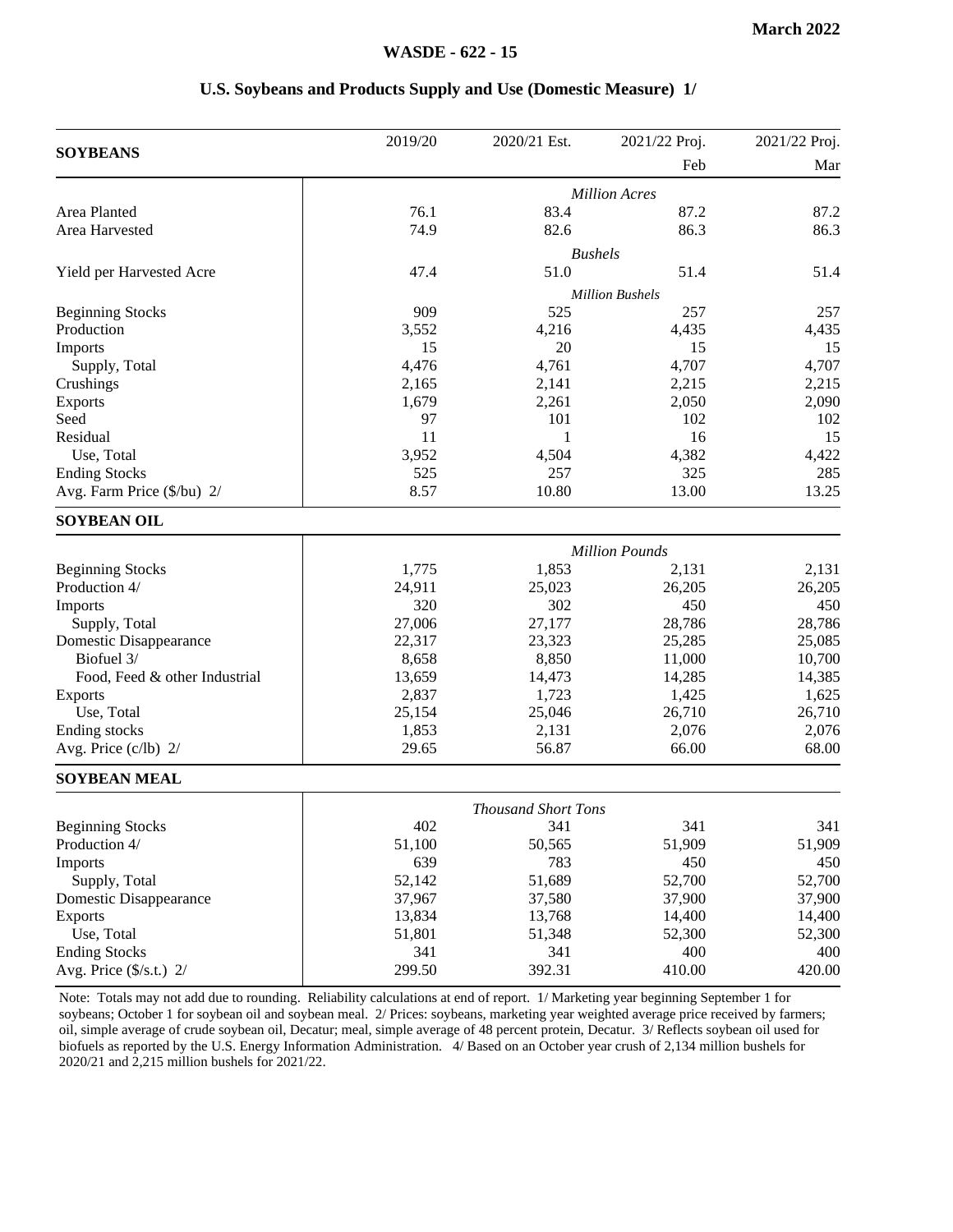#### **U.S. Soybeans and Products Supply and Use (Domestic Measure) 1/**

|                                  | 2019/20 | 2020/21 Est.               | 2021/22 Proj.          | 2021/22 Proj. |
|----------------------------------|---------|----------------------------|------------------------|---------------|
| <b>SOYBEANS</b>                  |         |                            | Feb                    | Mar           |
|                                  |         |                            | <b>Million Acres</b>   |               |
| Area Planted                     | 76.1    | 83.4                       | 87.2                   | 87.2          |
| Area Harvested                   | 74.9    | 82.6                       | 86.3                   | 86.3          |
|                                  |         |                            | <b>Bushels</b>         |               |
| Yield per Harvested Acre         | 47.4    | 51.0                       | 51.4                   | 51.4          |
|                                  |         |                            | <b>Million Bushels</b> |               |
| <b>Beginning Stocks</b>          | 909     | 525                        | 257                    | 257           |
| Production                       | 3,552   | 4,216                      | 4,435                  | 4,435         |
| Imports                          | 15      | 20                         | 15                     | 15            |
| Supply, Total                    | 4,476   | 4,761                      | 4,707                  | 4,707         |
| Crushings                        | 2,165   | 2,141                      | 2,215                  | 2,215         |
| <b>Exports</b>                   | 1,679   | 2,261                      | 2,050                  | 2,090         |
| Seed                             | 97      | 101                        | 102                    | 102           |
| Residual                         | 11      | 1                          | 16                     | 15            |
| Use, Total                       | 3,952   | 4,504                      | 4,382                  | 4,422         |
| <b>Ending Stocks</b>             | 525     | 257                        | 325                    | 285           |
| Avg. Farm Price (\$/bu) 2/       | 8.57    | 10.80                      | 13.00                  | 13.25         |
| <b>SOYBEAN OIL</b>               |         |                            |                        |               |
|                                  |         |                            |                        |               |
|                                  |         |                            | <b>Million Pounds</b>  |               |
| <b>Beginning Stocks</b>          | 1,775   | 1,853                      | 2,131                  | 2,131         |
| Production 4/                    | 24,911  | 25,023                     | 26,205                 | 26,205        |
| Imports                          | 320     | 302                        | 450                    | 450           |
| Supply, Total                    | 27,006  | 27,177                     | 28,786                 | 28,786        |
| Domestic Disappearance           | 22,317  | 23,323                     | 25,285                 | 25,085        |
| Biofuel 3/                       | 8,658   | 8,850                      | 11,000                 | 10,700        |
| Food, Feed & other Industrial    | 13,659  | 14,473                     | 14,285                 | 14,385        |
| <b>Exports</b>                   | 2,837   | 1,723                      | 1,425                  | 1,625         |
| Use, Total                       | 25,154  | 25,046                     | 26,710                 | 26,710        |
| Ending stocks                    | 1,853   | 2,131                      | 2,076                  | 2,076         |
| Avg. Price (c/lb) 2/             | 29.65   | 56.87                      | 66.00                  | 68.00         |
| <b>SOYBEAN MEAL</b>              |         |                            |                        |               |
|                                  |         | <b>Thousand Short Tons</b> |                        |               |
| <b>Beginning Stocks</b>          | 402     | 341                        | 341                    | 341           |
| Production 4/                    | 51,100  | 50,565                     | 51,909                 | 51,909        |
| Imports                          | 639     | 783                        | 450                    | 450           |
| Supply, Total                    | 52,142  | 51,689                     | 52,700                 | 52,700        |
| Domestic Disappearance           | 37,967  | 37,580                     | 37,900                 | 37,900        |
| <b>Exports</b>                   | 13,834  | 13,768                     | 14,400                 | 14,400        |
| Use, Total                       | 51,801  | 51,348                     | 52,300                 | 52,300        |
| <b>Ending Stocks</b>             | 341     | 341                        | 400                    | 400           |
| Avg. Price $(\frac{5}{s}.t.)$ 2/ | 299.50  | 392.31                     | 410.00                 | 420.00        |
|                                  |         |                            |                        |               |

Note: Totals may not add due to rounding. Reliability calculations at end of report. 1/ Marketing year beginning September 1 for soybeans; October 1 for soybean oil and soybean meal. 2/ Prices: soybeans, marketing year weighted average price received by farmers; oil, simple average of crude soybean oil, Decatur; meal, simple average of 48 percent protein, Decatur. 3/ Reflects soybean oil used for biofuels as reported by the U.S. Energy Information Administration. 4/ Based on an October year crush of 2,134 million bushels for 2020/21 and 2,215 million bushels for 2021/22.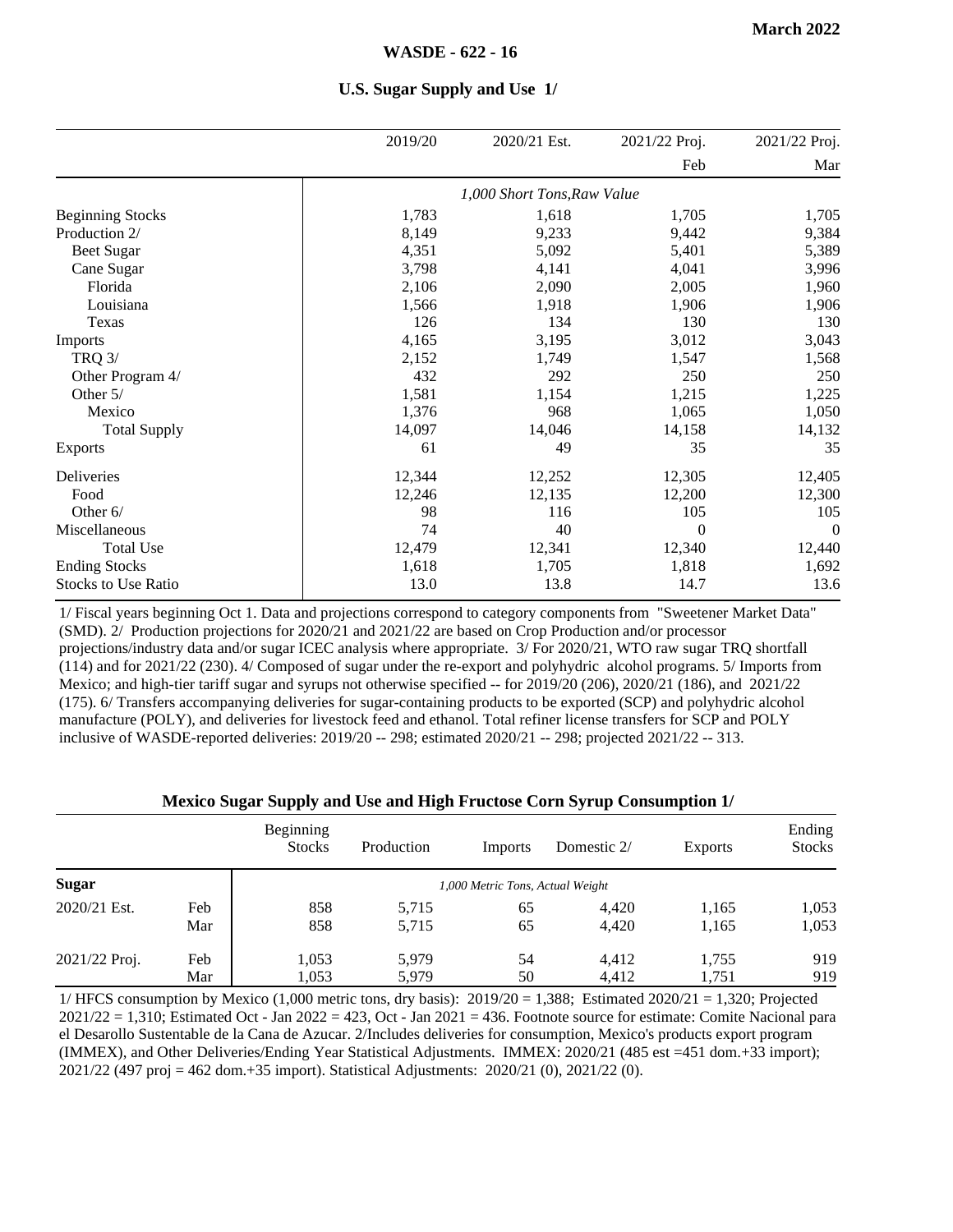|                            | 2019/20 | 2020/21 Est.                | 2021/22 Proj.  | 2021/22 Proj.  |
|----------------------------|---------|-----------------------------|----------------|----------------|
|                            |         |                             | Feb            | Mar            |
|                            |         | 1,000 Short Tons, Raw Value |                |                |
| <b>Beginning Stocks</b>    | 1,783   | 1,618                       | 1,705          | 1,705          |
| Production 2/              | 8,149   | 9,233                       | 9,442          | 9,384          |
| <b>Beet Sugar</b>          | 4,351   | 5,092                       | 5,401          | 5,389          |
| Cane Sugar                 | 3,798   | 4,141                       | 4,041          | 3,996          |
| Florida                    | 2,106   | 2,090                       | 2,005          | 1,960          |
| Louisiana                  | 1,566   | 1,918                       | 1,906          | 1,906          |
| Texas                      | 126     | 134                         | 130            | 130            |
| Imports                    | 4,165   | 3,195                       | 3,012          | 3,043          |
| <b>TRQ 3/</b>              | 2,152   | 1,749                       | 1,547          | 1,568          |
| Other Program 4/           | 432     | 292                         | 250            | 250            |
| Other $5/$                 | 1,581   | 1,154                       | 1,215          | 1,225          |
| Mexico                     | 1,376   | 968                         | 1,065          | 1,050          |
| <b>Total Supply</b>        | 14,097  | 14,046                      | 14,158         | 14,132         |
| Exports                    | 61      | 49                          | 35             | 35             |
| Deliveries                 | 12,344  | 12,252                      | 12,305         | 12,405         |
| Food                       | 12,246  | 12,135                      | 12,200         | 12,300         |
| Other 6/                   | 98      | 116                         | 105            | 105            |
| Miscellaneous              | 74      | 40                          | $\overline{0}$ | $\overline{0}$ |
| <b>Total Use</b>           | 12,479  | 12,341                      | 12,340         | 12,440         |
| <b>Ending Stocks</b>       | 1,618   | 1,705                       | 1,818          | 1,692          |
| <b>Stocks to Use Ratio</b> | 13.0    | 13.8                        | 14.7           | 13.6           |

#### **U.S. Sugar Supply and Use 1/**

1/ Fiscal years beginning Oct 1. Data and projections correspond to category components from "Sweetener Market Data" (SMD). 2/ Production projections for 2020/21 and 2021/22 are based on Crop Production and/or processor projections/industry data and/or sugar ICEC analysis where appropriate. 3/ For 2020/21, WTO raw sugar TRQ shortfall (114) and for 2021/22 (230). 4/ Composed of sugar under the re-export and polyhydric alcohol programs. 5/ Imports from Mexico; and high-tier tariff sugar and syrups not otherwise specified -- for 2019/20 (206), 2020/21 (186), and 2021/22 (175). 6/ Transfers accompanying deliveries for sugar-containing products to be exported (SCP) and polyhydric alcohol manufacture (POLY), and deliveries for livestock feed and ethanol. Total refiner license transfers for SCP and POLY inclusive of WASDE-reported deliveries: 2019/20 -- 298; estimated 2020/21 -- 298; projected 2021/22 -- 313.

#### **Mexico Sugar Supply and Use and High Fructose Corn Syrup Consumption 1/**

|               |     | Beginning<br><b>Stocks</b> | Production | Imports                          | Domestic 2/ | <b>Exports</b> | Ending<br><b>Stocks</b> |
|---------------|-----|----------------------------|------------|----------------------------------|-------------|----------------|-------------------------|
| <b>Sugar</b>  |     |                            |            | 1,000 Metric Tons, Actual Weight |             |                |                         |
| 2020/21 Est.  | Feb | 858                        | 5,715      | 65                               | 4.420       | 1,165          | 1,053                   |
|               | Mar | 858                        | 5,715      | 65                               | 4,420       | 1,165          | 1,053                   |
| 2021/22 Proj. | Feb | 1,053                      | 5.979      | 54                               | 4.412       | 1,755          | 919                     |
|               | Mar | 1.053                      | 5.979      | 50                               | 4,412       | 1,751          | 919                     |

1/ HFCS consumption by Mexico (1,000 metric tons, dry basis): 2019/20 = 1,388; Estimated 2020/21 = 1,320; Projected  $2021/22 = 1,310$ ; Estimated Oct - Jan 2022 = 423, Oct - Jan 2021 = 436. Footnote source for estimate: Comite Nacional para el Desarollo Sustentable de la Cana de Azucar. 2/Includes deliveries for consumption, Mexico's products export program (IMMEX), and Other Deliveries/Ending Year Statistical Adjustments. IMMEX: 2020/21 (485 est =451 dom.+33 import); 2021/22 (497 proj = 462 dom.+35 import). Statistical Adjustments: 2020/21 (0), 2021/22 (0).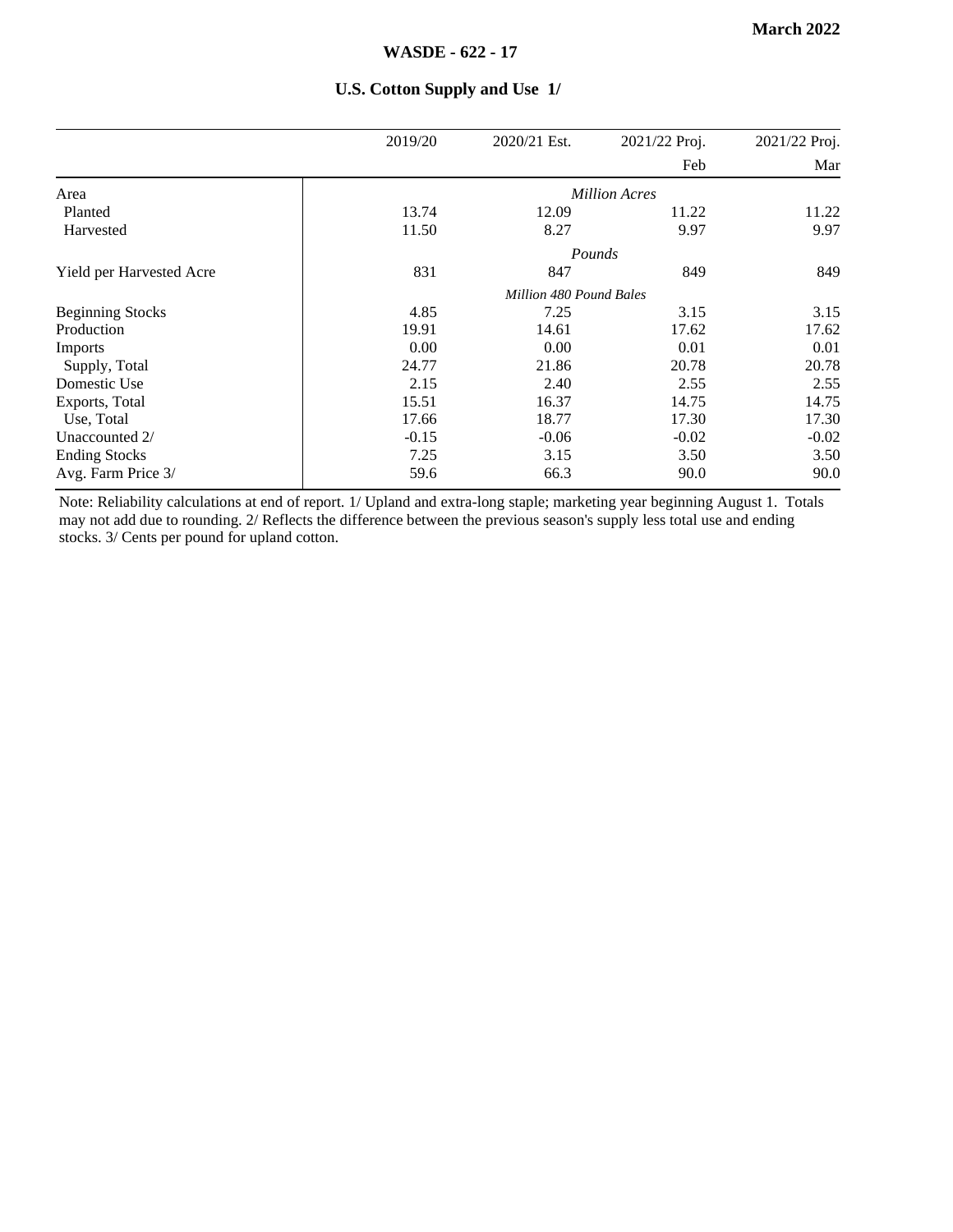|                          | 2019/20 | 2020/21 Est.            | 2021/22 Proj.        | 2021/22 Proj. |
|--------------------------|---------|-------------------------|----------------------|---------------|
|                          |         |                         | Feb                  | Mar           |
| Area                     |         |                         | <b>Million Acres</b> |               |
| Planted                  | 13.74   | 12.09                   | 11.22                | 11.22         |
| Harvested                | 11.50   | 8.27                    | 9.97                 | 9.97          |
|                          |         |                         | Pounds               |               |
| Yield per Harvested Acre | 831     | 847                     | 849                  | 849           |
|                          |         | Million 480 Pound Bales |                      |               |
| <b>Beginning Stocks</b>  | 4.85    | 7.25                    | 3.15                 | 3.15          |
| Production               | 19.91   | 14.61                   | 17.62                | 17.62         |
| Imports                  | 0.00    | 0.00                    | 0.01                 | 0.01          |
| Supply, Total            | 24.77   | 21.86                   | 20.78                | 20.78         |
| Domestic Use             | 2.15    | 2.40                    | 2.55                 | 2.55          |
| Exports, Total           | 15.51   | 16.37                   | 14.75                | 14.75         |
| Use, Total               | 17.66   | 18.77                   | 17.30                | 17.30         |
| Unaccounted 2/           | $-0.15$ | $-0.06$                 | $-0.02$              | $-0.02$       |
| <b>Ending Stocks</b>     | 7.25    | 3.15                    | 3.50                 | 3.50          |
| Avg. Farm Price 3/       | 59.6    | 66.3                    | 90.0                 | 90.0          |

#### **U.S. Cotton Supply and Use 1/**

Note: Reliability calculations at end of report. 1/ Upland and extra-long staple; marketing year beginning August 1. Totals may not add due to rounding. 2/ Reflects the difference between the previous season's supply less total use and ending stocks. 3/ Cents per pound for upland cotton.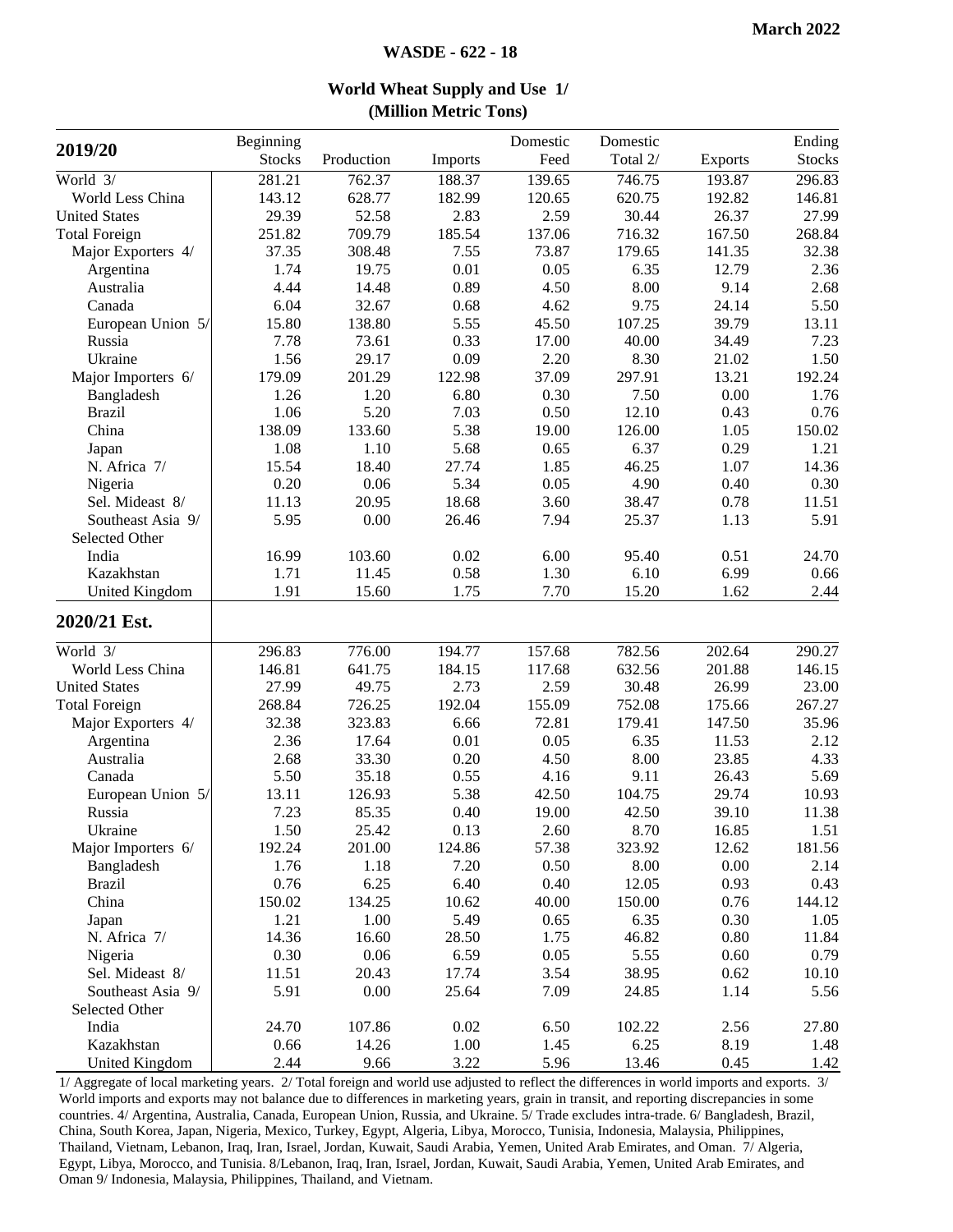| 2019/20               | Beginning     |            |          | Domestic     | Domestic |                | Ending        |
|-----------------------|---------------|------------|----------|--------------|----------|----------------|---------------|
|                       | <b>Stocks</b> | Production | Imports  | Feed         | Total 2/ | <b>Exports</b> | <b>Stocks</b> |
| World 3/              | 281.21        | 762.37     | 188.37   | 139.65       | 746.75   | 193.87         | 296.83        |
| World Less China      | 143.12        | 628.77     | 182.99   | 120.65       | 620.75   | 192.82         | 146.81        |
| <b>United States</b>  | 29.39         | 52.58      | 2.83     | 2.59         | 30.44    | 26.37          | 27.99         |
| <b>Total Foreign</b>  | 251.82        | 709.79     | 185.54   | 137.06       | 716.32   | 167.50         | 268.84        |
| Major Exporters 4/    | 37.35         | 308.48     | 7.55     | 73.87        | 179.65   | 141.35         | 32.38         |
| Argentina             | 1.74          | 19.75      | 0.01     | 0.05         | 6.35     | 12.79          | 2.36          |
| Australia             | 4.44          | 14.48      | 0.89     | 4.50         | 8.00     | 9.14           | 2.68          |
| Canada                | 6.04          | 32.67      | 0.68     | 4.62         | 9.75     | 24.14          | 5.50          |
| European Union 5/     | 15.80         | 138.80     | 5.55     | 45.50        | 107.25   | 39.79          | 13.11         |
| Russia                | 7.78          | 73.61      | 0.33     | 17.00        | 40.00    | 34.49          | 7.23          |
| Ukraine               | 1.56          | 29.17      | 0.09     | 2.20         | 8.30     | 21.02          | 1.50          |
| Major Importers 6/    | 179.09        | 201.29     | 122.98   | 37.09        | 297.91   | 13.21          | 192.24        |
| Bangladesh            | 1.26          | 1.20       | 6.80     | 0.30         | 7.50     | 0.00           | 1.76          |
| <b>Brazil</b>         | 1.06          | 5.20       | 7.03     | 0.50         | 12.10    | 0.43           | 0.76          |
| China                 | 138.09        | 133.60     | 5.38     | 19.00        | 126.00   | 1.05           | 150.02        |
| Japan                 | 1.08          | 1.10       | 5.68     | 0.65         | 6.37     | 0.29           | 1.21          |
| N. Africa 7/          | 15.54         | 18.40      | 27.74    | 1.85         | 46.25    | 1.07           | 14.36         |
| Nigeria               | 0.20          | 0.06       | 5.34     | 0.05         | 4.90     | 0.40           | 0.30          |
| Sel. Mideast 8/       | 11.13         | 20.95      | 18.68    | 3.60         | 38.47    | 0.78           | 11.51         |
| Southeast Asia 9/     | 5.95          | 0.00       | 26.46    | 7.94         | 25.37    | 1.13           | 5.91          |
| Selected Other        |               |            |          |              |          |                |               |
| India                 | 16.99         | 103.60     | 0.02     | 6.00         | 95.40    | 0.51           | 24.70         |
| Kazakhstan            | 1.71          | 11.45      | 0.58     | 1.30         | 6.10     | 6.99           | 0.66          |
| <b>United Kingdom</b> | 1.91          | 15.60      | 1.75     | 7.70         | 15.20    | 1.62           | 2.44          |
| 2020/21 Est.          |               |            |          |              |          |                |               |
| World 3/              | 296.83        | 776.00     | 194.77   | 157.68       | 782.56   | 202.64         | 290.27        |
| World Less China      | 146.81        | 641.75     | 184.15   | 117.68       | 632.56   | 201.88         | 146.15        |
| <b>United States</b>  | 27.99         | 49.75      | 2.73     | 2.59         | 30.48    | 26.99          | 23.00         |
| <b>Total Foreign</b>  | 268.84        | 726.25     | 192.04   | 155.09       | 752.08   | 175.66         | 267.27        |
| Major Exporters 4/    | 32.38         | 323.83     | 6.66     | 72.81        | 179.41   | 147.50         | 35.96         |
| Argentina             | 2.36          | 17.64      | $0.01\,$ | 0.05         | 6.35     | 11.53          | 2.12          |
| Australia             | 2.68          | 33.30      | 0.20     | 4.50         | 8.00     | 23.85          | 4.33          |
| Canada                | 5.50          | 35.18      | 0.55     | 4.16         | 9.11     | 26.43          | 5.69          |
| European Union 5/     | 13.11         | 126.93     | 5.38     | 42.50        | 104.75   | 29.74          | 10.93         |
| Russia                | 7.23          | 85.35      | 0.40     | 19.00        | 42.50    | 39.10          | 11.38         |
| Ukraine               | 1.50          | 25.42      | 0.13     | 2.60         | 8.70     | 16.85          | 1.51          |
| Major Importers 6/    | 192.24        | 201.00     | 124.86   | 57.38        | 323.92   | 12.62          | 181.56        |
| Bangladesh            | 1.76          | 1.18       | 7.20     | 0.50         | 8.00     | 0.00           | 2.14          |
| <b>Brazil</b>         | 0.76          | 6.25       | 6.40     | 0.40         | 12.05    | 0.93           | 0.43          |
| China                 | 150.02        | 134.25     | 10.62    | 40.00        | 150.00   | 0.76           | 144.12        |
|                       | 1.21          | 1.00       | 5.49     | 0.65         | 6.35     | 0.30           | 1.05          |
| Japan<br>N. Africa 7/ | 14.36         | 16.60      | 28.50    | 1.75         | 46.82    | 0.80           | 11.84         |
| Nigeria               | 0.30          | 0.06       | 6.59     | 0.05         | 5.55     | 0.60           | 0.79          |
| Sel. Mideast 8/       | 11.51         | 20.43      | 17.74    | 3.54         | 38.95    | 0.62           | 10.10         |
| Southeast Asia 9/     | 5.91          | 0.00       | 25.64    | 7.09         | 24.85    | 1.14           | 5.56          |
| Selected Other        |               |            |          |              |          |                |               |
|                       | 24.70         | 107.86     | 0.02     |              | 102.22   |                | 27.80         |
| India<br>Kazakhstan   | 0.66          | 14.26      | 1.00     | 6.50<br>1.45 | 6.25     | 2.56<br>8.19   | 1.48          |
| <b>United Kingdom</b> | 2.44          | 9.66       | 3.22     | 5.96         | 13.46    | 0.45           | 1.42          |

**World Wheat Supply and Use 1/ (Million Metric Tons)**

1/ Aggregate of local marketing years. 2/ Total foreign and world use adjusted to reflect the differences in world imports and exports. 3/ World imports and exports may not balance due to differences in marketing years, grain in transit, and reporting discrepancies in some countries. 4/ Argentina, Australia, Canada, European Union, Russia, and Ukraine. 5/ Trade excludes intra-trade. 6/ Bangladesh, Brazil, China, South Korea, Japan, Nigeria, Mexico, Turkey, Egypt, Algeria, Libya, Morocco, Tunisia, Indonesia, Malaysia, Philippines, Thailand, Vietnam, Lebanon, Iraq, Iran, Israel, Jordan, Kuwait, Saudi Arabia, Yemen, United Arab Emirates, and Oman. 7/ Algeria, Egypt, Libya, Morocco, and Tunisia. 8/Lebanon, Iraq, Iran, Israel, Jordan, Kuwait, Saudi Arabia, Yemen, United Arab Emirates, and Oman 9/ Indonesia, Malaysia, Philippines, Thailand, and Vietnam.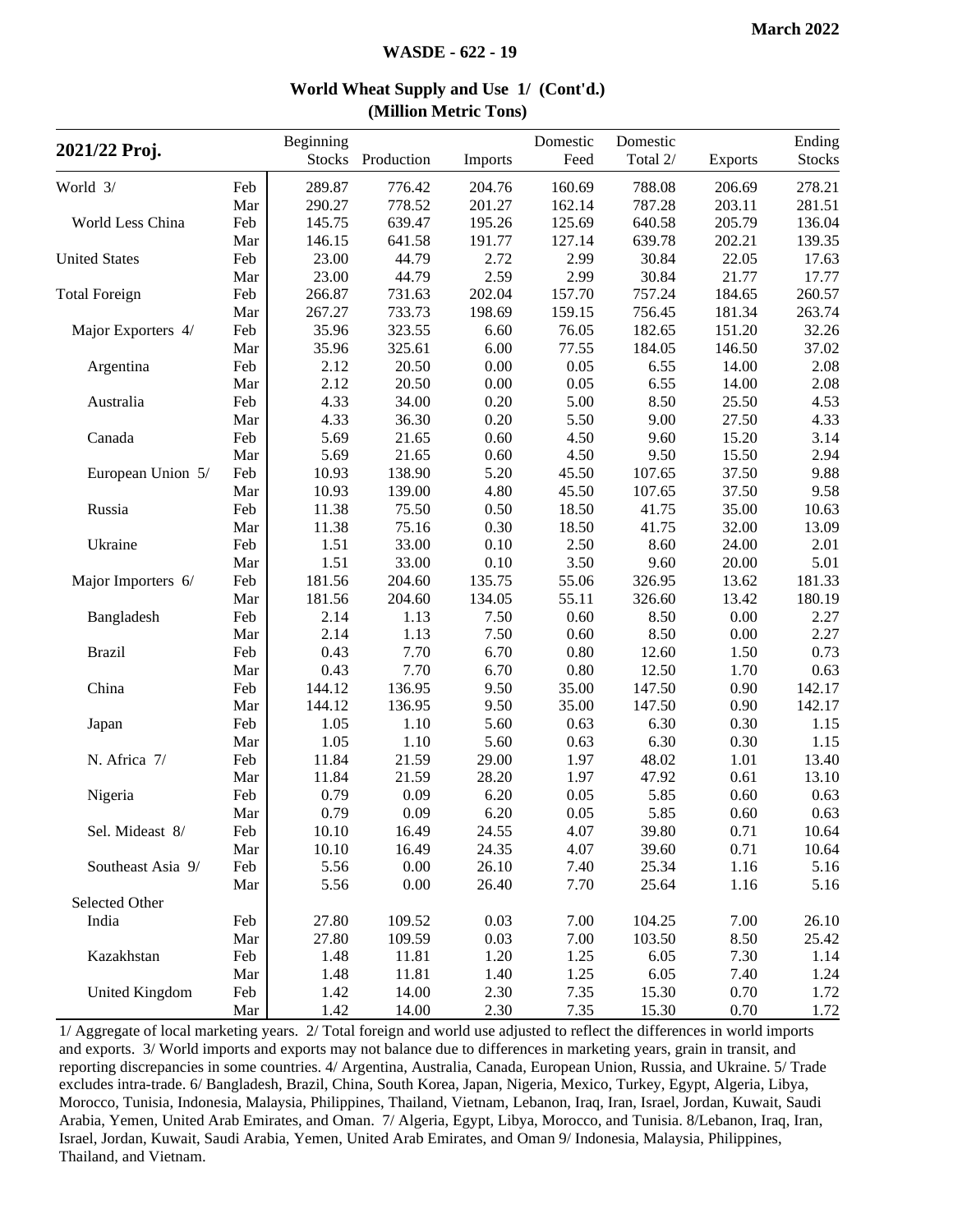| 2021/22 Proj.        |            | Beginning<br><b>Stocks</b> | Production | Imports  | Domestic<br>Feed | Domestic<br>Total 2/ | <b>Exports</b> | Ending<br><b>Stocks</b> |
|----------------------|------------|----------------------------|------------|----------|------------------|----------------------|----------------|-------------------------|
| World 3/             |            | 289.87                     | 776.42     | 204.76   | 160.69           | 788.08               | 206.69         | 278.21                  |
|                      | Feb<br>Mar | 290.27                     | 778.52     | 201.27   | 162.14           | 787.28               | 203.11         | 281.51                  |
| World Less China     | Feb        | 145.75                     | 639.47     | 195.26   | 125.69           | 640.58               | 205.79         | 136.04                  |
|                      | Mar        | 146.15                     | 641.58     | 191.77   | 127.14           | 639.78               | 202.21         | 139.35                  |
| <b>United States</b> | Feb        | 23.00                      | 44.79      | 2.72     | 2.99             | 30.84                | 22.05          | 17.63                   |
|                      | Mar        | 23.00                      | 44.79      | 2.59     | 2.99             | 30.84                | 21.77          | 17.77                   |
| <b>Total Foreign</b> | Feb        | 266.87                     | 731.63     | 202.04   | 157.70           | 757.24               | 184.65         | 260.57                  |
|                      | Mar        | 267.27                     | 733.73     | 198.69   | 159.15           | 756.45               | 181.34         | 263.74                  |
| Major Exporters 4/   | Feb        | 35.96                      | 323.55     | 6.60     | 76.05            | 182.65               | 151.20         | 32.26                   |
|                      | Mar        | 35.96                      | 325.61     | 6.00     | 77.55            | 184.05               | 146.50         | 37.02                   |
| Argentina            | Feb        | 2.12                       | 20.50      | 0.00     | 0.05             | 6.55                 | 14.00          | 2.08                    |
|                      | Mar        | 2.12                       | 20.50      | $0.00\,$ | 0.05             | 6.55                 | 14.00          | 2.08                    |
| Australia            | Feb        | 4.33                       | 34.00      | 0.20     | 5.00             | 8.50                 | 25.50          | 4.53                    |
|                      | Mar        | 4.33                       | 36.30      | 0.20     | 5.50             | 9.00                 | 27.50          | 4.33                    |
| Canada               | Feb        | 5.69                       | 21.65      | 0.60     | 4.50             | 9.60                 | 15.20          | 3.14                    |
|                      | Mar        | 5.69                       | 21.65      | 0.60     | 4.50             | 9.50                 | 15.50          | 2.94                    |
| European Union 5/    | Feb        | 10.93                      | 138.90     | 5.20     | 45.50            | 107.65               | 37.50          | 9.88                    |
|                      | Mar        | 10.93                      | 139.00     | 4.80     | 45.50            | 107.65               | 37.50          | 9.58                    |
| Russia               | Feb        | 11.38                      | 75.50      | 0.50     | 18.50            | 41.75                | 35.00          | 10.63                   |
|                      | Mar        | 11.38                      | 75.16      | 0.30     | 18.50            | 41.75                | 32.00          | 13.09                   |
| Ukraine              | Feb        | 1.51                       | 33.00      | $0.10\,$ | 2.50             | 8.60                 | 24.00          | 2.01                    |
|                      | Mar        | 1.51                       | 33.00      | 0.10     | 3.50             | 9.60                 | 20.00          | 5.01                    |
| Major Importers 6/   | Feb        | 181.56                     | 204.60     | 135.75   | 55.06            | 326.95               | 13.62          | 181.33                  |
|                      | Mar        | 181.56                     | 204.60     | 134.05   | 55.11            | 326.60               | 13.42          | 180.19                  |
| Bangladesh           | Feb        | 2.14                       | 1.13       | 7.50     | 0.60             | 8.50                 | 0.00           | 2.27                    |
|                      | Mar        | 2.14                       | 1.13       | 7.50     | 0.60             | 8.50                 | 0.00           | 2.27                    |
| <b>Brazil</b>        | Feb        | 0.43                       | 7.70       | 6.70     | 0.80             | 12.60                | 1.50           | 0.73                    |
|                      | Mar        | 0.43                       | 7.70       | 6.70     | 0.80             | 12.50                | 1.70           | 0.63                    |
| China                | Feb        | 144.12                     | 136.95     | 9.50     | 35.00            | 147.50               | 0.90           | 142.17                  |
|                      | Mar        | 144.12                     | 136.95     | 9.50     | 35.00            | 147.50               | 0.90           | 142.17                  |
| Japan                | Feb        | 1.05                       | 1.10       | 5.60     | 0.63             | 6.30                 | 0.30           | 1.15                    |
|                      | Mar        | 1.05                       | 1.10       | 5.60     | 0.63             | 6.30                 | 0.30           | 1.15                    |
| N. Africa 7/         | Feb        | 11.84                      | 21.59      | 29.00    | 1.97             | 48.02                | 1.01           | 13.40                   |
|                      | Mar        | 11.84                      | 21.59      | 28.20    | 1.97             | 47.92                | 0.61           | 13.10                   |
| Nigeria              | Feb        | 0.79                       | 0.09       | 6.20     | 0.05             | 5.85                 | 0.60           | 0.63                    |
|                      | Mar        | 0.79                       | 0.09       | 6.20     | 0.05             | 5.85                 | 0.60           | 0.63                    |
| Sel. Mideast 8/      | Feb        | 10.10                      | 16.49      | 24.55    | 4.07             | 39.80                | 0.71           | 10.64                   |
|                      | Mar        | 10.10                      | 16.49      | 24.35    | 4.07             | 39.60                | 0.71           | 10.64                   |
| Southeast Asia 9/    | Feb        | 5.56                       | 0.00       | 26.10    | 7.40             | 25.34                | 1.16           | 5.16                    |
|                      | Mar        | 5.56                       | 0.00       | 26.40    | 7.70             | 25.64                | 1.16           | 5.16                    |
| Selected Other       |            |                            |            |          |                  |                      |                |                         |
| India                | Feb        | 27.80                      | 109.52     | 0.03     | 7.00             | 104.25               | 7.00           | 26.10                   |
|                      | Mar        | 27.80                      | 109.59     | 0.03     | 7.00             | 103.50               | 8.50           | 25.42                   |
| Kazakhstan           | Feb        | 1.48                       | 11.81      | 1.20     | 1.25             | 6.05                 | 7.30           | 1.14                    |
|                      | Mar        | 1.48                       | 11.81      | 1.40     | 1.25             | 6.05                 | 7.40           | 1.24                    |
| United Kingdom       | Feb        | 1.42                       | 14.00      | 2.30     | 7.35             | 15.30                | 0.70           | 1.72                    |
|                      | Mar        | 1.42                       | 14.00      | 2.30     | 7.35             | 15.30                | 0.70           | 1.72                    |
|                      |            |                            |            |          |                  |                      |                |                         |

#### **World Wheat Supply and Use 1/ (Cont'd.) (Million Metric Tons)**

1/ Aggregate of local marketing years. 2/ Total foreign and world use adjusted to reflect the differences in world imports and exports. 3/ World imports and exports may not balance due to differences in marketing years, grain in transit, and reporting discrepancies in some countries. 4/ Argentina, Australia, Canada, European Union, Russia, and Ukraine. 5/ Trade excludes intra-trade. 6/ Bangladesh, Brazil, China, South Korea, Japan, Nigeria, Mexico, Turkey, Egypt, Algeria, Libya, Morocco, Tunisia, Indonesia, Malaysia, Philippines, Thailand, Vietnam, Lebanon, Iraq, Iran, Israel, Jordan, Kuwait, Saudi Arabia, Yemen, United Arab Emirates, and Oman. 7/ Algeria, Egypt, Libya, Morocco, and Tunisia. 8/Lebanon, Iraq, Iran, Israel, Jordan, Kuwait, Saudi Arabia, Yemen, United Arab Emirates, and Oman 9/ Indonesia, Malaysia, Philippines, Thailand, and Vietnam.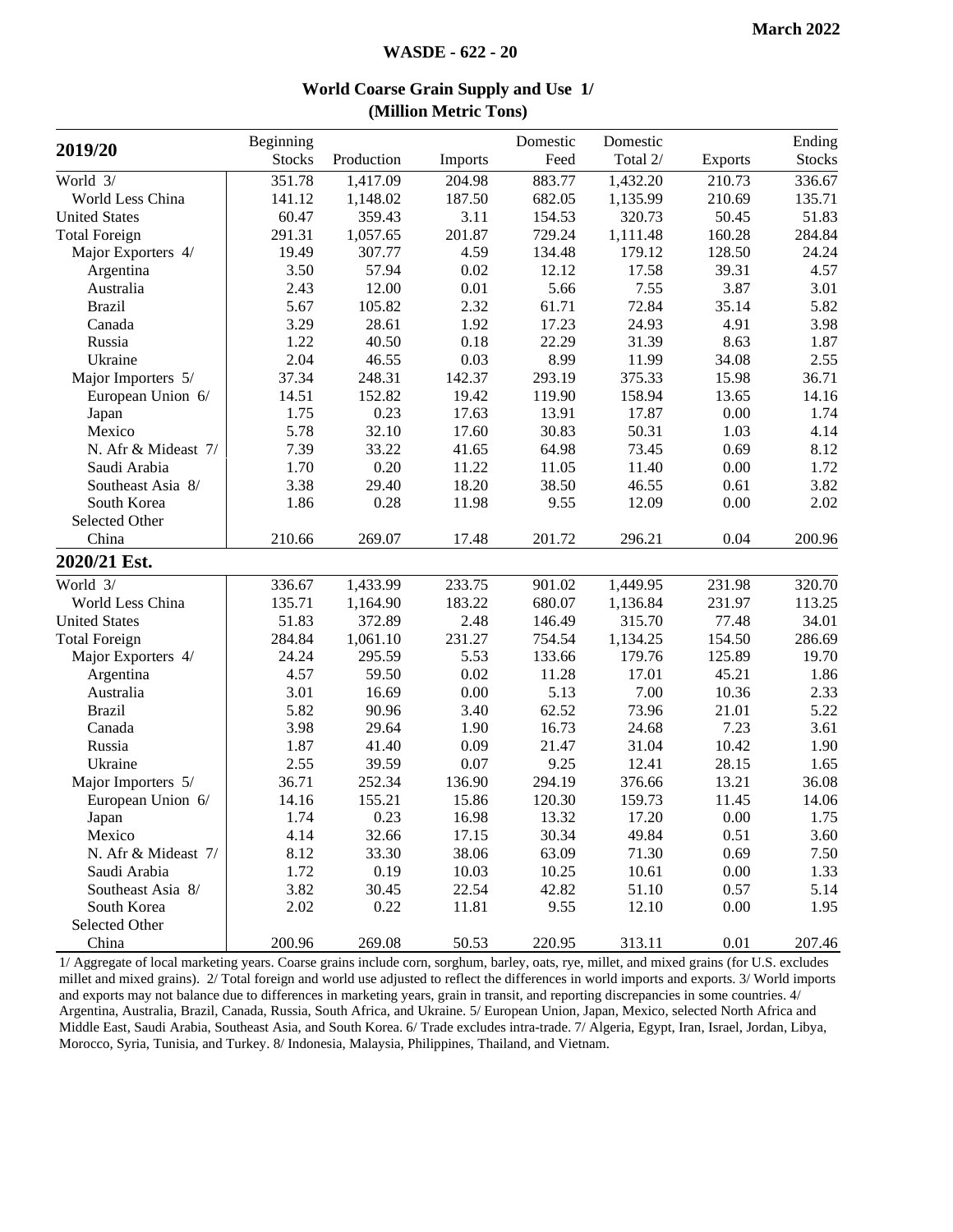| 2019/20              | Beginning     |            |          | Domestic | Domestic |                | Ending        |
|----------------------|---------------|------------|----------|----------|----------|----------------|---------------|
|                      | <b>Stocks</b> | Production | Imports  | Feed     | Total 2/ | <b>Exports</b> | <b>Stocks</b> |
| World 3/             | 351.78        | 1,417.09   | 204.98   | 883.77   | 1,432.20 | 210.73         | 336.67        |
| World Less China     | 141.12        | 1,148.02   | 187.50   | 682.05   | 1,135.99 | 210.69         | 135.71        |
| <b>United States</b> | 60.47         | 359.43     | 3.11     | 154.53   | 320.73   | 50.45          | 51.83         |
| <b>Total Foreign</b> | 291.31        | 1,057.65   | 201.87   | 729.24   | 1,111.48 | 160.28         | 284.84        |
| Major Exporters 4/   | 19.49         | 307.77     | 4.59     | 134.48   | 179.12   | 128.50         | 24.24         |
| Argentina            | 3.50          | 57.94      | 0.02     | 12.12    | 17.58    | 39.31          | 4.57          |
| Australia            | 2.43          | 12.00      | $0.01\,$ | 5.66     | 7.55     | 3.87           | 3.01          |
| <b>Brazil</b>        | 5.67          | 105.82     | 2.32     | 61.71    | 72.84    | 35.14          | 5.82          |
| Canada               | 3.29          | 28.61      | 1.92     | 17.23    | 24.93    | 4.91           | 3.98          |
| Russia               | 1.22          | 40.50      | 0.18     | 22.29    | 31.39    | 8.63           | 1.87          |
| Ukraine              | 2.04          | 46.55      | 0.03     | 8.99     | 11.99    | 34.08          | 2.55          |
| Major Importers 5/   | 37.34         | 248.31     | 142.37   | 293.19   | 375.33   | 15.98          | 36.71         |
| European Union 6/    | 14.51         | 152.82     | 19.42    | 119.90   | 158.94   | 13.65          | 14.16         |
| Japan                | 1.75          | 0.23       | 17.63    | 13.91    | 17.87    | 0.00           | 1.74          |
| Mexico               | 5.78          | 32.10      | 17.60    | 30.83    | 50.31    | 1.03           | 4.14          |
| N. Afr & Mideast 7/  | 7.39          | 33.22      | 41.65    | 64.98    | 73.45    | 0.69           | 8.12          |
| Saudi Arabia         | 1.70          | 0.20       | 11.22    | 11.05    | 11.40    | 0.00           | 1.72          |
| Southeast Asia 8/    | 3.38          | 29.40      | 18.20    | 38.50    | 46.55    | 0.61           | 3.82          |
| South Korea          | 1.86          | 0.28       | 11.98    | 9.55     | 12.09    | 0.00           | 2.02          |
| Selected Other       |               |            |          |          |          |                |               |
| China                | 210.66        | 269.07     | 17.48    | 201.72   | 296.21   | 0.04           | 200.96        |
| 2020/21 Est.         |               |            |          |          |          |                |               |
| World 3/             | 336.67        | 1,433.99   | 233.75   | 901.02   | 1,449.95 | 231.98         | 320.70        |
| World Less China     | 135.71        | 1,164.90   | 183.22   | 680.07   | 1,136.84 | 231.97         | 113.25        |
| <b>United States</b> | 51.83         | 372.89     | 2.48     | 146.49   | 315.70   | 77.48          | 34.01         |
| <b>Total Foreign</b> | 284.84        | 1,061.10   | 231.27   | 754.54   | 1,134.25 | 154.50         | 286.69        |
| Major Exporters 4/   | 24.24         | 295.59     | 5.53     | 133.66   | 179.76   | 125.89         | 19.70         |
| Argentina            | 4.57          | 59.50      | 0.02     | 11.28    | 17.01    | 45.21          | 1.86          |
| Australia            | 3.01          | 16.69      | 0.00     | 5.13     | 7.00     | 10.36          | 2.33          |
| <b>Brazil</b>        | 5.82          | 90.96      | 3.40     | 62.52    | 73.96    | 21.01          | 5.22          |
| Canada               | 3.98          | 29.64      | 1.90     | 16.73    | 24.68    | 7.23           | 3.61          |
| Russia               | 1.87          | 41.40      | 0.09     | 21.47    | 31.04    | 10.42          | 1.90          |
| Ukraine              | 2.55          | 39.59      | 0.07     | 9.25     | 12.41    | 28.15          | 1.65          |
| Major Importers 5/   | 36.71         | 252.34     | 136.90   | 294.19   | 376.66   | 13.21          | 36.08         |
| European Union 6/    | 14.16         | 155.21     | 15.86    | 120.30   | 159.73   | 11.45          | 14.06         |
| Japan                | 1.74          | 0.23       | 16.98    | 13.32    | 17.20    | 0.00           | 1.75          |
| Mexico               | 4.14          | 32.66      | 17.15    | 30.34    | 49.84    | 0.51           | 3.60          |
| N. Afr & Mideast 7/  | 8.12          | 33.30      | 38.06    | 63.09    | 71.30    | 0.69           | 7.50          |
| Saudi Arabia         | 1.72          | 0.19       | 10.03    | 10.25    | 10.61    | 0.00           | 1.33          |
| Southeast Asia 8/    | 3.82          | 30.45      | 22.54    | 42.82    | 51.10    | 0.57           | 5.14          |
| South Korea          | 2.02          | 0.22       | 11.81    | 9.55     | 12.10    | 0.00           | 1.95          |
| Selected Other       |               |            |          |          |          |                |               |
| China                | 200.96        | 269.08     | 50.53    | 220.95   | 313.11   | 0.01           | 207.46        |

#### **World Coarse Grain Supply and Use 1/ (Million Metric Tons)**

1/ Aggregate of local marketing years. Coarse grains include corn, sorghum, barley, oats, rye, millet, and mixed grains (for U.S. excludes millet and mixed grains). 2/ Total foreign and world use adjusted to reflect the differences in world imports and exports. 3/ World imports and exports may not balance due to differences in marketing years, grain in transit, and reporting discrepancies in some countries. 4/ Argentina, Australia, Brazil, Canada, Russia, South Africa, and Ukraine. 5/ European Union, Japan, Mexico, selected North Africa and Middle East, Saudi Arabia, Southeast Asia, and South Korea. 6/ Trade excludes intra-trade. 7/ Algeria, Egypt, Iran, Israel, Jordan, Libya, Morocco, Syria, Tunisia, and Turkey. 8/ Indonesia, Malaysia, Philippines, Thailand, and Vietnam.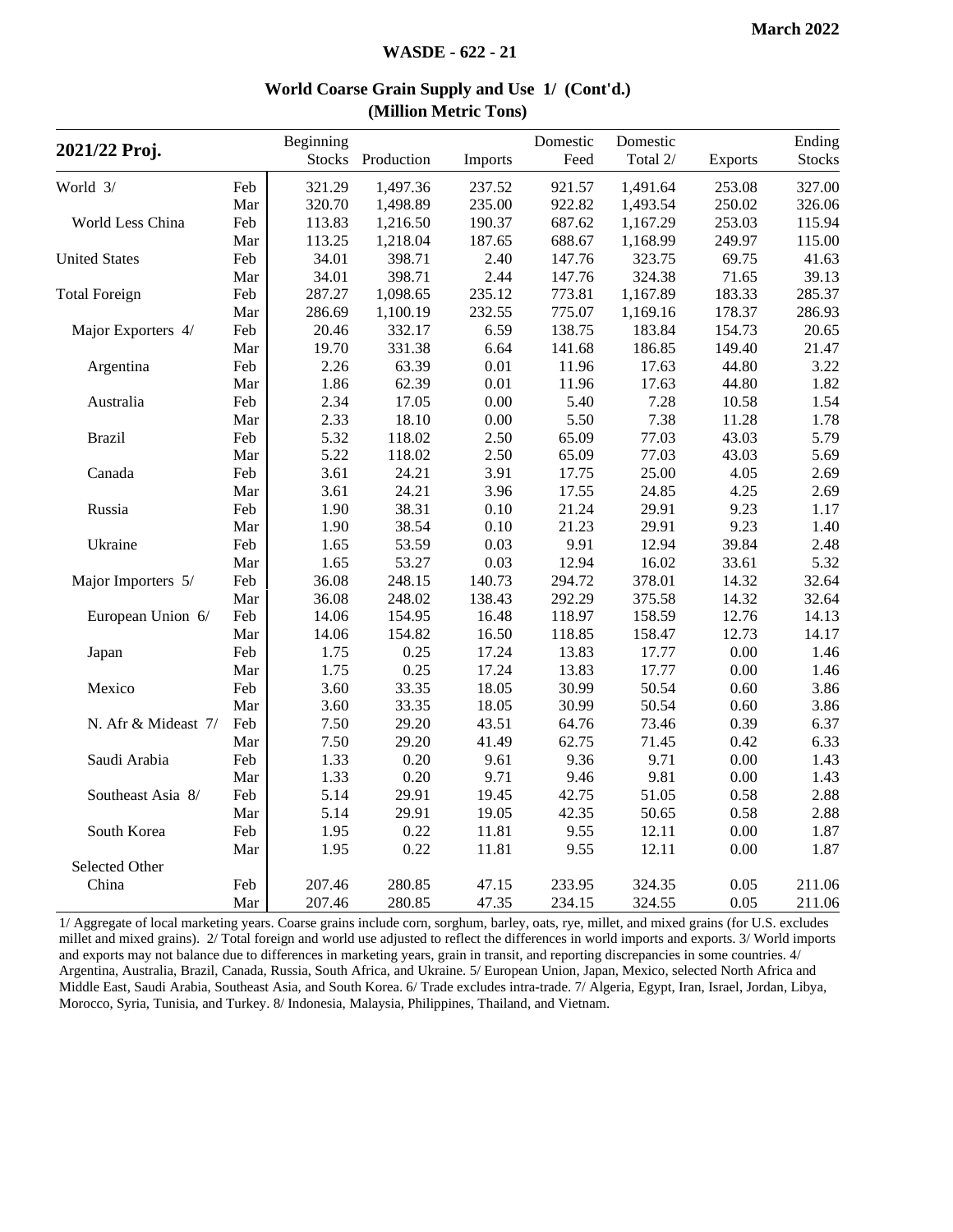| 2021/22 Proj.        |     | Beginning<br><b>Stocks</b> | Production | Imports  | Domestic<br>Feed | Domestic<br>Total 2/ | <b>Exports</b> | Ending<br><b>Stocks</b> |
|----------------------|-----|----------------------------|------------|----------|------------------|----------------------|----------------|-------------------------|
| World 3/             | Feb | 321.29                     | 1,497.36   | 237.52   | 921.57           | 1,491.64             | 253.08         | 327.00                  |
|                      | Mar | 320.70                     | 1,498.89   | 235.00   | 922.82           | 1,493.54             | 250.02         | 326.06                  |
| World Less China     | Feb | 113.83                     | 1,216.50   | 190.37   | 687.62           | 1,167.29             | 253.03         | 115.94                  |
|                      | Mar | 113.25                     | 1,218.04   | 187.65   | 688.67           | 1,168.99             | 249.97         | 115.00                  |
| <b>United States</b> | Feb | 34.01                      | 398.71     | 2.40     | 147.76           | 323.75               | 69.75          | 41.63                   |
|                      | Mar | 34.01                      | 398.71     | 2.44     | 147.76           | 324.38               | 71.65          | 39.13                   |
| <b>Total Foreign</b> | Feb | 287.27                     | 1,098.65   | 235.12   | 773.81           | 1,167.89             | 183.33         | 285.37                  |
|                      | Mar | 286.69                     | 1,100.19   | 232.55   | 775.07           | 1,169.16             | 178.37         | 286.93                  |
| Major Exporters 4/   | Feb | 20.46                      | 332.17     | 6.59     | 138.75           | 183.84               | 154.73         | 20.65                   |
|                      | Mar | 19.70                      | 331.38     | 6.64     | 141.68           | 186.85               | 149.40         | 21.47                   |
| Argentina            | Feb | 2.26                       | 63.39      | 0.01     | 11.96            | 17.63                | 44.80          | 3.22                    |
|                      | Mar | 1.86                       | 62.39      | 0.01     | 11.96            | 17.63                | 44.80          | 1.82                    |
| Australia            | Feb | 2.34                       | 17.05      | 0.00     | 5.40             | 7.28                 | 10.58          | 1.54                    |
|                      | Mar | 2.33                       | 18.10      | $0.00\,$ | 5.50             | 7.38                 | 11.28          | 1.78                    |
| <b>Brazil</b>        | Feb | 5.32                       | 118.02     | 2.50     | 65.09            | 77.03                | 43.03          | 5.79                    |
|                      | Mar | 5.22                       | 118.02     | 2.50     | 65.09            | 77.03                | 43.03          | 5.69                    |
| Canada               | Feb | 3.61                       | 24.21      | 3.91     | 17.75            | 25.00                | 4.05           | 2.69                    |
|                      | Mar | 3.61                       | 24.21      | 3.96     | 17.55            | 24.85                | 4.25           | 2.69                    |
| Russia               | Feb | 1.90                       | 38.31      | 0.10     | 21.24            | 29.91                | 9.23           | 1.17                    |
|                      | Mar | 1.90                       | 38.54      | 0.10     | 21.23            | 29.91                | 9.23           | 1.40                    |
| Ukraine              | Feb | 1.65                       | 53.59      | 0.03     | 9.91             | 12.94                | 39.84          | 2.48                    |
|                      | Mar | 1.65                       | 53.27      | 0.03     | 12.94            | 16.02                | 33.61          | 5.32                    |
| Major Importers 5/   | Feb | 36.08                      | 248.15     | 140.73   | 294.72           | 378.01               | 14.32          | 32.64                   |
|                      | Mar | 36.08                      | 248.02     | 138.43   | 292.29           | 375.58               | 14.32          | 32.64                   |
| European Union 6/    | Feb | 14.06                      | 154.95     | 16.48    | 118.97           | 158.59               | 12.76          | 14.13                   |
|                      | Mar | 14.06                      | 154.82     | 16.50    | 118.85           | 158.47               | 12.73          | 14.17                   |
| Japan                | Feb | 1.75                       | 0.25       | 17.24    | 13.83            | 17.77                | 0.00           | 1.46                    |
|                      | Mar | 1.75                       | 0.25       | 17.24    | 13.83            | 17.77                | 0.00           | 1.46                    |
| Mexico               | Feb | 3.60                       | 33.35      | 18.05    | 30.99            | 50.54                | 0.60           | 3.86                    |
|                      | Mar | 3.60                       | 33.35      | 18.05    | 30.99            | 50.54                | 0.60           | 3.86                    |
| N. Afr & Mideast 7/  | Feb | 7.50                       | 29.20      | 43.51    | 64.76            | 73.46                | 0.39           | 6.37                    |
|                      | Mar | 7.50                       | 29.20      | 41.49    | 62.75            | 71.45                | 0.42           | 6.33                    |
| Saudi Arabia         | Feb | 1.33                       | 0.20       | 9.61     | 9.36             | 9.71                 | 0.00           | 1.43                    |
|                      | Mar | 1.33                       | 0.20       | 9.71     | 9.46             | 9.81                 | 0.00           | 1.43                    |
| Southeast Asia 8/    | Feb | 5.14                       | 29.91      | 19.45    | 42.75            | 51.05                | 0.58           | 2.88                    |
|                      | Mar | 5.14                       | 29.91      | 19.05    | 42.35            | 50.65                | 0.58           | 2.88                    |
| South Korea          | Feb | 1.95                       | 0.22       | 11.81    | 9.55             | 12.11                | 0.00           | 1.87                    |
|                      | Mar | 1.95                       | 0.22       | 11.81    | 9.55             | 12.11                | 0.00           | 1.87                    |
| Selected Other       |     |                            |            |          |                  |                      |                |                         |
| China                | Feb | 207.46                     | 280.85     | 47.15    | 233.95           | 324.35               | 0.05           | 211.06                  |
|                      | Mar | 207.46                     | 280.85     | 47.35    | 234.15           | 324.55               | 0.05           | 211.06                  |

#### **World Coarse Grain Supply and Use 1/ (Cont'd.) (Million Metric Tons)**

1/ Aggregate of local marketing years. Coarse grains include corn, sorghum, barley, oats, rye, millet, and mixed grains (for U.S. excludes millet and mixed grains). 2/ Total foreign and world use adjusted to reflect the differences in world imports and exports. 3/ World imports and exports may not balance due to differences in marketing years, grain in transit, and reporting discrepancies in some countries. 4/ Argentina, Australia, Brazil, Canada, Russia, South Africa, and Ukraine. 5/ European Union, Japan, Mexico, selected North Africa and Middle East, Saudi Arabia, Southeast Asia, and South Korea. 6/ Trade excludes intra-trade. 7/ Algeria, Egypt, Iran, Israel, Jordan, Libya, Morocco, Syria, Tunisia, and Turkey. 8/ Indonesia, Malaysia, Philippines, Thailand, and Vietnam.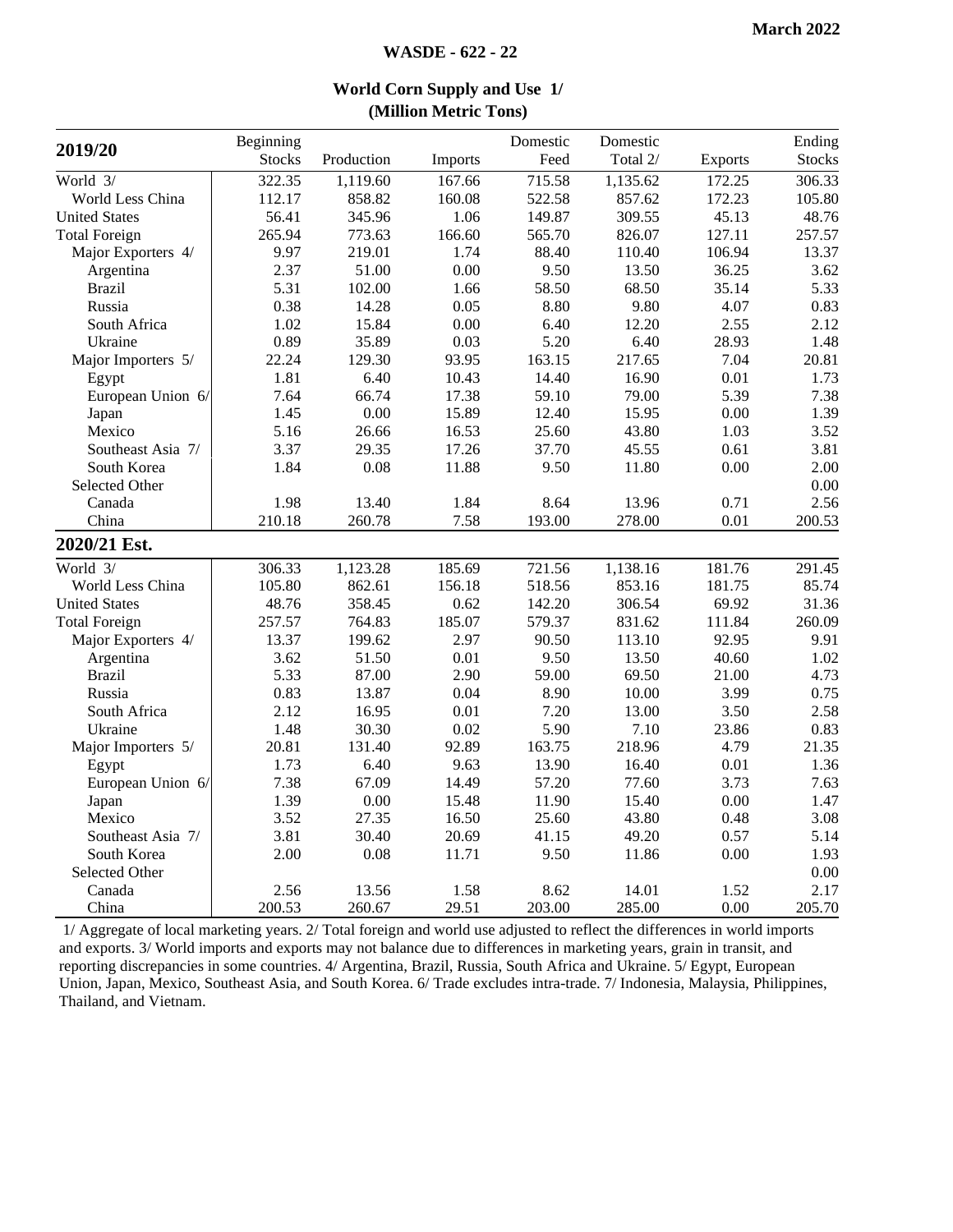| 2019/20              | Beginning     |            |         | Domestic | Domestic |                | Ending        |
|----------------------|---------------|------------|---------|----------|----------|----------------|---------------|
|                      | <b>Stocks</b> | Production | Imports | Feed     | Total 2/ | <b>Exports</b> | <b>Stocks</b> |
| World 3/             | 322.35        | 1,119.60   | 167.66  | 715.58   | 1,135.62 | 172.25         | 306.33        |
| World Less China     | 112.17        | 858.82     | 160.08  | 522.58   | 857.62   | 172.23         | 105.80        |
| <b>United States</b> | 56.41         | 345.96     | 1.06    | 149.87   | 309.55   | 45.13          | 48.76         |
| <b>Total Foreign</b> | 265.94        | 773.63     | 166.60  | 565.70   | 826.07   | 127.11         | 257.57        |
| Major Exporters 4/   | 9.97          | 219.01     | 1.74    | 88.40    | 110.40   | 106.94         | 13.37         |
| Argentina            | 2.37          | 51.00      | 0.00    | 9.50     | 13.50    | 36.25          | 3.62          |
| <b>Brazil</b>        | 5.31          | 102.00     | 1.66    | 58.50    | 68.50    | 35.14          | 5.33          |
| Russia               | 0.38          | 14.28      | 0.05    | 8.80     | 9.80     | 4.07           | 0.83          |
| South Africa         | 1.02          | 15.84      | 0.00    | 6.40     | 12.20    | 2.55           | 2.12          |
| Ukraine              | 0.89          | 35.89      | 0.03    | 5.20     | 6.40     | 28.93          | 1.48          |
| Major Importers 5/   | 22.24         | 129.30     | 93.95   | 163.15   | 217.65   | 7.04           | 20.81         |
| Egypt                | 1.81          | 6.40       | 10.43   | 14.40    | 16.90    | 0.01           | 1.73          |
| European Union 6/    | 7.64          | 66.74      | 17.38   | 59.10    | 79.00    | 5.39           | 7.38          |
| Japan                | 1.45          | 0.00       | 15.89   | 12.40    | 15.95    | 0.00           | 1.39          |
| Mexico               | 5.16          | 26.66      | 16.53   | 25.60    | 43.80    | 1.03           | 3.52          |
| Southeast Asia 7/    | 3.37          | 29.35      | 17.26   | 37.70    | 45.55    | 0.61           | 3.81          |
| South Korea          | 1.84          | 0.08       | 11.88   | 9.50     | 11.80    | 0.00           | 2.00          |
| Selected Other       |               |            |         |          |          |                | 0.00          |
| Canada               | 1.98          | 13.40      | 1.84    | 8.64     | 13.96    | 0.71           | 2.56          |
| China                | 210.18        | 260.78     | 7.58    | 193.00   | 278.00   | 0.01           | 200.53        |
| 2020/21 Est.         |               |            |         |          |          |                |               |
| World 3/             | 306.33        | 1,123.28   | 185.69  | 721.56   | 1,138.16 | 181.76         | 291.45        |
| World Less China     | 105.80        | 862.61     | 156.18  | 518.56   | 853.16   | 181.75         | 85.74         |
| <b>United States</b> | 48.76         | 358.45     | 0.62    | 142.20   | 306.54   | 69.92          | 31.36         |
| <b>Total Foreign</b> | 257.57        | 764.83     | 185.07  | 579.37   | 831.62   | 111.84         | 260.09        |
| Major Exporters 4/   | 13.37         | 199.62     | 2.97    | 90.50    | 113.10   | 92.95          | 9.91          |
| Argentina            | 3.62          | 51.50      | 0.01    | 9.50     | 13.50    | 40.60          | 1.02          |
| <b>Brazil</b>        | 5.33          | 87.00      | 2.90    | 59.00    | 69.50    | 21.00          | 4.73          |
| Russia               | 0.83          | 13.87      | 0.04    | 8.90     | 10.00    | 3.99           | 0.75          |
| South Africa         | 2.12          | 16.95      | 0.01    | 7.20     | 13.00    | 3.50           | 2.58          |
| Ukraine              | 1.48          | 30.30      | 0.02    | 5.90     | 7.10     | 23.86          | 0.83          |
| Major Importers 5/   | 20.81         | 131.40     | 92.89   | 163.75   | 218.96   | 4.79           | 21.35         |
| Egypt                | 1.73          | 6.40       | 9.63    | 13.90    | 16.40    | 0.01           | 1.36          |
| European Union 6/    | 7.38          | 67.09      | 14.49   | 57.20    | 77.60    | 3.73           | 7.63          |
| Japan                | 1.39          | 0.00       | 15.48   | 11.90    | 15.40    | 0.00           | 1.47          |
| Mexico               | 3.52          | 27.35      | 16.50   | 25.60    | 43.80    | 0.48           | 3.08          |
| Southeast Asia 7/    | 3.81          | 30.40      | 20.69   | 41.15    | 49.20    | 0.57           | 5.14          |
| South Korea          | 2.00          | 0.08       | 11.71   | 9.50     | 11.86    | 0.00           | 1.93          |
| Selected Other       |               |            |         |          |          |                | 0.00          |
| Canada               | 2.56          | 13.56      | 1.58    | 8.62     | 14.01    | 1.52           | 2.17          |
| China                | 200.53        | 260.67     | 29.51   | 203.00   | 285.00   | $0.00\,$       | 205.70        |

#### **World Corn Supply and Use 1/ (Million Metric Tons)**

1/ Aggregate of local marketing years. 2/ Total foreign and world use adjusted to reflect the differences in world imports and exports. 3/ World imports and exports may not balance due to differences in marketing years, grain in transit, and reporting discrepancies in some countries. 4/ Argentina, Brazil, Russia, South Africa and Ukraine. 5/ Egypt, European Union, Japan, Mexico, Southeast Asia, and South Korea. 6/ Trade excludes intra-trade. 7/ Indonesia, Malaysia, Philippines, Thailand, and Vietnam.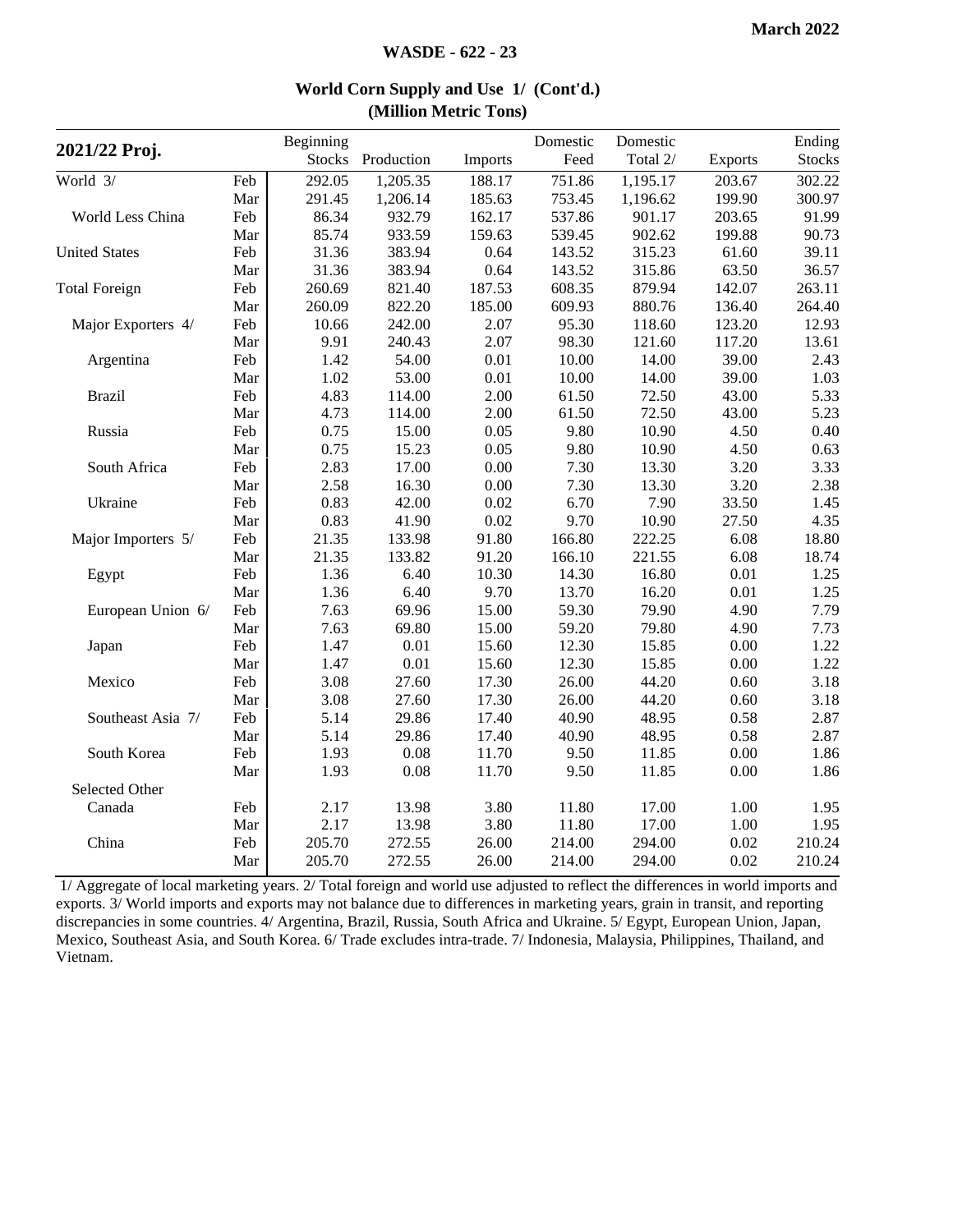|                      |     | Beginning     |            |         | Domestic | Domestic |                | Ending        |
|----------------------|-----|---------------|------------|---------|----------|----------|----------------|---------------|
| 2021/22 Proj.        |     | <b>Stocks</b> | Production | Imports | Feed     | Total 2/ | <b>Exports</b> | <b>Stocks</b> |
| World 3/             | Feb | 292.05        | 1,205.35   | 188.17  | 751.86   | 1,195.17 | 203.67         | 302.22        |
|                      | Mar | 291.45        | 1,206.14   | 185.63  | 753.45   | 1,196.62 | 199.90         | 300.97        |
| World Less China     | Feb | 86.34         | 932.79     | 162.17  | 537.86   | 901.17   | 203.65         | 91.99         |
|                      | Mar | 85.74         | 933.59     | 159.63  | 539.45   | 902.62   | 199.88         | 90.73         |
| <b>United States</b> | Feb | 31.36         | 383.94     | 0.64    | 143.52   | 315.23   | 61.60          | 39.11         |
|                      | Mar | 31.36         | 383.94     | 0.64    | 143.52   | 315.86   | 63.50          | 36.57         |
| <b>Total Foreign</b> | Feb | 260.69        | 821.40     | 187.53  | 608.35   | 879.94   | 142.07         | 263.11        |
|                      | Mar | 260.09        | 822.20     | 185.00  | 609.93   | 880.76   | 136.40         | 264.40        |
| Major Exporters 4/   | Feb | 10.66         | 242.00     | 2.07    | 95.30    | 118.60   | 123.20         | 12.93         |
|                      | Mar | 9.91          | 240.43     | 2.07    | 98.30    | 121.60   | 117.20         | 13.61         |
| Argentina            | Feb | 1.42          | 54.00      | 0.01    | 10.00    | 14.00    | 39.00          | 2.43          |
|                      | Mar | 1.02          | 53.00      | 0.01    | 10.00    | 14.00    | 39.00          | 1.03          |
| <b>Brazil</b>        | Feb | 4.83          | 114.00     | 2.00    | 61.50    | 72.50    | 43.00          | 5.33          |
|                      | Mar | 4.73          | 114.00     | 2.00    | 61.50    | 72.50    | 43.00          | 5.23          |
| Russia               | Feb | 0.75          | 15.00      | 0.05    | 9.80     | 10.90    | 4.50           | 0.40          |
|                      | Mar | 0.75          | 15.23      | 0.05    | 9.80     | 10.90    | 4.50           | 0.63          |
| South Africa         | Feb | 2.83          | 17.00      | 0.00    | 7.30     | 13.30    | 3.20           | 3.33          |
|                      | Mar | 2.58          | 16.30      | 0.00    | 7.30     | 13.30    | 3.20           | 2.38          |
| Ukraine              | Feb | 0.83          | 42.00      | 0.02    | 6.70     | 7.90     | 33.50          | 1.45          |
|                      | Mar | 0.83          | 41.90      | 0.02    | 9.70     | 10.90    | 27.50          | 4.35          |
| Major Importers 5/   | Feb | 21.35         | 133.98     | 91.80   | 166.80   | 222.25   | 6.08           | 18.80         |
|                      | Mar | 21.35         | 133.82     | 91.20   | 166.10   | 221.55   | 6.08           | 18.74         |
| Egypt                | Feb | 1.36          | 6.40       | 10.30   | 14.30    | 16.80    | 0.01           | 1.25          |
|                      | Mar | 1.36          | 6.40       | 9.70    | 13.70    | 16.20    | 0.01           | 1.25          |
| European Union 6/    | Feb | 7.63          | 69.96      | 15.00   | 59.30    | 79.90    | 4.90           | 7.79          |
|                      | Mar | 7.63          | 69.80      | 15.00   | 59.20    | 79.80    | 4.90           | 7.73          |
| Japan                | Feb | 1.47          | 0.01       | 15.60   | 12.30    | 15.85    | 0.00           | 1.22          |
|                      | Mar | 1.47          | 0.01       | 15.60   | 12.30    | 15.85    | 0.00           | 1.22          |
| Mexico               | Feb | 3.08          | 27.60      | 17.30   | 26.00    | 44.20    | 0.60           | 3.18          |
|                      | Mar | 3.08          | 27.60      | 17.30   | 26.00    | 44.20    | 0.60           | 3.18          |
| Southeast Asia 7/    | Feb | 5.14          | 29.86      | 17.40   | 40.90    | 48.95    | 0.58           | 2.87          |
|                      | Mar | 5.14          | 29.86      | 17.40   | 40.90    | 48.95    | 0.58           | 2.87          |
| South Korea          | Feb | 1.93          | 0.08       | 11.70   | 9.50     | 11.85    | 0.00           | 1.86          |
|                      | Mar | 1.93          | 0.08       | 11.70   | 9.50     | 11.85    | 0.00           | 1.86          |
| Selected Other       |     |               |            |         |          |          |                |               |
| Canada               | Feb | 2.17          | 13.98      | 3.80    | 11.80    | 17.00    | 1.00           | 1.95          |
|                      | Mar | 2.17          | 13.98      | 3.80    | 11.80    | 17.00    | 1.00           | 1.95          |
| China                | Feb | 205.70        | 272.55     | 26.00   | 214.00   | 294.00   | 0.02           | 210.24        |
|                      | Mar | 205.70        | 272.55     | 26.00   | 214.00   | 294.00   | 0.02           | 210.24        |

#### **World Corn Supply and Use 1/ (Cont'd.) (Million Metric Tons)**

1/ Aggregate of local marketing years. 2/ Total foreign and world use adjusted to reflect the differences in world imports and exports. 3/ World imports and exports may not balance due to differences in marketing years, grain in transit, and reporting discrepancies in some countries. 4/ Argentina, Brazil, Russia, South Africa and Ukraine. 5/ Egypt, European Union, Japan, Mexico, Southeast Asia, and South Korea. 6/ Trade excludes intra-trade. 7/ Indonesia, Malaysia, Philippines, Thailand, and Vietnam.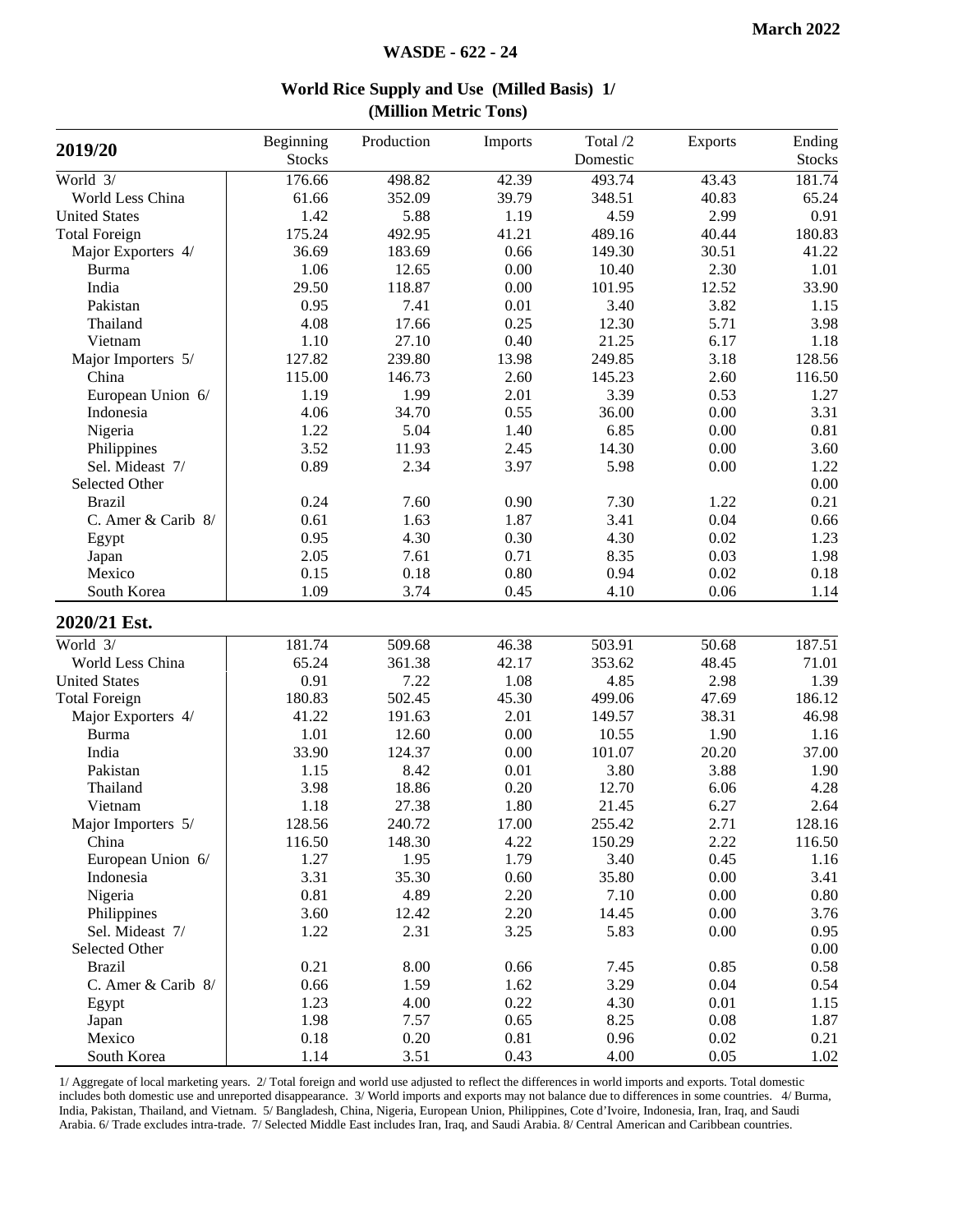| 2019/20                     | Beginning<br><b>Stocks</b> | Production | Imports            | Total /2<br>Domestic | Exports | Ending<br><b>Stocks</b> |
|-----------------------------|----------------------------|------------|--------------------|----------------------|---------|-------------------------|
| World 3/                    | 176.66                     | 498.82     | $\overline{42.39}$ | 493.74               | 43.43   | 181.74                  |
| World Less China            | 61.66                      | 352.09     | 39.79              | 348.51               | 40.83   | 65.24                   |
| <b>United States</b>        | 1.42                       | 5.88       | 1.19               | 4.59                 | 2.99    | 0.91                    |
| <b>Total Foreign</b>        | 175.24                     | 492.95     | 41.21              | 489.16               | 40.44   | 180.83                  |
|                             | 36.69                      | 183.69     | 0.66               | 149.30               | 30.51   |                         |
| Major Exporters 4/<br>Burma | 1.06                       | 12.65      | $0.00\,$           | 10.40                | 2.30    | 41.22<br>1.01           |
| India                       | 29.50                      | 118.87     | 0.00               | 101.95               | 12.52   | 33.90                   |
| Pakistan                    | 0.95                       | 7.41       | $0.01\,$           | 3.40                 | 3.82    |                         |
|                             |                            |            | 0.25               |                      | 5.71    | 1.15                    |
| Thailand                    | 4.08                       | 17.66      |                    | 12.30                |         | 3.98                    |
| Vietnam                     | 1.10                       | 27.10      | 0.40               | 21.25                | 6.17    | 1.18                    |
| Major Importers 5/          | 127.82                     | 239.80     | 13.98              | 249.85               | 3.18    | 128.56                  |
| China                       | 115.00                     | 146.73     | 2.60               | 145.23               | 2.60    | 116.50                  |
| European Union 6/           | 1.19                       | 1.99       | 2.01               | 3.39                 | 0.53    | 1.27                    |
| Indonesia                   | 4.06                       | 34.70      | 0.55               | 36.00                | 0.00    | 3.31                    |
| Nigeria                     | 1.22                       | 5.04       | 1.40               | 6.85                 | 0.00    | 0.81                    |
| Philippines                 | 3.52                       | 11.93      | 2.45               | 14.30                | 0.00    | 3.60                    |
| Sel. Mideast 7/             | 0.89                       | 2.34       | 3.97               | 5.98                 | 0.00    | 1.22                    |
| Selected Other              |                            |            |                    |                      |         | 0.00                    |
| <b>Brazil</b>               | 0.24                       | 7.60       | 0.90               | 7.30                 | 1.22    | 0.21                    |
| C. Amer & Carib 8/          | 0.61                       | 1.63       | 1.87               | 3.41                 | 0.04    | 0.66                    |
| Egypt                       | 0.95                       | 4.30       | 0.30               | 4.30                 | 0.02    | 1.23                    |
| Japan                       | 2.05                       | 7.61       | 0.71               | 8.35                 | 0.03    | 1.98                    |
| Mexico                      | 0.15                       | 0.18       | 0.80               | 0.94                 | 0.02    | 0.18                    |
| South Korea                 | 1.09                       | 3.74       | 0.45               | 4.10                 | 0.06    | 1.14                    |
| 2020/21 Est.                |                            |            |                    |                      |         |                         |
| World 3/                    | 181.74                     | 509.68     | 46.38              | 503.91               | 50.68   | 187.51                  |
| World Less China            | 65.24                      | 361.38     | 42.17              | 353.62               | 48.45   | 71.01                   |
| <b>United States</b>        | 0.91                       | 7.22       | 1.08               | 4.85                 | 2.98    | 1.39                    |
| <b>Total Foreign</b>        | 180.83                     | 502.45     | 45.30              | 499.06               | 47.69   | 186.12                  |
| Major Exporters 4/          | 41.22                      | 191.63     | 2.01               | 149.57               | 38.31   | 46.98                   |
| <b>Burma</b>                | 1.01                       | 12.60      | 0.00               | 10.55                | 1.90    | 1.16                    |
| India                       | 33.90                      | 124.37     | 0.00               | 101.07               | 20.20   | 37.00                   |
| Pakistan                    | 1.15                       | 8.42       | 0.01               | 3.80                 | 3.88    | 1.90                    |
| Thailand                    | 3.98                       | 18.86      | 0.20               | 12.70                | 6.06    | 4.28                    |
| Vietnam                     | 1.18                       | 27.38      | 1.80               | 21.45                | 6.27    | 2.64                    |
| Major Importers 5/          | 128.56                     | 240.72     | 17.00              | 255.42               | 2.71    | 128.16                  |
| China                       | 116.50                     | 148.30     | 4.22               | 150.29               | 2.22    | 116.50                  |
| European Union 6/           | 1.27                       | 1.95       | 1.79               | 3.40                 | 0.45    | 1.16                    |
| Indonesia                   | 3.31                       | 35.30      | 0.60               | 35.80                | 0.00    | 3.41                    |
| Nigeria                     | 0.81                       | 4.89       | 2.20               | 7.10                 | 0.00    | 0.80                    |
| Philippines                 | 3.60                       | 12.42      | 2.20               | 14.45                | 0.00    | 3.76                    |
| Sel. Mideast 7/             | 1.22                       | 2.31       | 3.25               | 5.83                 | 0.00    | 0.95                    |
| Selected Other              |                            |            |                    |                      |         | 0.00                    |
| <b>Brazil</b>               | 0.21                       | 8.00       | 0.66               | 7.45                 | 0.85    | 0.58                    |
| C. Amer & Carib 8/          | 0.66                       | 1.59       | 1.62               | 3.29                 | 0.04    | 0.54                    |
| Egypt                       | 1.23                       | 4.00       | 0.22               | 4.30                 | 0.01    | 1.15                    |
| Japan                       | 1.98                       | 7.57       | 0.65               | 8.25                 | 0.08    | 1.87                    |
| Mexico                      | 0.18                       | 0.20       | 0.81               | 0.96                 | 0.02    | 0.21                    |
| South Korea                 | 1.14                       | 3.51       | 0.43               | 4.00                 | 0.05    | 1.02                    |
|                             |                            |            |                    |                      |         |                         |

**World Rice Supply and Use (Milled Basis) 1/ (Million Metric Tons)**

1/ Aggregate of local marketing years. 2/ Total foreign and world use adjusted to reflect the differences in world imports and exports. Total domestic includes both domestic use and unreported disappearance. 3/ World imports and exports may not balance due to differences in some countries. 4/ Burma, India, Pakistan, Thailand, and Vietnam. 5/ Bangladesh, China, Nigeria, European Union, Philippines, Cote d'Ivoire, Indonesia, Iran, Iraq, and Saudi Arabia. 6/ Trade excludes intra-trade. 7/ Selected Middle East includes Iran, Iraq, and Saudi Arabia. 8/ Central American and Caribbean countries.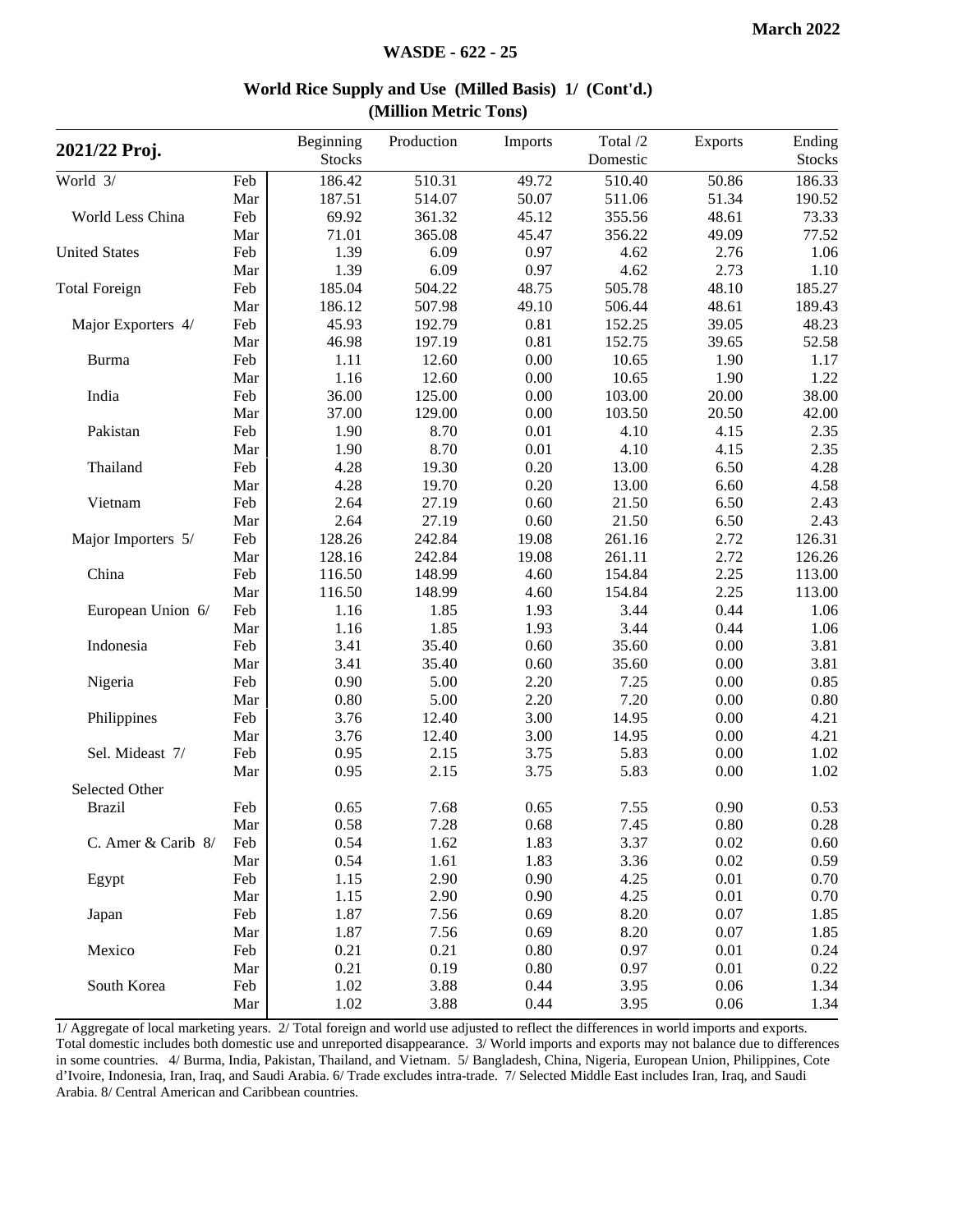| 2021/22 Proj.        |     | Beginning<br><b>Stocks</b> | Production | Imports | Total /2<br>Domestic | Exports | Ending<br><b>Stocks</b> |
|----------------------|-----|----------------------------|------------|---------|----------------------|---------|-------------------------|
| World 3/             | Feb | 186.42                     | 510.31     | 49.72   | 510.40               | 50.86   | 186.33                  |
|                      | Mar | 187.51                     | 514.07     | 50.07   | 511.06               | 51.34   | 190.52                  |
| World Less China     | Feb | 69.92                      | 361.32     | 45.12   | 355.56               | 48.61   | 73.33                   |
|                      | Mar | 71.01                      | 365.08     | 45.47   | 356.22               | 49.09   | 77.52                   |
| <b>United States</b> | Feb | 1.39                       | 6.09       | 0.97    | 4.62                 | 2.76    | 1.06                    |
|                      | Mar | 1.39                       | 6.09       | 0.97    | 4.62                 | 2.73    | 1.10                    |
| <b>Total Foreign</b> | Feb | 185.04                     | 504.22     | 48.75   | 505.78               | 48.10   | 185.27                  |
|                      | Mar | 186.12                     | 507.98     | 49.10   | 506.44               | 48.61   | 189.43                  |
| Major Exporters 4/   | Feb | 45.93                      | 192.79     | 0.81    | 152.25               | 39.05   | 48.23                   |
|                      | Mar | 46.98                      | 197.19     | 0.81    | 152.75               | 39.65   | 52.58                   |
| <b>Burma</b>         | Feb | 1.11                       | 12.60      | 0.00    | 10.65                | 1.90    | 1.17                    |
|                      | Mar | 1.16                       | 12.60      | 0.00    | 10.65                | 1.90    | 1.22                    |
| India                | Feb | 36.00                      | 125.00     | 0.00    | 103.00               | 20.00   | 38.00                   |
|                      | Mar | 37.00                      | 129.00     | 0.00    | 103.50               | 20.50   | 42.00                   |
| Pakistan             | Feb | 1.90                       | 8.70       | 0.01    | 4.10                 | 4.15    | 2.35                    |
|                      | Mar | 1.90                       | 8.70       | 0.01    | 4.10                 | 4.15    | 2.35                    |
| Thailand             | Feb | 4.28                       | 19.30      | 0.20    | 13.00                | 6.50    | 4.28                    |
|                      | Mar | 4.28                       | 19.70      | 0.20    | 13.00                | 6.60    | 4.58                    |
| Vietnam              | Feb | 2.64                       | 27.19      | 0.60    | 21.50                | 6.50    | 2.43                    |
|                      | Mar | 2.64                       | 27.19      | 0.60    | 21.50                | 6.50    | 2.43                    |
| Major Importers 5/   | Feb | 128.26                     | 242.84     | 19.08   | 261.16               | 2.72    | 126.31                  |
|                      | Mar | 128.16                     | 242.84     | 19.08   | 261.11               | 2.72    | 126.26                  |
| China                | Feb | 116.50                     | 148.99     | 4.60    | 154.84               | 2.25    | 113.00                  |
|                      | Mar | 116.50                     | 148.99     | 4.60    | 154.84               | 2.25    | 113.00                  |
| European Union 6/    | Feb | 1.16                       | 1.85       | 1.93    | 3.44                 | 0.44    | 1.06                    |
|                      | Mar | 1.16                       | 1.85       | 1.93    | 3.44                 | 0.44    | 1.06                    |
| Indonesia            | Feb | 3.41                       | 35.40      | 0.60    | 35.60                | 0.00    | 3.81                    |
|                      | Mar | 3.41                       | 35.40      | 0.60    | 35.60                | 0.00    | 3.81                    |
| Nigeria              | Feb | 0.90                       | 5.00       | 2.20    | 7.25                 | 0.00    | 0.85                    |
|                      | Mar | 0.80                       | 5.00       | 2.20    | 7.20                 | 0.00    | 0.80                    |
| Philippines          | Feb | 3.76                       | 12.40      | 3.00    | 14.95                | 0.00    | 4.21                    |
|                      | Mar | 3.76                       | 12.40      | 3.00    | 14.95                | 0.00    | 4.21                    |
| Sel. Mideast 7/      | Feb | 0.95                       | 2.15       | 3.75    | 5.83                 | 0.00    | 1.02                    |
|                      | Mar | 0.95                       | 2.15       | 3.75    | 5.83                 | 0.00    | 1.02                    |
| Selected Other       |     |                            |            |         |                      |         |                         |
| <b>Brazil</b>        | Feb | 0.65                       | 7.68       | 0.65    | 7.55                 | 0.90    | 0.53                    |
|                      | Mar | 0.58                       | 7.28       | 0.68    | 7.45                 | 0.80    | 0.28                    |
| C. Amer & Carib 8/   | Feb | 0.54                       | 1.62       | 1.83    | 3.37                 | 0.02    | 0.60                    |
|                      | Mar | 0.54                       | 1.61       | 1.83    | 3.36                 | 0.02    | 0.59                    |
| Egypt                | Feb | 1.15                       | 2.90       | 0.90    | 4.25                 | 0.01    | 0.70                    |
|                      | Mar | 1.15                       | 2.90       | 0.90    | 4.25                 | 0.01    | 0.70                    |
| Japan                | Feb | 1.87                       | 7.56       | 0.69    | 8.20                 | 0.07    | 1.85                    |
|                      | Mar | 1.87                       | 7.56       | 0.69    | 8.20                 | 0.07    | 1.85                    |
| Mexico               | Feb | 0.21                       | 0.21       | 0.80    | 0.97                 | 0.01    | 0.24                    |
|                      | Mar | 0.21                       | 0.19       | 0.80    | 0.97                 | 0.01    | 0.22                    |
| South Korea          | Feb | 1.02                       | 3.88       | 0.44    | 3.95                 | 0.06    | 1.34                    |
|                      | Mar | 1.02                       | 3.88       | 0.44    | 3.95                 | 0.06    | 1.34                    |

#### **World Rice Supply and Use (Milled Basis) 1/ (Cont'd.) (Million Metric Tons)**

1/ Aggregate of local marketing years. 2/ Total foreign and world use adjusted to reflect the differences in world imports and exports. Total domestic includes both domestic use and unreported disappearance. 3/ World imports and exports may not balance due to differences in some countries. 4/ Burma, India, Pakistan, Thailand, and Vietnam. 5/ Bangladesh, China, Nigeria, European Union, Philippines, Cote d'Ivoire, Indonesia, Iran, Iraq, and Saudi Arabia. 6/ Trade excludes intra-trade. 7/ Selected Middle East includes Iran, Iraq, and Saudi Arabia. 8/ Central American and Caribbean countries.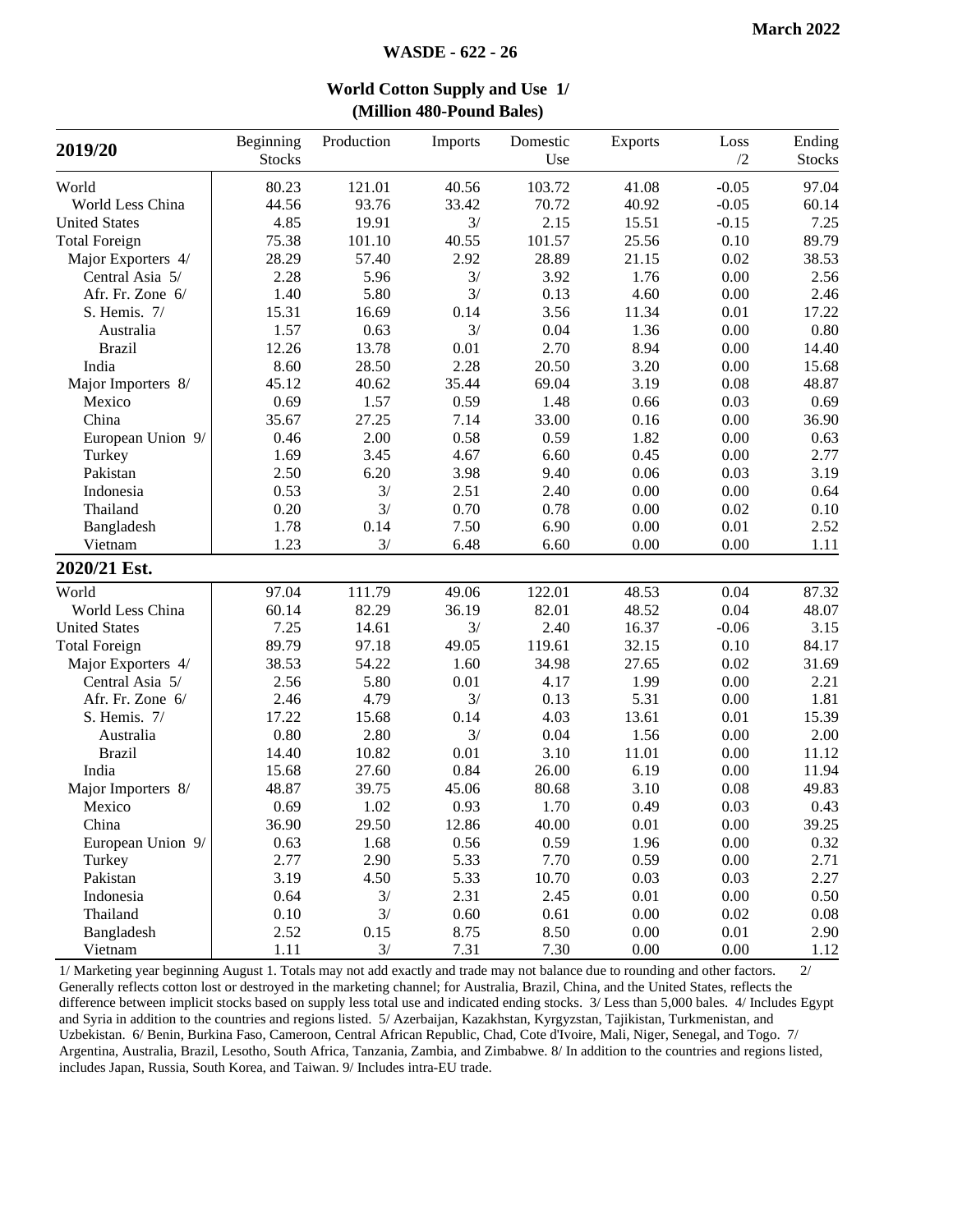|                      |                            |            | $(1)$ minon $100$ I band $D$ anc $5$ |                 |          |            |                         |
|----------------------|----------------------------|------------|--------------------------------------|-----------------|----------|------------|-------------------------|
| 2019/20              | Beginning<br><b>Stocks</b> | Production | Imports                              | Domestic<br>Use | Exports  | Loss<br>/2 | Ending<br><b>Stocks</b> |
| World                | 80.23                      | 121.01     | 40.56                                | 103.72          | 41.08    | $-0.05$    | 97.04                   |
| World Less China     | 44.56                      | 93.76      | 33.42                                | 70.72           | 40.92    | $-0.05$    | 60.14                   |
| <b>United States</b> | 4.85                       | 19.91      | 3/                                   | 2.15            | 15.51    | $-0.15$    | 7.25                    |
| <b>Total Foreign</b> | 75.38                      | 101.10     | 40.55                                | 101.57          | 25.56    | 0.10       | 89.79                   |
| Major Exporters 4/   | 28.29                      | 57.40      | 2.92                                 | 28.89           | 21.15    | 0.02       | 38.53                   |
| Central Asia 5/      | 2.28                       | 5.96       | 3/                                   | 3.92            | 1.76     | 0.00       | 2.56                    |
| Afr. Fr. Zone 6/     | 1.40                       | 5.80       | 3/                                   | 0.13            | 4.60     | 0.00       | 2.46                    |
| S. Hemis. 7/         | 15.31                      | 16.69      | 0.14                                 | 3.56            | 11.34    | 0.01       | 17.22                   |
| Australia            | 1.57                       | 0.63       | 3/                                   | 0.04            | 1.36     | 0.00       | 0.80                    |
| <b>Brazil</b>        | 12.26                      | 13.78      | 0.01                                 | 2.70            | 8.94     | 0.00       | 14.40                   |
| India                | 8.60                       | 28.50      | 2.28                                 | 20.50           | 3.20     | 0.00       | 15.68                   |
| Major Importers 8/   | 45.12                      | 40.62      | 35.44                                | 69.04           | 3.19     | 0.08       | 48.87                   |
| Mexico               | 0.69                       | 1.57       | 0.59                                 | 1.48            | 0.66     | 0.03       | 0.69                    |
| China                | 35.67                      | 27.25      | 7.14                                 | 33.00           | 0.16     | 0.00       | 36.90                   |
| European Union 9/    | 0.46                       | 2.00       | 0.58                                 | 0.59            | 1.82     | 0.00       | 0.63                    |
| Turkey               | 1.69                       | 3.45       | 4.67                                 | 6.60            | 0.45     | 0.00       | 2.77                    |
| Pakistan             | 2.50                       | 6.20       | 3.98                                 | 9.40            | 0.06     | 0.03       | 3.19                    |
| Indonesia            | 0.53                       | 3/         | 2.51                                 | 2.40            | 0.00     | 0.00       | 0.64                    |
| Thailand             | 0.20                       | 3/         | 0.70                                 | 0.78            | 0.00     | 0.02       | 0.10                    |
| Bangladesh           | 1.78                       | 0.14       | 7.50                                 | 6.90            | 0.00     | 0.01       | 2.52                    |
| Vietnam              | 1.23                       | 3/         | 6.48                                 | 6.60            | 0.00     | 0.00       | 1.11                    |
| 2020/21 Est.         |                            |            |                                      |                 |          |            |                         |
| World                | 97.04                      | 111.79     | 49.06                                | 122.01          | 48.53    | 0.04       | 87.32                   |
| World Less China     | 60.14                      | 82.29      | 36.19                                | 82.01           | 48.52    | 0.04       | 48.07                   |
| <b>United States</b> | 7.25                       | 14.61      | 3/                                   | 2.40            | 16.37    | $-0.06$    | 3.15                    |
| <b>Total Foreign</b> | 89.79                      | 97.18      | 49.05                                | 119.61          | 32.15    | 0.10       | 84.17                   |
| Major Exporters 4/   | 38.53                      | 54.22      | 1.60                                 | 34.98           | 27.65    | 0.02       | 31.69                   |
| Central Asia 5/      | 2.56                       | 5.80       | 0.01                                 | 4.17            | 1.99     | 0.00       | 2.21                    |
| Afr. Fr. Zone 6/     | 2.46                       | 4.79       | 3/                                   | 0.13            | 5.31     | 0.00       | 1.81                    |
| S. Hemis. 7/         | 17.22                      | 15.68      | 0.14                                 | 4.03            | 13.61    | 0.01       | 15.39                   |
| Australia            | 0.80                       | 2.80       | 3/                                   | 0.04            | 1.56     | 0.00       | 2.00                    |
| <b>Brazil</b>        | 14.40                      | 10.82      | 0.01                                 | 3.10            | 11.01    | 0.00       | 11.12                   |
| India                | 15.68                      | 27.60      | 0.84                                 | 26.00           | 6.19     | 0.00       | 11.94                   |
| Major Importers 8/   | 48.87                      | 39.75      | 45.06                                | 80.68           | 3.10     | 0.08       | 49.83                   |
| Mexico               | 0.69                       | 1.02       | 0.93                                 | 1.70            | 0.49     | 0.03       | 0.43                    |
| China                | 36.90                      | 29.50      | 12.86                                | 40.00           | 0.01     | $0.00\,$   | 39.25                   |
| European Union 9/    | 0.63                       | 1.68       | 0.56                                 | 0.59            | 1.96     | 0.00       | 0.32                    |
| Turkey               | 2.77                       | 2.90       | 5.33                                 | 7.70            | 0.59     | 0.00       | 2.71                    |
| Pakistan             | 3.19                       | 4.50       | 5.33                                 | 10.70           | 0.03     | 0.03       | 2.27                    |
| Indonesia            | 0.64                       | 3/         | 2.31                                 | 2.45            | 0.01     | 0.00       | 0.50                    |
| Thailand             | 0.10                       | 3/         | 0.60                                 | 0.61            | 0.00     | 0.02       | 0.08                    |
| Bangladesh           | 2.52                       | 0.15       | 8.75                                 | 8.50            | $0.00\,$ | 0.01       | 2.90                    |
| Vietnam              | 1.11                       | 3/         | 7.31                                 | 7.30            | 0.00     | 0.00       | 1.12                    |

**World Cotton Supply and Use 1/ (Million 480-Pound Bales)**

1/ Marketing year beginning August 1. Totals may not add exactly and trade may not balance due to rounding and other factors. 2/ Generally reflects cotton lost or destroyed in the marketing channel; for Australia, Brazil, China, and the United States, reflects the difference between implicit stocks based on supply less total use and indicated ending stocks. 3/ Less than 5,000 bales. 4/ Includes Egypt and Syria in addition to the countries and regions listed. 5/ Azerbaijan, Kazakhstan, Kyrgyzstan, Tajikistan, Turkmenistan, and Uzbekistan. 6/ Benin, Burkina Faso, Cameroon, Central African Republic, Chad, Cote d'Ivoire, Mali, Niger, Senegal, and Togo. 7/ Argentina, Australia, Brazil, Lesotho, South Africa, Tanzania, Zambia, and Zimbabwe. 8/ In addition to the countries and regions listed, includes Japan, Russia, South Korea, and Taiwan. 9/ Includes intra-EU trade.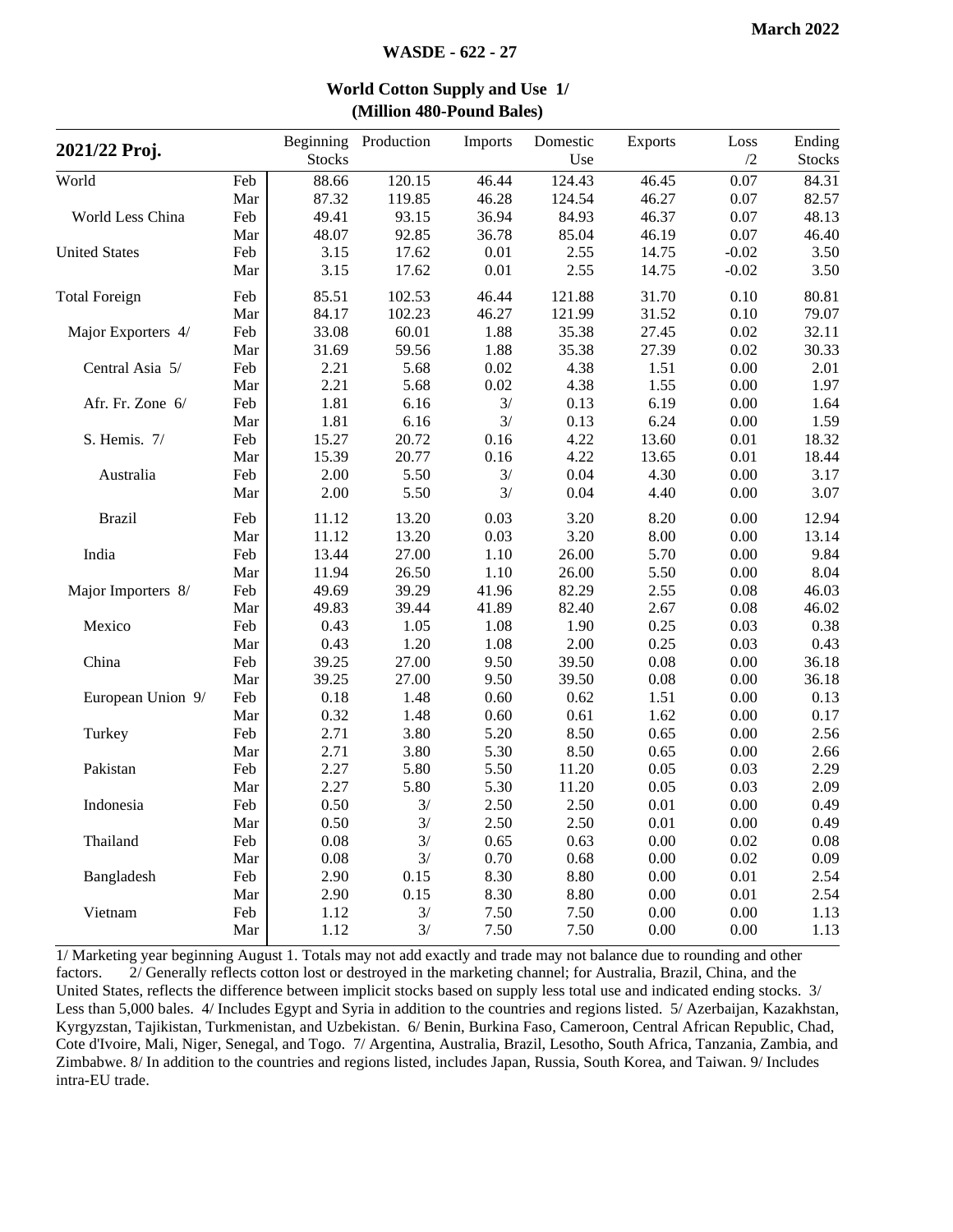| 2021/22 Proj.        |     | <b>Stocks</b> | Beginning Production | Imports | Domestic<br>Use | <b>Exports</b> | Loss<br>/2 | Ending<br><b>Stocks</b> |
|----------------------|-----|---------------|----------------------|---------|-----------------|----------------|------------|-------------------------|
| World                | Feb | 88.66         | 120.15               | 46.44   | 124.43          | 46.45          | 0.07       | 84.31                   |
|                      | Mar | 87.32         | 119.85               | 46.28   | 124.54          | 46.27          | 0.07       | 82.57                   |
| World Less China     | Feb | 49.41         | 93.15                | 36.94   | 84.93           | 46.37          | 0.07       | 48.13                   |
|                      | Mar | 48.07         | 92.85                | 36.78   | 85.04           | 46.19          | 0.07       | 46.40                   |
| <b>United States</b> | Feb | 3.15          | 17.62                | 0.01    | 2.55            | 14.75          | $-0.02$    | 3.50                    |
|                      | Mar | 3.15          | 17.62                | 0.01    | 2.55            | 14.75          | $-0.02$    | 3.50                    |
| <b>Total Foreign</b> | Feb | 85.51         | 102.53               | 46.44   | 121.88          | 31.70          | 0.10       | 80.81                   |
|                      | Mar | 84.17         | 102.23               | 46.27   | 121.99          | 31.52          | 0.10       | 79.07                   |
| Major Exporters 4/   | Feb | 33.08         | 60.01                | 1.88    | 35.38           | 27.45          | 0.02       | 32.11                   |
|                      | Mar | 31.69         | 59.56                | 1.88    | 35.38           | 27.39          | 0.02       | 30.33                   |
| Central Asia 5/      | Feb | 2.21          | 5.68                 | 0.02    | 4.38            | 1.51           | 0.00       | 2.01                    |
|                      | Mar | 2.21          | 5.68                 | 0.02    | 4.38            | 1.55           | 0.00       | 1.97                    |
| Afr. Fr. Zone 6/     | Feb | 1.81          | 6.16                 | 3/      | 0.13            | 6.19           | 0.00       | 1.64                    |
|                      | Mar | 1.81          | 6.16                 | 3/      | 0.13            | 6.24           | 0.00       | 1.59                    |
| S. Hemis. 7/         | Feb | 15.27         | 20.72                | 0.16    | 4.22            | 13.60          | 0.01       | 18.32                   |
|                      | Mar | 15.39         | 20.77                | 0.16    | 4.22            | 13.65          | 0.01       | 18.44                   |
| Australia            | Feb | 2.00          | 5.50                 | 3/      | 0.04            | 4.30           | 0.00       | 3.17                    |
|                      | Mar | 2.00          | 5.50                 | 3/      | 0.04            | 4.40           | 0.00       | 3.07                    |
| <b>Brazil</b>        | Feb | 11.12         | 13.20                | 0.03    | 3.20            | 8.20           | 0.00       | 12.94                   |
|                      | Mar | 11.12         | 13.20                | 0.03    | 3.20            | 8.00           | 0.00       | 13.14                   |
| India                | Feb | 13.44         | 27.00                | 1.10    | 26.00           | 5.70           | 0.00       | 9.84                    |
|                      | Mar | 11.94         | 26.50                | 1.10    | 26.00           | 5.50           | 0.00       | 8.04                    |
| Major Importers 8/   | Feb | 49.69         | 39.29                | 41.96   | 82.29           | 2.55           | 0.08       | 46.03                   |
|                      | Mar | 49.83         | 39.44                | 41.89   | 82.40           | 2.67           | 0.08       | 46.02                   |
| Mexico               | Feb | 0.43          | 1.05                 | 1.08    | 1.90            | 0.25           | 0.03       | 0.38                    |
|                      | Mar | 0.43          | 1.20                 | 1.08    | 2.00            | 0.25           | 0.03       | 0.43                    |
| China                | Feb | 39.25         | 27.00                | 9.50    | 39.50           | 0.08           | 0.00       | 36.18                   |
|                      | Mar | 39.25         | 27.00                | 9.50    | 39.50           | 0.08           | 0.00       | 36.18                   |
| European Union 9/    | Feb | 0.18          | 1.48                 | 0.60    | 0.62            | 1.51           | 0.00       | 0.13                    |
|                      | Mar | 0.32          | 1.48                 | 0.60    | 0.61            | 1.62           | 0.00       | 0.17                    |
| Turkey               | Feb | 2.71          | 3.80                 | 5.20    | 8.50            | 0.65           | 0.00       | 2.56                    |
|                      | Mar | 2.71          | 3.80                 | 5.30    | 8.50            | 0.65           | 0.00       | 2.66                    |
| Pakistan             | Feb | 2.27          | 5.80                 | 5.50    | 11.20           | 0.05           | 0.03       | 2.29                    |
|                      | Mar | 2.27          | 5.80                 | 5.30    | 11.20           | 0.05           | 0.03       | 2.09                    |
| Indonesia            | Feb | 0.50          | 3/                   | 2.50    | 2.50            | 0.01           | 0.00       | 0.49                    |
|                      | Mar | 0.50          | 3/                   | 2.50    | 2.50            | 0.01           | $0.00\,$   | 0.49                    |
| Thailand             | Feb | 0.08          | 3/                   | 0.65    | 0.63            | 0.00           | 0.02       | 0.08                    |
|                      | Mar | 0.08          | 3/                   | 0.70    | 0.68            | 0.00           | 0.02       | 0.09                    |
| Bangladesh           | Feb | 2.90          | 0.15                 | 8.30    | 8.80            | 0.00           | 0.01       | 2.54                    |
|                      | Mar | 2.90          | 0.15                 | 8.30    | 8.80            | 0.00           | 0.01       | 2.54                    |
| Vietnam              | Feb | 1.12          | 3/                   | 7.50    | 7.50            | 0.00           | 0.00       | 1.13                    |
|                      | Mar | 1.12          | 3/                   | 7.50    | 7.50            | 0.00           | 0.00       | 1.13                    |

#### **World Cotton Supply and Use 1/ (Million 480-Pound Bales)**

1/ Marketing year beginning August 1. Totals may not add exactly and trade may not balance due to rounding and other factors. 2/ Generally reflects cotton lost or destroyed in the marketing channel; for Australia, Brazil, China, and the United States, reflects the difference between implicit stocks based on supply less total use and indicated ending stocks. 3/ Less than 5,000 bales. 4/ Includes Egypt and Syria in addition to the countries and regions listed. 5/ Azerbaijan, Kazakhstan, Kyrgyzstan, Tajikistan, Turkmenistan, and Uzbekistan. 6/ Benin, Burkina Faso, Cameroon, Central African Republic, Chad, Cote d'Ivoire, Mali, Niger, Senegal, and Togo. 7/ Argentina, Australia, Brazil, Lesotho, South Africa, Tanzania, Zambia, and Zimbabwe. 8/ In addition to the countries and regions listed, includes Japan, Russia, South Korea, and Taiwan. 9/ Includes intra-EU trade.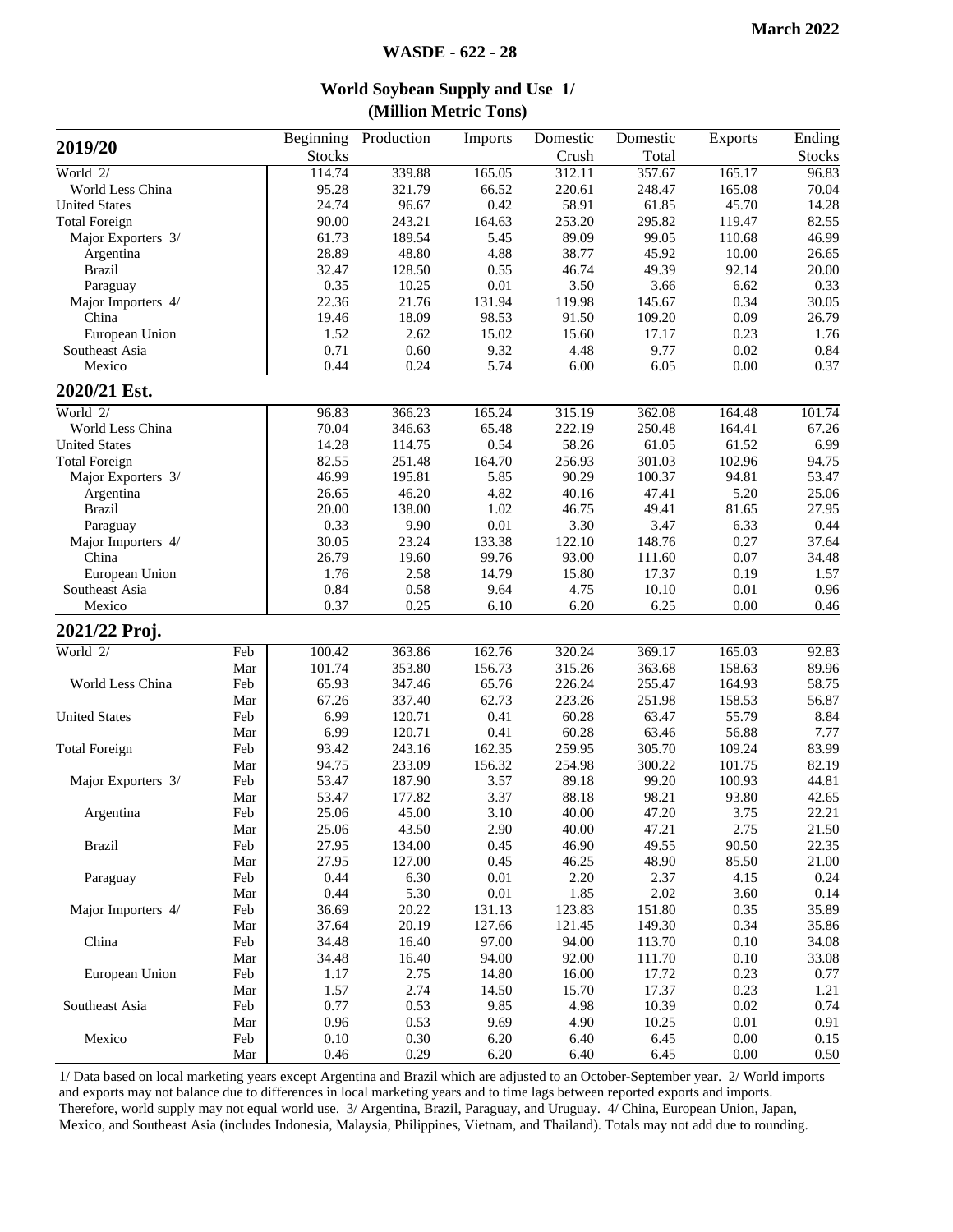**World Soybean Supply and Use 1/**

|                      |     |               |            | (Million Metric Tons) |          |          |                |               |
|----------------------|-----|---------------|------------|-----------------------|----------|----------|----------------|---------------|
| 2019/20              |     | Beginning     | Production | Imports               | Domestic | Domestic | <b>Exports</b> | Ending        |
|                      |     | <b>Stocks</b> |            |                       | Crush    | Total    |                | <b>Stocks</b> |
| World 2/             |     | 114.74        | 339.88     | 165.05                | 312.11   | 357.67   | 165.17         | 96.83         |
| World Less China     |     | 95.28         | 321.79     | 66.52                 | 220.61   | 248.47   | 165.08         | 70.04         |
| <b>United States</b> |     | 24.74         | 96.67      | 0.42                  | 58.91    | 61.85    | 45.70          | 14.28         |
| <b>Total Foreign</b> |     | 90.00         | 243.21     | 164.63                | 253.20   | 295.82   | 119.47         | 82.55         |
| Major Exporters 3/   |     | 61.73         | 189.54     | 5.45                  | 89.09    | 99.05    | 110.68         | 46.99         |
| Argentina            |     | 28.89         | 48.80      | 4.88                  | 38.77    | 45.92    | 10.00          | 26.65         |
| <b>Brazil</b>        |     | 32.47         | 128.50     | 0.55                  | 46.74    | 49.39    | 92.14          | 20.00         |
| Paraguay             |     | 0.35          | 10.25      | $0.01\,$              | 3.50     | 3.66     | 6.62           | 0.33          |
| Major Importers 4/   |     | 22.36         | 21.76      | 131.94                | 119.98   | 145.67   | 0.34           | 30.05         |
| China                |     | 19.46         | 18.09      | 98.53                 | 91.50    | 109.20   | 0.09           | 26.79         |
| European Union       |     | 1.52          | 2.62       | 15.02                 | 15.60    | 17.17    | 0.23           | 1.76          |
| Southeast Asia       |     | 0.71          | 0.60       | 9.32                  | 4.48     | 9.77     | 0.02           | 0.84          |
| Mexico               |     | 0.44          | 0.24       | 5.74                  | 6.00     | 6.05     | 0.00           | 0.37          |
| 2020/21 Est.         |     |               |            |                       |          |          |                |               |
| World 2/             |     | 96.83         | 366.23     | 165.24                | 315.19   | 362.08   | 164.48         | 101.74        |
| World Less China     |     | 70.04         | 346.63     | 65.48                 | 222.19   | 250.48   | 164.41         | 67.26         |
|                      |     |               |            |                       |          |          |                |               |
| <b>United States</b> |     | 14.28         | 114.75     | 0.54                  | 58.26    | 61.05    | 61.52          | 6.99          |
| <b>Total Foreign</b> |     | 82.55         | 251.48     | 164.70                | 256.93   | 301.03   | 102.96         | 94.75         |
| Major Exporters 3/   |     | 46.99         | 195.81     | 5.85                  | 90.29    | 100.37   | 94.81          | 53.47         |
| Argentina            |     | 26.65         | 46.20      | 4.82                  | 40.16    | 47.41    | 5.20           | 25.06         |
| <b>Brazil</b>        |     | 20.00         | 138.00     | 1.02                  | 46.75    | 49.41    | 81.65          | 27.95         |
| Paraguay             |     | 0.33          | 9.90       | 0.01                  | 3.30     | 3.47     | 6.33           | 0.44          |
| Major Importers 4/   |     | 30.05         | 23.24      | 133.38                | 122.10   | 148.76   | 0.27           | 37.64         |
| China                |     | 26.79         | 19.60      | 99.76                 | 93.00    | 111.60   | 0.07           | 34.48         |
| European Union       |     | 1.76          | 2.58       | 14.79                 | 15.80    | 17.37    | 0.19           | 1.57          |
| Southeast Asia       |     | 0.84          | 0.58       | 9.64                  | 4.75     | 10.10    | 0.01           | 0.96          |
| Mexico               |     | 0.37          | 0.25       | 6.10                  | 6.20     | 6.25     | 0.00           | 0.46          |
| 2021/22 Proj.        |     |               |            |                       |          |          |                |               |
| World 2/             | Feb | 100.42        | 363.86     | 162.76                | 320.24   | 369.17   | 165.03         | 92.83         |
|                      | Mar | 101.74        | 353.80     | 156.73                | 315.26   | 363.68   | 158.63         | 89.96         |
| World Less China     | Feb | 65.93         | 347.46     | 65.76                 | 226.24   | 255.47   | 164.93         | 58.75         |
|                      | Mar | 67.26         | 337.40     | 62.73                 | 223.26   | 251.98   | 158.53         | 56.87         |
| <b>United States</b> | Feb | 6.99          | 120.71     | 0.41                  | 60.28    | 63.47    | 55.79          | 8.84          |
|                      | Mar | 6.99          | 120.71     | 0.41                  | 60.28    | 63.46    | 56.88          | 7.77          |
| <b>Total Foreign</b> | Feb | 93.42         | 243.16     | 162.35                | 259.95   | 305.70   | 109.24         | 83.99         |
|                      | Mar | 94.75         | 233.09     | 156.32                | 254.98   | 300.22   | 101.75         | 82.19         |
| Major Exporters 3/   | Feb | 53.47         | 187.90     | 3.57                  | 89.18    | 99.20    | 100.93         | 44.81         |
|                      | Mar | 53.47         | 177.82     | 3.37                  | 88.18    | 98.21    | 93.80          | 42.65         |
| Argentina            | Feb | 25.06         | 45.00      | 3.10                  | 40.00    | 47.20    | 3.75           | 22.21         |
|                      | Mar | 25.06         | 43.50      | 2.90                  | 40.00    | 47.21    | 2.75           | 21.50         |
| <b>Brazil</b>        | Feb | 27.95         | 134.00     | 0.45                  | 46.90    | 49.55    | 90.50          | 22.35         |
|                      | Mar | 27.95         | 127.00     | 0.45                  | 46.25    | 48.90    | 85.50          | 21.00         |
| Paraguay             | Feb | 0.44          | 6.30       | $0.01\,$              | 2.20     | 2.37     | 4.15           | 0.24          |
|                      | Mar | 0.44          | 5.30       | $0.01\,$              | 1.85     | 2.02     | 3.60           | 0.14          |
| Major Importers 4/   | Feb | 36.69         | 20.22      | 131.13                | 123.83   | 151.80   | 0.35           | 35.89         |
|                      | Mar | 37.64         | 20.19      | 127.66                | 121.45   | 149.30   | 0.34           | 35.86         |
| China                | Feb | 34.48         | 16.40      | 97.00                 | 94.00    | 113.70   | 0.10           | 34.08         |
|                      | Mar | 34.48         | 16.40      | 94.00                 | 92.00    | 111.70   | 0.10           | 33.08         |
| European Union       | Feb | 1.17          | 2.75       | 14.80                 | 16.00    | 17.72    | 0.23           | 0.77          |
|                      | Mar | 1.57          | 2.74       | 14.50                 | 15.70    | 17.37    | 0.23           | 1.21          |
| Southeast Asia       | Feb | 0.77          | 0.53       | 9.85                  | 4.98     | 10.39    | 0.02           | 0.74          |
|                      | Mar | 0.96          | 0.53       | 9.69                  | 4.90     | 10.25    | 0.01           | 0.91          |
| Mexico               | Feb | 0.10          | 0.30       | 6.20                  | 6.40     | 6.45     | 0.00           | 0.15          |
|                      | Mar | 0.46          | 0.29       | 6.20                  | 6.40     | 6.45     | 0.00           | 0.50          |

1/ Data based on local marketing years except Argentina and Brazil which are adjusted to an October-September year. 2/ World imports and exports may not balance due to differences in local marketing years and to time lags between reported exports and imports. Therefore, world supply may not equal world use. 3/ Argentina, Brazil, Paraguay, and Uruguay. 4/ China, European Union, Japan, Mexico, and Southeast Asia (includes Indonesia, Malaysia, Philippines, Vietnam, and Thailand). Totals may not add due to rounding.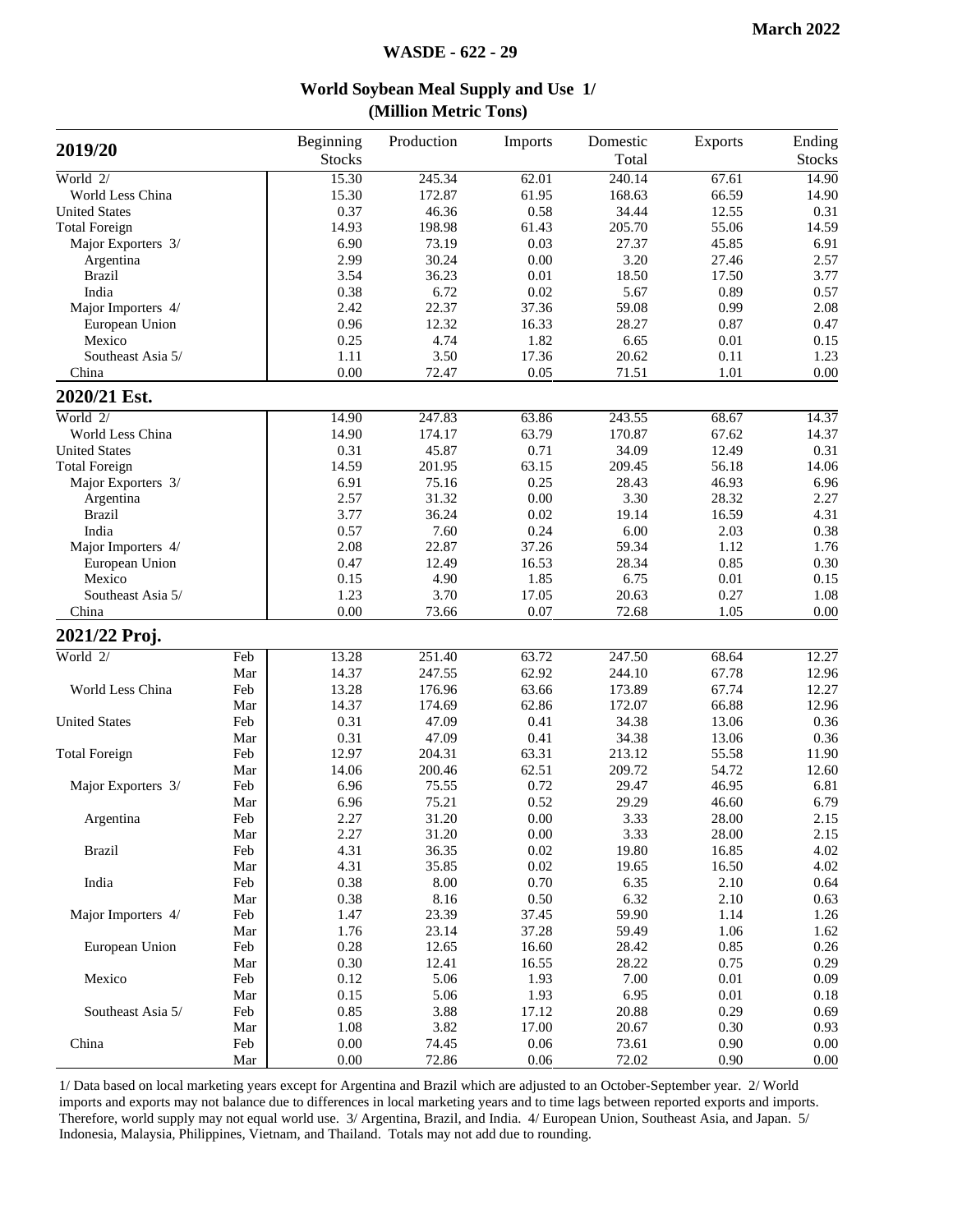| 2019/20              |            | Beginning<br><b>Stocks</b> | Production | Imports  | Domestic<br>Total | Exports  | Ending<br><b>Stocks</b> |
|----------------------|------------|----------------------------|------------|----------|-------------------|----------|-------------------------|
| World $2/$           |            | 15.30                      | 245.34     | 62.01    | 240.14            | 67.61    | 14.90                   |
| World Less China     |            | 15.30                      | 172.87     | 61.95    | 168.63            | 66.59    | 14.90                   |
| <b>United States</b> |            | 0.37                       | 46.36      | 0.58     | 34.44             | 12.55    | 0.31                    |
| <b>Total Foreign</b> |            | 14.93                      | 198.98     | 61.43    | 205.70            | 55.06    | 14.59                   |
| Major Exporters 3/   |            | 6.90                       | 73.19      | 0.03     | 27.37             | 45.85    | 6.91                    |
| Argentina            |            | 2.99                       | 30.24      | 0.00     | 3.20              | 27.46    | 2.57                    |
| <b>Brazil</b>        |            | 3.54                       | 36.23      | 0.01     | 18.50             | 17.50    | 3.77                    |
| India                |            | 0.38                       | 6.72       | 0.02     | 5.67              | 0.89     | 0.57                    |
| Major Importers 4/   |            | 2.42                       | 22.37      | 37.36    | 59.08             | 0.99     | 2.08                    |
| European Union       |            | 0.96                       | 12.32      | 16.33    | 28.27             | 0.87     | 0.47                    |
| Mexico               |            | 0.25                       | 4.74       | 1.82     | 6.65              | 0.01     | 0.15                    |
| Southeast Asia 5/    |            | 1.11                       | 3.50       | 17.36    | 20.62             | 0.11     | 1.23                    |
| China                |            | 0.00                       | 72.47      | 0.05     | 71.51             | 1.01     | 0.00                    |
| 2020/21 Est.         |            |                            |            |          |                   |          |                         |
| World 2/             |            | 14.90                      | 247.83     | 63.86    | 243.55            | 68.67    | 14.37                   |
| World Less China     |            | 14.90                      | 174.17     | 63.79    | 170.87            | 67.62    | 14.37                   |
| <b>United States</b> |            | 0.31                       | 45.87      | 0.71     | 34.09             | 12.49    | 0.31                    |
| <b>Total Foreign</b> |            | 14.59                      | 201.95     | 63.15    | 209.45            | 56.18    | 14.06                   |
| Major Exporters 3/   |            | 6.91                       | 75.16      | 0.25     | 28.43             | 46.93    | 6.96                    |
| Argentina            |            | 2.57                       | 31.32      | 0.00     | 3.30              | 28.32    | 2.27                    |
| <b>Brazil</b>        |            | 3.77                       | 36.24      | 0.02     | 19.14             | 16.59    | 4.31                    |
| India                |            | 0.57                       | 7.60       | 0.24     | 6.00              | 2.03     | 0.38                    |
| Major Importers 4/   |            | 2.08                       | 22.87      | 37.26    | 59.34             | 1.12     | 1.76                    |
| European Union       |            | 0.47                       | 12.49      | 16.53    | 28.34             | 0.85     | 0.30                    |
| Mexico               |            | 0.15                       | 4.90       | 1.85     | 6.75              | 0.01     | 0.15                    |
| Southeast Asia 5/    |            | 1.23                       | 3.70       | 17.05    | 20.63             | 0.27     | 1.08                    |
| China                |            | 0.00                       | 73.66      | 0.07     | 72.68             | 1.05     | 0.00                    |
| 2021/22 Proj.        |            |                            |            |          |                   |          |                         |
| World $2/$           | Feb        | 13.28                      | 251.40     | 63.72    | 247.50            | 68.64    | 12.27                   |
|                      | Mar        | 14.37                      | 247.55     | 62.92    | 244.10            | 67.78    | 12.96                   |
| World Less China     | Feb        | 13.28                      | 176.96     | 63.66    | 173.89            | 67.74    | 12.27                   |
|                      | Mar        | 14.37                      | 174.69     | 62.86    | 172.07            | 66.88    | 12.96                   |
| <b>United States</b> | Feb        | 0.31                       | 47.09      | 0.41     | 34.38             | 13.06    | 0.36                    |
|                      | Mar        | 0.31                       | 47.09      | 0.41     | 34.38             | 13.06    | 0.36                    |
| <b>Total Foreign</b> | Feb        | 12.97                      | 204.31     | 63.31    | 213.12            | 55.58    | 11.90                   |
|                      | Mar        | 14.06                      | 200.46     | 62.51    | 209.72            | 54.72    | 12.60                   |
| Major Exporters 3/   | Feb        | 6.96                       | 75.55      | 0.72     | 29.47             | 46.95    | 6.81                    |
|                      | Mar        | 6.96                       | 75.21      | 0.52     | 29.29             | 46.60    | 6.79                    |
| Argentina            | Feb        | 2.27                       | 31.20      | $0.00\,$ | 3.33              | 28.00    | 2.15                    |
|                      | Mar        | 2.27                       | 31.20      | 0.00     | 3.33              | 28.00    | 2.15                    |
| <b>Brazil</b>        | Feb        | 4.31                       | 36.35      | 0.02     | 19.80             | 16.85    | 4.02                    |
|                      | Mar        | 4.31                       | 35.85      | 0.02     | 19.65             | 16.50    | 4.02                    |
| India                | Feb        | 0.38                       | 8.00       | 0.70     | 6.35              | 2.10     | 0.64                    |
|                      | Mar        | 0.38                       | 8.16       | 0.50     | 6.32              | 2.10     | 0.63                    |
| Major Importers 4/   | Feb        | 1.47                       | 23.39      | 37.45    | 59.90             | 1.14     | 1.26                    |
|                      | Mar        | 1.76                       | 23.14      | 37.28    | 59.49             | 1.06     | 1.62                    |
| European Union       | Feb        | 0.28                       | 12.65      | 16.60    | 28.42             | 0.85     | 0.26                    |
|                      | Mar        | 0.30                       | 12.41      | 16.55    | 28.22             | 0.75     | 0.29                    |
| Mexico               | Feb        | 0.12                       | 5.06       | 1.93     | 7.00              | 0.01     | 0.09                    |
|                      |            | 0.15                       | 5.06       | 1.93     | 6.95              | $0.01\,$ |                         |
| Southeast Asia 5/    | Mar<br>Feb | 0.85                       | 3.88       | 17.12    | 20.88             | 0.29     | 0.18                    |
|                      |            |                            |            |          |                   |          | 0.69                    |
|                      | Mar        | 1.08                       | 3.82       | 17.00    | 20.67             | 0.30     | 0.93                    |
| China                | Feb        | 0.00                       | 74.45      | 0.06     | 73.61             | 0.90     | 0.00                    |
|                      | Mar        | 0.00                       | 72.86      | 0.06     | 72.02             | 0.90     | 0.00                    |

#### **World Soybean Meal Supply and Use 1/ (Million Metric Tons)**

1/ Data based on local marketing years except for Argentina and Brazil which are adjusted to an October-September year. 2/ World imports and exports may not balance due to differences in local marketing years and to time lags between reported exports and imports. Therefore, world supply may not equal world use. 3/ Argentina, Brazil, and India. 4/ European Union, Southeast Asia, and Japan. 5/ Indonesia, Malaysia, Philippines, Vietnam, and Thailand. Totals may not add due to rounding.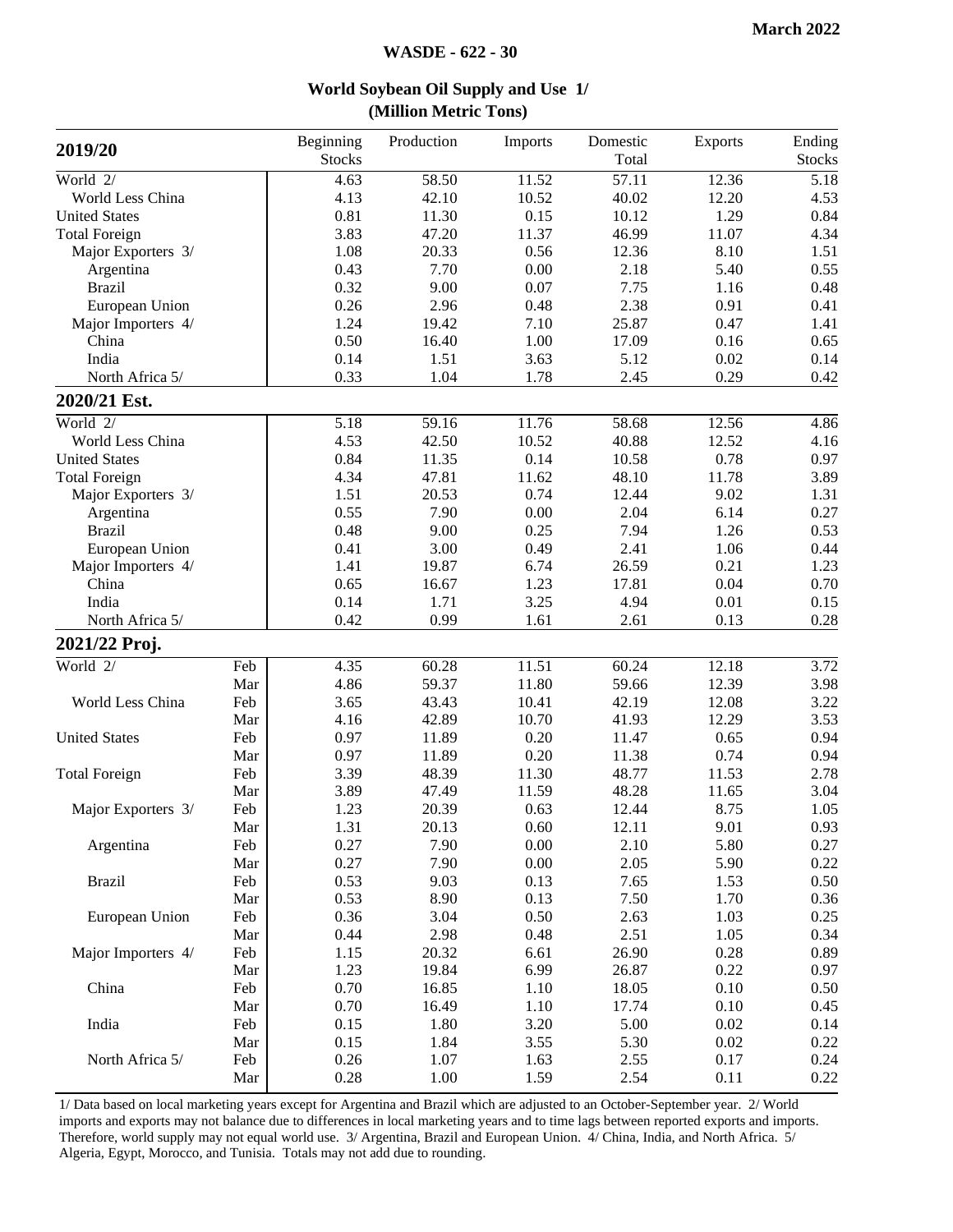| 2019/20              |     | Beginning<br><b>Stocks</b> | Production | Imports | Domestic<br>Total | Exports | Ending<br><b>Stocks</b> |
|----------------------|-----|----------------------------|------------|---------|-------------------|---------|-------------------------|
| World 2/             |     | 4.63                       | 58.50      | 11.52   | 57.11             | 12.36   | 5.18                    |
| World Less China     |     | 4.13                       | 42.10      | 10.52   | 40.02             | 12.20   | 4.53                    |
| <b>United States</b> |     | 0.81                       | 11.30      | 0.15    | 10.12             | 1.29    | 0.84                    |
| <b>Total Foreign</b> |     | 3.83                       | 47.20      | 11.37   | 46.99             | 11.07   | 4.34                    |
| Major Exporters 3/   |     | 1.08                       | 20.33      | 0.56    | 12.36             | 8.10    | 1.51                    |
| Argentina            |     | 0.43                       | 7.70       | 0.00    | 2.18              | 5.40    | 0.55                    |
| <b>Brazil</b>        |     | 0.32                       | 9.00       | 0.07    | 7.75              | 1.16    | 0.48                    |
| European Union       |     | 0.26                       | 2.96       | 0.48    | 2.38              | 0.91    | 0.41                    |
| Major Importers 4/   |     | 1.24                       | 19.42      | 7.10    | 25.87             | 0.47    | 1.41                    |
| China                |     | 0.50                       | 16.40      | 1.00    | 17.09             | 0.16    | 0.65                    |
| India                |     | 0.14                       | 1.51       | 3.63    | 5.12              | 0.02    | 0.14                    |
| North Africa 5/      |     | 0.33                       | 1.04       | 1.78    | 2.45              | 0.29    | 0.42                    |
| 2020/21 Est.         |     |                            |            |         |                   |         |                         |
| World 2/             |     | 5.18                       | 59.16      | 11.76   | 58.68             | 12.56   | 4.86                    |
| World Less China     |     | 4.53                       | 42.50      | 10.52   | 40.88             | 12.52   | 4.16                    |
| <b>United States</b> |     | 0.84                       | 11.35      | 0.14    | 10.58             | 0.78    | 0.97                    |
| <b>Total Foreign</b> |     | 4.34                       | 47.81      | 11.62   | 48.10             | 11.78   | 3.89                    |
| Major Exporters 3/   |     | 1.51                       | 20.53      | 0.74    | 12.44             | 9.02    | 1.31                    |
| Argentina            |     | 0.55                       | 7.90       | 0.00    | 2.04              | 6.14    | 0.27                    |
| <b>Brazil</b>        |     | 0.48                       | 9.00       | 0.25    | 7.94              | 1.26    | 0.53                    |
| European Union       |     | 0.41                       | 3.00       | 0.49    | 2.41              | 1.06    | 0.44                    |
| Major Importers 4/   |     | 1.41                       | 19.87      | 6.74    | 26.59             | 0.21    | 1.23                    |
| China                |     | 0.65                       | 16.67      | 1.23    | 17.81             | 0.04    | 0.70                    |
| India                |     | 0.14                       | 1.71       | 3.25    | 4.94              | 0.01    | 0.15                    |
| North Africa 5/      |     | 0.42                       | 0.99       | 1.61    | 2.61              | 0.13    | 0.28                    |
| 2021/22 Proj.        |     |                            |            |         |                   |         |                         |
| World 2/             | Feb | 4.35                       | 60.28      | 11.51   | 60.24             | 12.18   | 3.72                    |
|                      | Mar | 4.86                       | 59.37      | 11.80   | 59.66             | 12.39   | 3.98                    |
| World Less China     | Feb | 3.65                       | 43.43      | 10.41   | 42.19             | 12.08   | 3.22                    |
|                      | Mar | 4.16                       | 42.89      | 10.70   | 41.93             | 12.29   | 3.53                    |
| <b>United States</b> | Feb | 0.97                       | 11.89      | 0.20    | 11.47             | 0.65    | 0.94                    |
|                      | Mar | 0.97                       | 11.89      | 0.20    | 11.38             | 0.74    | 0.94                    |
| <b>Total Foreign</b> | Feb | 3.39                       | 48.39      | 11.30   | 48.77             | 11.53   | 2.78                    |
|                      | Mar | 3.89                       | 47.49      | 11.59   | 48.28             | 11.65   | 3.04                    |
| Major Exporters 3/   | Feb | 1.23                       | 20.39      | 0.63    | 12.44             | 8.75    | 1.05                    |
|                      | Mar | 1.31                       | 20.13      | 0.60    | 12.11             | 9.01    | 0.93                    |
| Argentina            | Feb | 0.27                       | 7.90       | 0.00    | 2.10              | 5.80    | 0.27                    |
|                      | Mar | 0.27                       | 7.90       | 0.00    | 2.05              | 5.90    | 0.22                    |
| <b>Brazil</b>        | Feb | 0.53                       | 9.03       | 0.13    | 7.65              | 1.53    | 0.50                    |
|                      | Mar | 0.53                       | 8.90       | 0.13    | 7.50              | 1.70    | 0.36                    |
| European Union       | Feb | 0.36                       | 3.04       | 0.50    | 2.63              | 1.03    | 0.25                    |
|                      | Mar | 0.44                       | 2.98       | 0.48    | 2.51              | 1.05    | 0.34                    |
| Major Importers 4/   | Feb | 1.15                       | 20.32      | 6.61    | 26.90             | 0.28    | 0.89                    |
|                      | Mar | 1.23                       | 19.84      | 6.99    | 26.87             | 0.22    | 0.97                    |
| China                | Feb | 0.70                       | 16.85      | 1.10    | 18.05             | 0.10    | 0.50                    |
|                      | Mar | 0.70                       | 16.49      | 1.10    | 17.74             | 0.10    | 0.45                    |
| India                | Feb | 0.15                       | 1.80       | 3.20    | 5.00              | 0.02    | 0.14                    |
|                      | Mar | 0.15                       | 1.84       | 3.55    | 5.30              | 0.02    | 0.22                    |
| North Africa 5/      | Feb | 0.26                       | 1.07       | 1.63    | 2.55              | 0.17    | 0.24                    |
|                      | Mar | 0.28                       | 1.00       | 1.59    | 2.54              | 0.11    | 0.22                    |

**World Soybean Oil Supply and Use 1/ (Million Metric Tons)**

1/ Data based on local marketing years except for Argentina and Brazil which are adjusted to an October-September year. 2/ World imports and exports may not balance due to differences in local marketing years and to time lags between reported exports and imports. Therefore, world supply may not equal world use. 3/ Argentina, Brazil and European Union. 4/ China, India, and North Africa. 5/ Algeria, Egypt, Morocco, and Tunisia. Totals may not add due to rounding.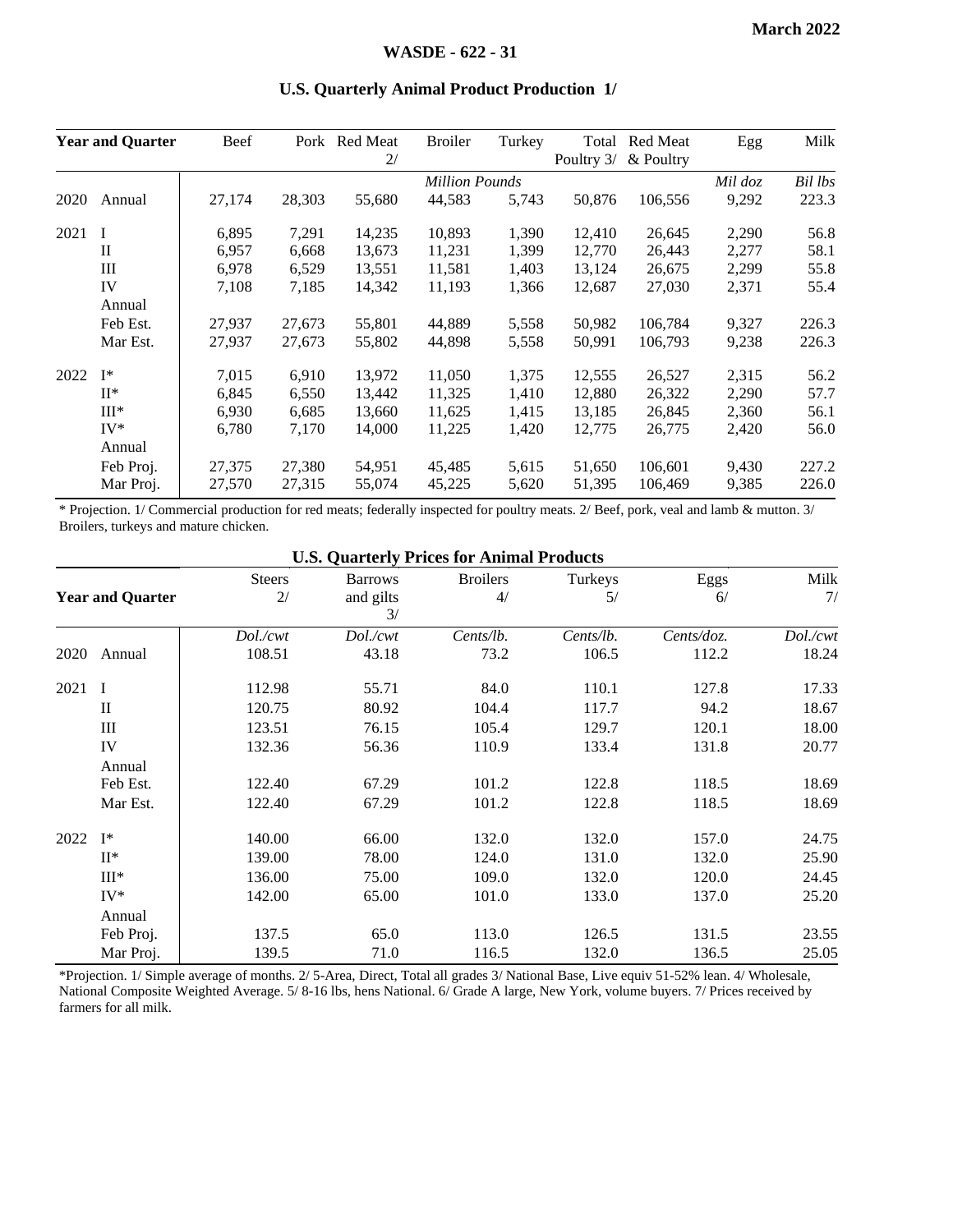|      | <b>Year and Quarter</b> | Beef                  |        | Pork Red Meat<br>2/ | <b>Broiler</b> | Turkey | Total<br>Poultry 3/ | Red Meat<br>& Poultry | Egg     | Milk  |
|------|-------------------------|-----------------------|--------|---------------------|----------------|--------|---------------------|-----------------------|---------|-------|
|      |                         | <b>Million Pounds</b> |        |                     |                |        |                     | Mil doz               | Bil lbs |       |
| 2020 | Annual                  | 27,174                | 28,303 | 55,680              | 44,583         | 5,743  | 50,876              | 106,556               | 9,292   | 223.3 |
| 2021 | I                       | 6,895                 | 7,291  | 14,235              | 10,893         | 1,390  | 12,410              | 26,645                | 2,290   | 56.8  |
|      | $\mathbf{I}$            | 6,957                 | 6,668  | 13,673              | 11,231         | 1,399  | 12,770              | 26,443                | 2,277   | 58.1  |
|      | Ш                       | 6,978                 | 6,529  | 13,551              | 11,581         | 1,403  | 13,124              | 26,675                | 2,299   | 55.8  |
|      | IV                      | 7,108                 | 7,185  | 14,342              | 11,193         | 1,366  | 12,687              | 27,030                | 2,371   | 55.4  |
|      | Annual                  |                       |        |                     |                |        |                     |                       |         |       |
|      | Feb Est.                | 27,937                | 27,673 | 55,801              | 44,889         | 5,558  | 50,982              | 106,784               | 9,327   | 226.3 |
|      | Mar Est.                | 27,937                | 27,673 | 55,802              | 44,898         | 5,558  | 50,991              | 106,793               | 9,238   | 226.3 |
| 2022 | $I^*$                   | 7,015                 | 6.910  | 13,972              | 11,050         | 1,375  | 12,555              | 26,527                | 2,315   | 56.2  |
|      | $II^*$                  | 6,845                 | 6,550  | 13,442              | 11,325         | 1,410  | 12,880              | 26,322                | 2,290   | 57.7  |
|      | $III*$                  | 6,930                 | 6.685  | 13.660              | 11.625         | 1.415  | 13.185              | 26,845                | 2,360   | 56.1  |
|      | $IV^*$                  | 6,780                 | 7,170  | 14,000              | 11,225         | 1,420  | 12,775              | 26,775                | 2,420   | 56.0  |
|      | Annual                  |                       |        |                     |                |        |                     |                       |         |       |
|      | Feb Proj.               | 27,375                | 27.380 | 54,951              | 45,485         | 5,615  | 51,650              | 106,601               | 9,430   | 227.2 |
|      | Mar Proj.               | 27,570                | 27,315 | 55,074              | 45,225         | 5,620  | 51,395              | 106,469               | 9,385   | 226.0 |

#### **U.S. Quarterly Animal Product Production 1/**

\* Projection. 1/ Commercial production for red meats; federally inspected for poultry meats. 2/ Beef, pork, veal and lamb & mutton. 3/ Broilers, turkeys and mature chicken.

|      |                         |                     | <b>U.S. Quarterly Prices for Animal Products</b> |                       |               |            |            |
|------|-------------------------|---------------------|--------------------------------------------------|-----------------------|---------------|------------|------------|
|      | <b>Year and Quarter</b> | <b>Steers</b><br>2/ | <b>Barrows</b><br>and gilts<br>3/                | <b>Broilers</b><br>4/ | Turkeys<br>5/ | Eggs<br>6/ | Milk<br>7/ |
|      |                         | Dol./cwt            | Dol./cwt                                         | Cents/lb.             | Cents/lb.     | Cents/doz. | Dol./cwt   |
| 2020 | Annual                  | 108.51              | 43.18                                            | 73.2                  | 106.5         | 112.2      | 18.24      |
| 2021 | $\mathbf{I}$            | 112.98              | 55.71                                            | 84.0                  | 110.1         | 127.8      | 17.33      |
|      | $\mathbf H$             | 120.75              | 80.92                                            | 104.4                 | 117.7         | 94.2       | 18.67      |
|      | III                     | 123.51              | 76.15                                            | 105.4                 | 129.7         | 120.1      | 18.00      |
|      | IV                      | 132.36              | 56.36                                            | 110.9                 | 133.4         | 131.8      | 20.77      |
|      | Annual                  |                     |                                                  |                       |               |            |            |
|      | Feb Est.                | 122.40              | 67.29                                            | 101.2                 | 122.8         | 118.5      | 18.69      |
|      | Mar Est.                | 122.40              | 67.29                                            | 101.2                 | 122.8         | 118.5      | 18.69      |
| 2022 | $\mathbf{I}^*$          | 140.00              | 66.00                                            | 132.0                 | 132.0         | 157.0      | 24.75      |
|      | $II^*$                  | 139.00              | 78.00                                            | 124.0                 | 131.0         | 132.0      | 25.90      |
|      | $III^*$                 | 136.00              | 75.00                                            | 109.0                 | 132.0         | 120.0      | 24.45      |
|      | $IV^*$                  | 142.00              | 65.00                                            | 101.0                 | 133.0         | 137.0      | 25.20      |
|      | Annual                  |                     |                                                  |                       |               |            |            |
|      | Feb Proj.               | 137.5               | 65.0                                             | 113.0                 | 126.5         | 131.5      | 23.55      |
|      | Mar Proj.               | 139.5               | 71.0                                             | 116.5                 | 132.0         | 136.5      | 25.05      |

\*Projection. 1/ Simple average of months. 2/ 5-Area, Direct, Total all grades 3/ National Base, Live equiv 51-52% lean. 4/ Wholesale, National Composite Weighted Average. 5/ 8-16 lbs, hens National. 6/ Grade A large, New York, volume buyers. 7/ Prices received by farmers for all milk.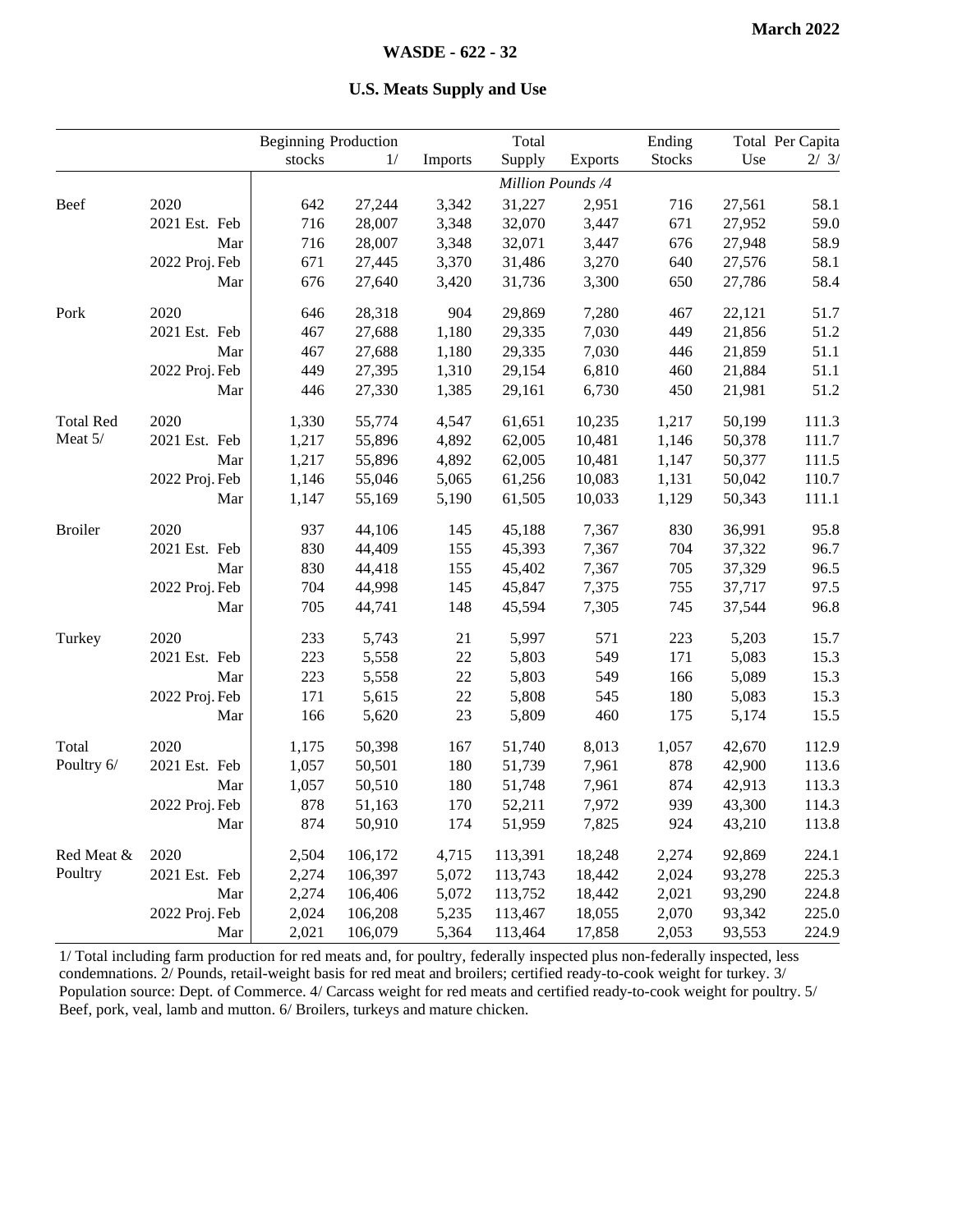#### **U.S. Meats Supply and Use**

|                  |                | <b>Beginning Production</b> |         |         | Total   |                   | Ending        |        | Total Per Capita |
|------------------|----------------|-----------------------------|---------|---------|---------|-------------------|---------------|--------|------------------|
|                  |                | stocks                      | 1/      | Imports | Supply  | <b>Exports</b>    | <b>Stocks</b> | Use    | 2/3/             |
|                  |                |                             |         |         |         | Million Pounds /4 |               |        |                  |
| Beef             | 2020           | 642                         | 27,244  | 3,342   | 31,227  | 2,951             | 716           | 27,561 | 58.1             |
|                  | 2021 Est. Feb  | 716                         | 28,007  | 3,348   | 32,070  | 3,447             | 671           | 27,952 | 59.0             |
|                  | Mar            | 716                         | 28,007  | 3,348   | 32,071  | 3,447             | 676           | 27,948 | 58.9             |
|                  | 2022 Proj. Feb | 671                         | 27,445  | 3,370   | 31,486  | 3,270             | 640           | 27,576 | 58.1             |
|                  | Mar            | 676                         | 27,640  | 3,420   | 31,736  | 3,300             | 650           | 27,786 | 58.4             |
| Pork             | 2020           | 646                         | 28,318  | 904     | 29,869  | 7,280             | 467           | 22,121 | 51.7             |
|                  | 2021 Est. Feb  | 467                         | 27,688  | 1,180   | 29,335  | 7,030             | 449           | 21,856 | 51.2             |
|                  | Mar            | 467                         | 27,688  | 1,180   | 29,335  | 7,030             | 446           | 21,859 | 51.1             |
|                  | 2022 Proj. Feb | 449                         | 27,395  | 1,310   | 29,154  | 6,810             | 460           | 21,884 | 51.1             |
|                  | Mar            | 446                         | 27,330  | 1,385   | 29,161  | 6,730             | 450           | 21,981 | 51.2             |
| <b>Total Red</b> | 2020           | 1,330                       | 55,774  | 4,547   | 61,651  | 10,235            | 1,217         | 50,199 | 111.3            |
| Meat 5/          | 2021 Est. Feb  | 1,217                       | 55,896  | 4,892   | 62,005  | 10,481            | 1,146         | 50,378 | 111.7            |
|                  | Mar            | 1,217                       | 55,896  | 4,892   | 62,005  | 10,481            | 1,147         | 50,377 | 111.5            |
|                  | 2022 Proj. Feb | 1,146                       | 55,046  | 5,065   | 61,256  | 10,083            | 1,131         | 50,042 | 110.7            |
|                  | Mar            | 1,147                       | 55,169  | 5,190   | 61,505  | 10,033            | 1,129         | 50,343 | 111.1            |
| <b>Broiler</b>   | 2020           | 937                         | 44,106  | 145     | 45,188  | 7,367             | 830           | 36,991 | 95.8             |
|                  | 2021 Est. Feb  | 830                         | 44,409  | 155     | 45,393  | 7,367             | 704           | 37,322 | 96.7             |
|                  | Mar            | 830                         | 44,418  | 155     | 45,402  | 7,367             | 705           | 37,329 | 96.5             |
|                  | 2022 Proj. Feb | 704                         | 44,998  | 145     | 45,847  | 7,375             | 755           | 37,717 | 97.5             |
|                  | Mar            | 705                         | 44,741  | 148     | 45,594  | 7,305             | 745           | 37,544 | 96.8             |
| Turkey           | 2020           | 233                         | 5,743   | 21      | 5,997   | 571               | 223           | 5,203  | 15.7             |
|                  | 2021 Est. Feb  | 223                         | 5,558   | $22\,$  | 5,803   | 549               | 171           | 5,083  | 15.3             |
|                  | Mar            | 223                         | 5,558   | $22\,$  | 5,803   | 549               | 166           | 5,089  | 15.3             |
|                  | 2022 Proj. Feb | 171                         | 5,615   | $22\,$  | 5,808   | 545               | 180           | 5,083  | 15.3             |
|                  | Mar            | 166                         | 5,620   | 23      | 5,809   | 460               | 175           | 5,174  | 15.5             |
| Total            | 2020           | 1,175                       | 50,398  | 167     | 51,740  | 8,013             | 1,057         | 42,670 | 112.9            |
| Poultry 6/       | 2021 Est. Feb  | 1,057                       | 50,501  | 180     | 51,739  | 7,961             | 878           | 42,900 | 113.6            |
|                  | Mar            | 1,057                       | 50,510  | 180     | 51,748  | 7,961             | 874           | 42,913 | 113.3            |
|                  | 2022 Proj. Feb | 878                         | 51,163  | 170     | 52,211  | 7,972             | 939           | 43,300 | 114.3            |
|                  | Mar            | 874                         | 50,910  | 174     | 51,959  | 7,825             | 924           | 43,210 | 113.8            |
| Red Meat &       | 2020           | 2,504                       | 106,172 | 4,715   | 113,391 | 18,248            | 2,274         | 92,869 | 224.1            |
| Poultry          | 2021 Est. Feb  | 2,274                       | 106,397 | 5,072   | 113,743 | 18,442            | 2,024         | 93,278 | 225.3            |
|                  | Mar            | 2,274                       | 106,406 | 5,072   | 113,752 | 18,442            | 2,021         | 93,290 | 224.8            |
|                  | 2022 Proj. Feb | 2,024                       | 106,208 | 5,235   | 113,467 | 18,055            | 2,070         | 93,342 | 225.0            |
|                  | Mar            | 2,021                       | 106,079 | 5,364   | 113,464 | 17,858            | 2,053         | 93,553 | 224.9            |

1/ Total including farm production for red meats and, for poultry, federally inspected plus non-federally inspected, less condemnations. 2/ Pounds, retail-weight basis for red meat and broilers; certified ready-to-cook weight for turkey. 3/ Population source: Dept. of Commerce. 4/ Carcass weight for red meats and certified ready-to-cook weight for poultry. 5/ Beef, pork, veal, lamb and mutton. 6/ Broilers, turkeys and mature chicken.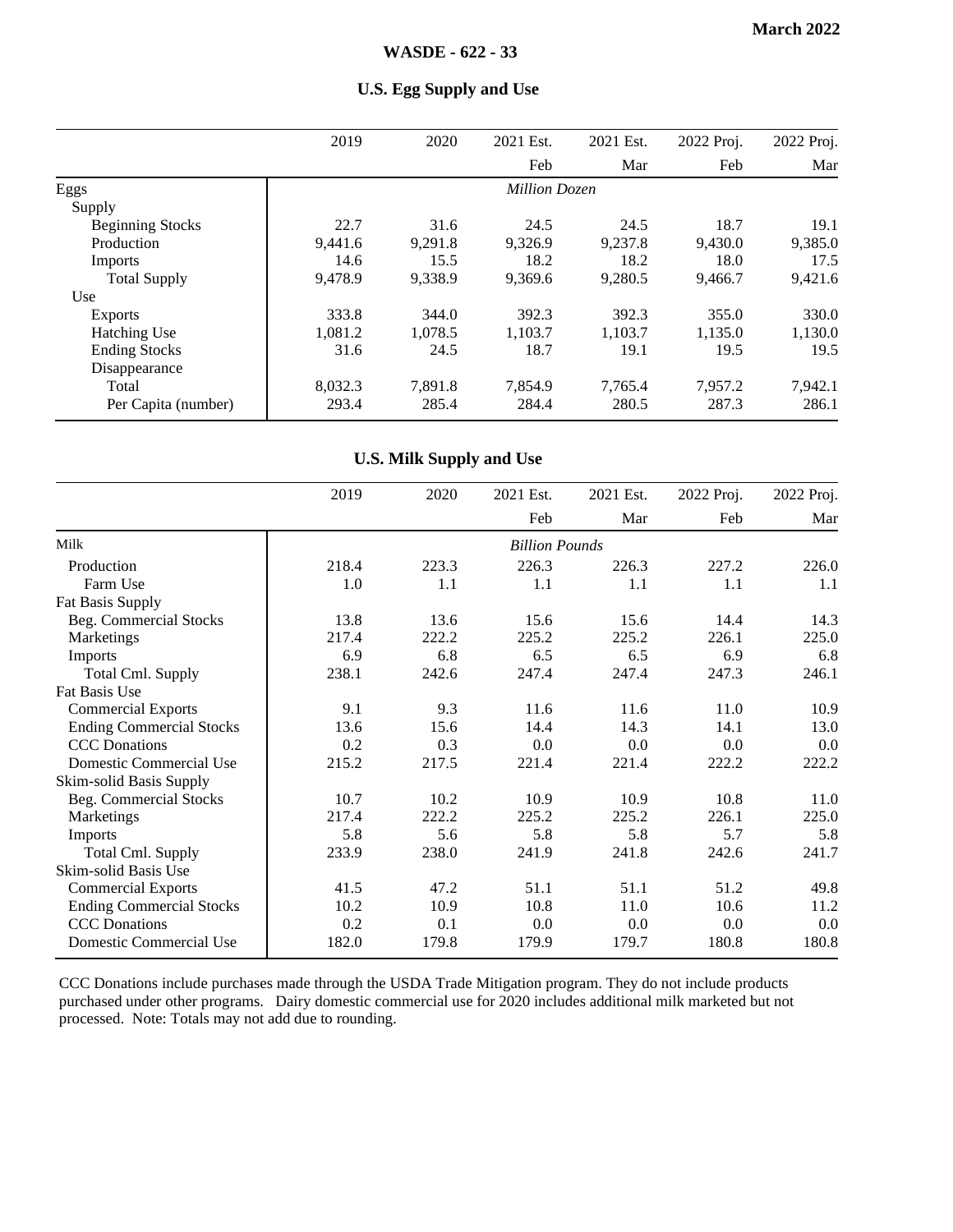|                         | 2019    | 2020    | 2021 Est.            | 2021 Est. | 2022 Proj. | 2022 Proj. |
|-------------------------|---------|---------|----------------------|-----------|------------|------------|
|                         |         |         | Feb                  | Mar       | Feb        | Mar        |
| Eggs                    |         |         | <b>Million Dozen</b> |           |            |            |
| Supply                  |         |         |                      |           |            |            |
| <b>Beginning Stocks</b> | 22.7    | 31.6    | 24.5                 | 24.5      | 18.7       | 19.1       |
| Production              | 9,441.6 | 9,291.8 | 9,326.9              | 9,237.8   | 9,430.0    | 9,385.0    |
| Imports                 | 14.6    | 15.5    | 18.2                 | 18.2      | 18.0       | 17.5       |
| <b>Total Supply</b>     | 9.478.9 | 9,338.9 | 9.369.6              | 9,280.5   | 9,466.7    | 9,421.6    |
| Use                     |         |         |                      |           |            |            |
| <b>Exports</b>          | 333.8   | 344.0   | 392.3                | 392.3     | 355.0      | 330.0      |
| <b>Hatching Use</b>     | 1.081.2 | 1,078.5 | 1.103.7              | 1.103.7   | 1,135.0    | 1,130.0    |
| <b>Ending Stocks</b>    | 31.6    | 24.5    | 18.7                 | 19.1      | 19.5       | 19.5       |
| Disappearance           |         |         |                      |           |            |            |
| Total                   | 8,032.3 | 7.891.8 | 7.854.9              | 7,765.4   | 7.957.2    | 7.942.1    |
| Per Capita (number)     | 293.4   | 285.4   | 284.4                | 280.5     | 287.3      | 286.1      |

#### **U.S. Egg Supply and Use**

#### **U.S. Milk Supply and Use**

|                                 | 2019  | 2020  | 2021 Est.             | 2021 Est. | 2022 Proj. | 2022 Proj. |
|---------------------------------|-------|-------|-----------------------|-----------|------------|------------|
|                                 |       |       | Feb                   | Mar       | Feb        | Mar        |
| Milk                            |       |       | <b>Billion Pounds</b> |           |            |            |
| Production                      | 218.4 | 223.3 | 226.3                 | 226.3     | 227.2      | 226.0      |
| Farm Use                        | 1.0   | 1.1   | 1.1                   | 1.1       | 1.1        | 1.1        |
| Fat Basis Supply                |       |       |                       |           |            |            |
| Beg. Commercial Stocks          | 13.8  | 13.6  | 15.6                  | 15.6      | 14.4       | 14.3       |
| Marketings                      | 217.4 | 222.2 | 225.2                 | 225.2     | 226.1      | 225.0      |
| Imports                         | 6.9   | 6.8   | 6.5                   | 6.5       | 6.9        | 6.8        |
| <b>Total Cml. Supply</b>        | 238.1 | 242.6 | 247.4                 | 247.4     | 247.3      | 246.1      |
| Fat Basis Use                   |       |       |                       |           |            |            |
| <b>Commercial Exports</b>       | 9.1   | 9.3   | 11.6                  | 11.6      | 11.0       | 10.9       |
| <b>Ending Commercial Stocks</b> | 13.6  | 15.6  | 14.4                  | 14.3      | 14.1       | 13.0       |
| <b>CCC</b> Donations            | 0.2   | 0.3   | 0.0                   | 0.0       | 0.0        | 0.0        |
| Domestic Commercial Use         | 215.2 | 217.5 | 221.4                 | 221.4     | 222.2      | 222.2      |
| Skim-solid Basis Supply         |       |       |                       |           |            |            |
| Beg. Commercial Stocks          | 10.7  | 10.2  | 10.9                  | 10.9      | 10.8       | 11.0       |
| Marketings                      | 217.4 | 222.2 | 225.2                 | 225.2     | 226.1      | 225.0      |
| Imports                         | 5.8   | 5.6   | 5.8                   | 5.8       | 5.7        | 5.8        |
| <b>Total Cml. Supply</b>        | 233.9 | 238.0 | 241.9                 | 241.8     | 242.6      | 241.7      |
| Skim-solid Basis Use            |       |       |                       |           |            |            |
| <b>Commercial Exports</b>       | 41.5  | 47.2  | 51.1                  | 51.1      | 51.2       | 49.8       |
| <b>Ending Commercial Stocks</b> | 10.2  | 10.9  | 10.8                  | 11.0      | 10.6       | 11.2       |
| <b>CCC</b> Donations            | 0.2   | 0.1   | 0.0                   | 0.0       | 0.0        | 0.0        |
| Domestic Commercial Use         | 182.0 | 179.8 | 179.9                 | 179.7     | 180.8      | 180.8      |

CCC Donations include purchases made through the USDA Trade Mitigation program. They do not include products purchased under other programs. Dairy domestic commercial use for 2020 includes additional milk marketed but not processed. Note: Totals may not add due to rounding.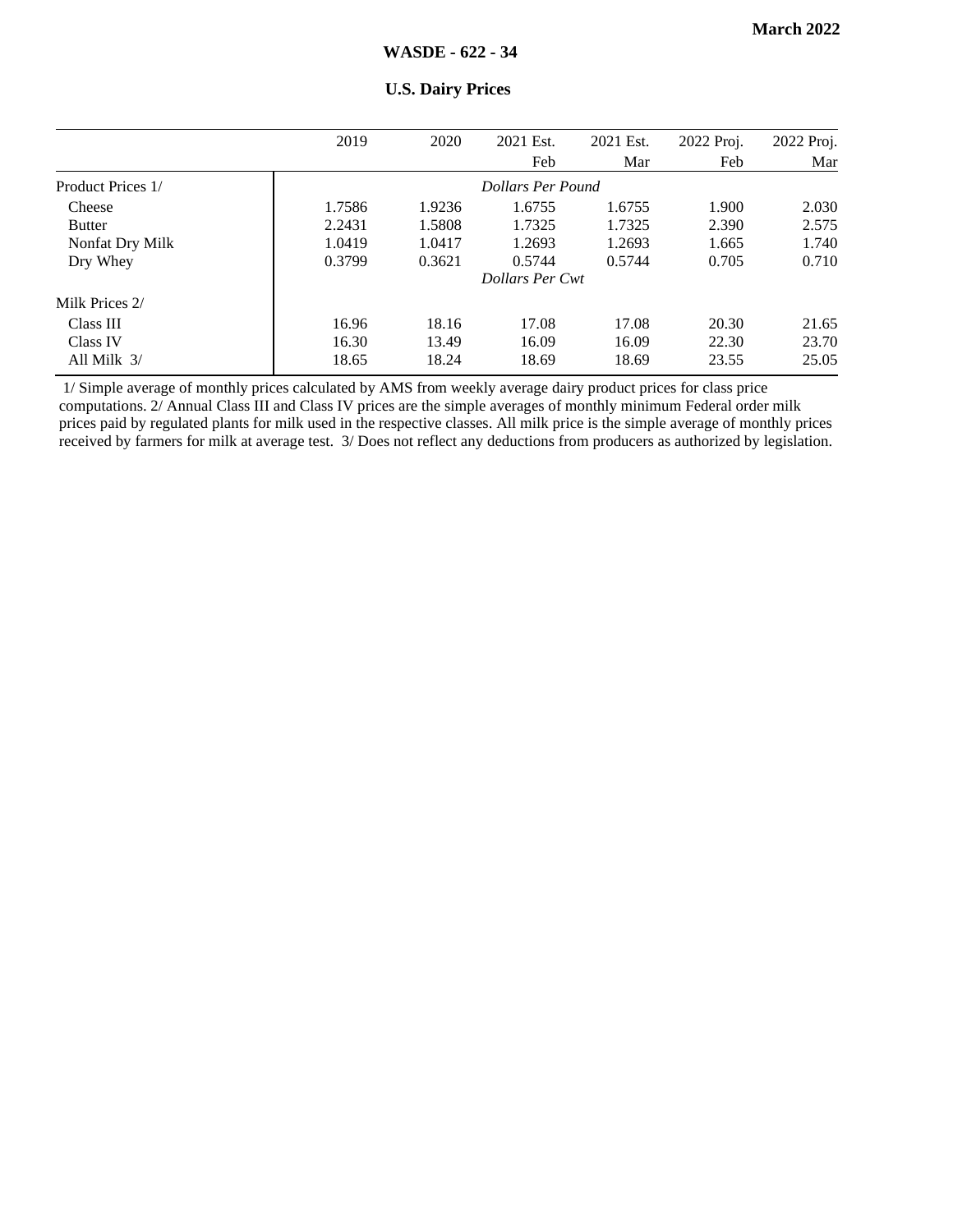|                   | 2019   | 2020   | 2021 Est.              | 2021 Est. | 2022 Proj. | 2022 Proj. |
|-------------------|--------|--------|------------------------|-----------|------------|------------|
|                   |        |        | Feb                    | Mar       | Feb        | Mar        |
| Product Prices 1/ |        |        | Dollars Per Pound      |           |            |            |
| Cheese            | 1.7586 | 1.9236 | 1.6755                 | 1.6755    | 1.900      | 2.030      |
| <b>Butter</b>     | 2.2431 | 1.5808 | 1.7325                 | 1.7325    | 2.390      | 2.575      |
| Nonfat Dry Milk   | 1.0419 | 1.0417 | 1.2693                 | 1.2693    | 1.665      | 1.740      |
| Dry Whey          | 0.3799 | 0.3621 | 0.5744                 | 0.5744    | 0.705      | 0.710      |
|                   |        |        | <b>Dollars Per Cwt</b> |           |            |            |
| Milk Prices 2/    |        |        |                        |           |            |            |
| Class III         | 16.96  | 18.16  | 17.08                  | 17.08     | 20.30      | 21.65      |
| Class IV          | 16.30  | 13.49  | 16.09                  | 16.09     | 22.30      | 23.70      |
| All Milk $3/$     | 18.65  | 18.24  | 18.69                  | 18.69     | 23.55      | 25.05      |

#### **U.S. Dairy Prices**

1/ Simple average of monthly prices calculated by AMS from weekly average dairy product prices for class price computations. 2/ Annual Class III and Class IV prices are the simple averages of monthly minimum Federal order milk prices paid by regulated plants for milk used in the respective classes. All milk price is the simple average of monthly prices received by farmers for milk at average test. 3/ Does not reflect any deductions from producers as authorized by legislation.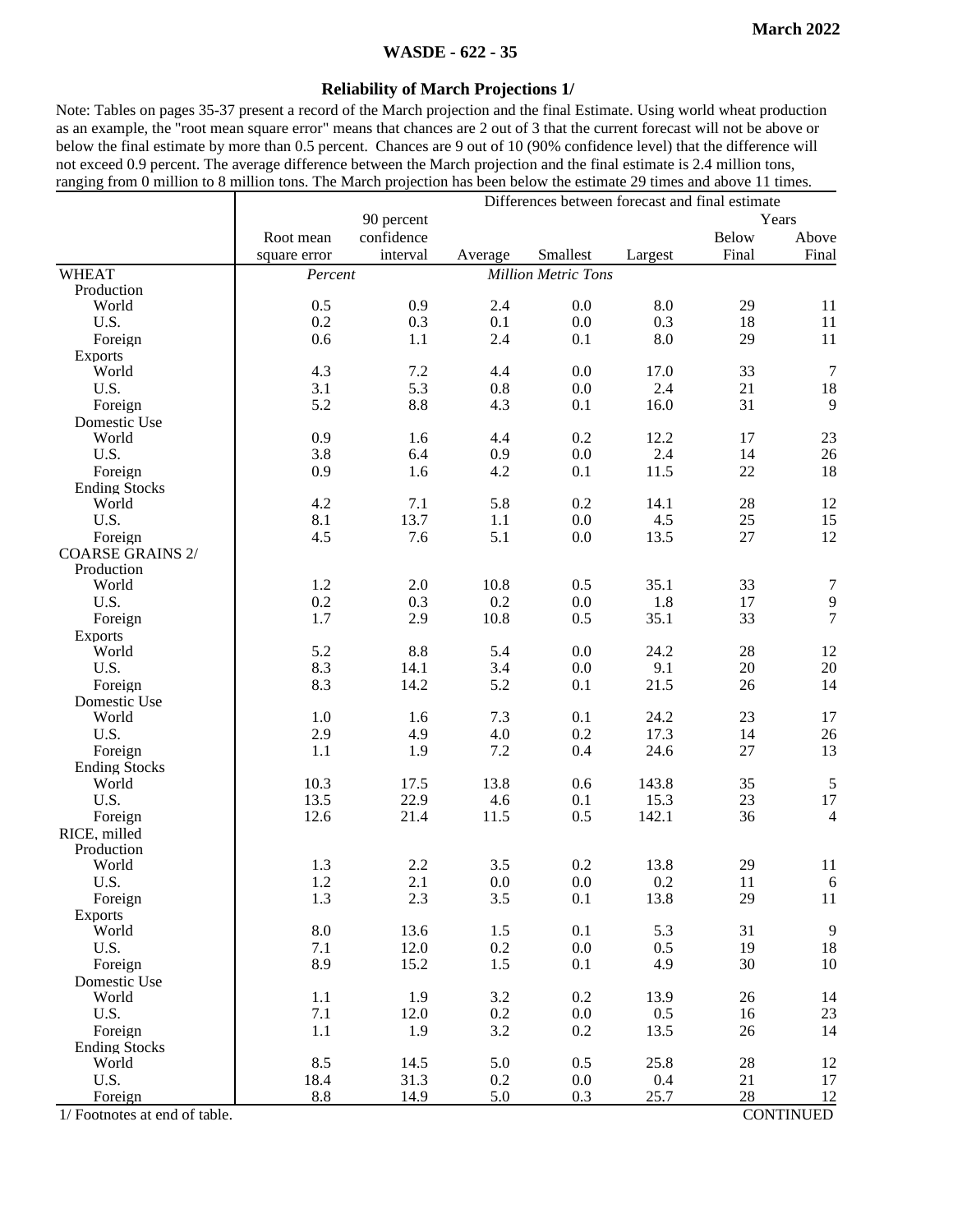#### **WASDE - 622 - 35**

#### **Reliability of March Projections 1/**

Note: Tables on pages 35-37 present a record of the March projection and the final Estimate. Using world wheat production as an example, the "root mean square error" means that chances are 2 out of 3 that the current forecast will not be above or below the final estimate by more than 0.5 percent. Chances are 9 out of 10 (90% confidence level) that the difference will not exceed 0.9 percent. The average difference between the March projection and the final estimate is 2.4 million tons, ranging from 0 million to 8 million tons. The March projection has been below the estimate 29 times and above 11 times.

|                               | Differences between forecast and final estimate |            |         |                            |         |              |                  |  |
|-------------------------------|-------------------------------------------------|------------|---------|----------------------------|---------|--------------|------------------|--|
|                               |                                                 | 90 percent |         |                            |         |              | Years            |  |
|                               | Root mean                                       | confidence |         |                            |         | <b>Below</b> | Above            |  |
|                               | square error                                    | interval   | Average | Smallest                   | Largest | Final        | Final            |  |
| <b>WHEAT</b>                  | Percent                                         |            |         | <b>Million Metric Tons</b> |         |              |                  |  |
| Production                    |                                                 |            |         |                            |         |              |                  |  |
| World                         | 0.5                                             | 0.9        | 2.4     | 0.0                        | 8.0     | 29           | 11               |  |
| U.S.                          | 0.2                                             | 0.3        | 0.1     | $0.0\,$                    | 0.3     | 18           | 11               |  |
| Foreign                       | 0.6                                             | 1.1        | 2.4     | 0.1                        | 8.0     | 29           | 11               |  |
| <b>Exports</b>                |                                                 |            |         |                            |         |              |                  |  |
| World                         | 4.3                                             | 7.2        | 4.4     | 0.0                        | 17.0    | 33           | $\overline{7}$   |  |
| U.S.                          | 3.1                                             | 5.3        | $0.8\,$ | 0.0                        | 2.4     | 21           | 18               |  |
| Foreign                       | 5.2                                             | 8.8        | 4.3     | 0.1                        | 16.0    | 31           | 9                |  |
| Domestic Use                  |                                                 |            |         |                            |         |              |                  |  |
| World                         | 0.9                                             | 1.6        | 4.4     | 0.2                        | 12.2    | 17           | 23               |  |
| U.S.                          | 3.8                                             | 6.4        | 0.9     | 0.0                        | 2.4     | 14           | $26\,$           |  |
| Foreign                       | 0.9                                             | 1.6        | 4.2     | 0.1                        | 11.5    | 22           | 18               |  |
| <b>Ending Stocks</b>          |                                                 |            |         |                            |         |              |                  |  |
| World                         | 4.2                                             | 7.1        | 5.8     | 0.2                        | 14.1    | 28           | 12               |  |
| U.S.                          | 8.1                                             | 13.7       | 1.1     | 0.0                        | 4.5     | 25           | 15               |  |
| Foreign                       | 4.5                                             | 7.6        | 5.1     | 0.0                        | 13.5    | 27           | 12               |  |
| <b>COARSE GRAINS 2/</b>       |                                                 |            |         |                            |         |              |                  |  |
| Production                    |                                                 |            |         |                            |         |              |                  |  |
| World                         | 1.2                                             | 2.0        | 10.8    | 0.5                        | 35.1    | 33           | 7                |  |
| U.S.                          | 0.2                                             | 0.3        | 0.2     | 0.0                        | 1.8     | 17           |                  |  |
| Foreign                       | 1.7                                             | 2.9        | 10.8    | 0.5                        | 35.1    | 33           | $\frac{9}{7}$    |  |
| <b>Exports</b>                |                                                 |            |         |                            |         |              |                  |  |
| World                         | 5.2                                             | 8.8        | 5.4     | 0.0                        | 24.2    | 28           | 12               |  |
| U.S.                          | 8.3                                             | 14.1       | 3.4     | 0.0                        | 9.1     | 20           | $20\,$           |  |
| Foreign                       | 8.3                                             | 14.2       | 5.2     | 0.1                        | 21.5    | 26           | 14               |  |
| Domestic Use                  |                                                 |            |         |                            |         |              |                  |  |
| World                         | 1.0                                             | 1.6        | 7.3     | 0.1                        | 24.2    | 23           | 17               |  |
| U.S.                          | 2.9                                             | 4.9        | 4.0     | 0.2                        | 17.3    | 14           | 26               |  |
| Foreign                       | 1.1                                             | 1.9        | 7.2     | 0.4                        | 24.6    | 27           | 13               |  |
| <b>Ending Stocks</b>          |                                                 |            |         |                            |         |              |                  |  |
| World                         | 10.3                                            | 17.5       | 13.8    | 0.6                        | 143.8   | 35           | $\sqrt{5}$       |  |
| U.S.                          | 13.5                                            | 22.9       | 4.6     | 0.1                        | 15.3    | 23           | 17               |  |
| Foreign                       | 12.6                                            | 21.4       | 11.5    | 0.5                        | 142.1   | 36           | $\overline{4}$   |  |
| RICE, milled                  |                                                 |            |         |                            |         |              |                  |  |
| Production                    |                                                 |            |         |                            |         |              |                  |  |
| World                         | 1.3                                             | 2.2        | 3.5     | 0.2                        | 13.8    | 29           | 11               |  |
| U.S.                          | 1.2                                             | 2.1        | 0.0     | 0.0                        | 0.2     | 11           | 6                |  |
| Foreign                       | 1.3                                             | 2.3        | 3.5     | 0.1                        | 13.8    | 29           | 11               |  |
| <b>Exports</b>                |                                                 |            |         |                            |         |              |                  |  |
| World                         | 8.0                                             | 13.6       | 1.5     | 0.1                        | 5.3     | 31           | $\overline{9}$   |  |
| U.S.                          | 7.1                                             | 12.0       | 0.2     | 0.0                        | 0.5     | 19           | 18               |  |
| Foreign                       | 8.9                                             | 15.2       | 1.5     | 0.1                        | 4.9     | 30           | $10\,$           |  |
| Domestic Use                  |                                                 |            |         |                            |         |              |                  |  |
| World                         | 1.1                                             | 1.9        | 3.2     | 0.2                        | 13.9    | 26           | 14               |  |
| U.S.                          | 7.1                                             | 12.0       | 0.2     | 0.0                        | 0.5     | 16           | 23               |  |
| Foreign                       | 1.1                                             | 1.9        | 3.2     | 0.2                        | 13.5    | 26           | 14               |  |
| <b>Ending Stocks</b>          |                                                 |            |         |                            |         |              |                  |  |
| World                         | 8.5                                             | 14.5       | 5.0     | 0.5                        | 25.8    | 28           | 12               |  |
| U.S.                          | 18.4                                            | 31.3       | 0.2     | 0.0                        | 0.4     | 21           | 17               |  |
| Foreign                       | 8.8                                             | 14.9       | 5.0     | 0.3                        | 25.7    | 28           | 12               |  |
| 1/ Footnotes at end of table. |                                                 |            |         |                            |         |              | <b>CONTINUED</b> |  |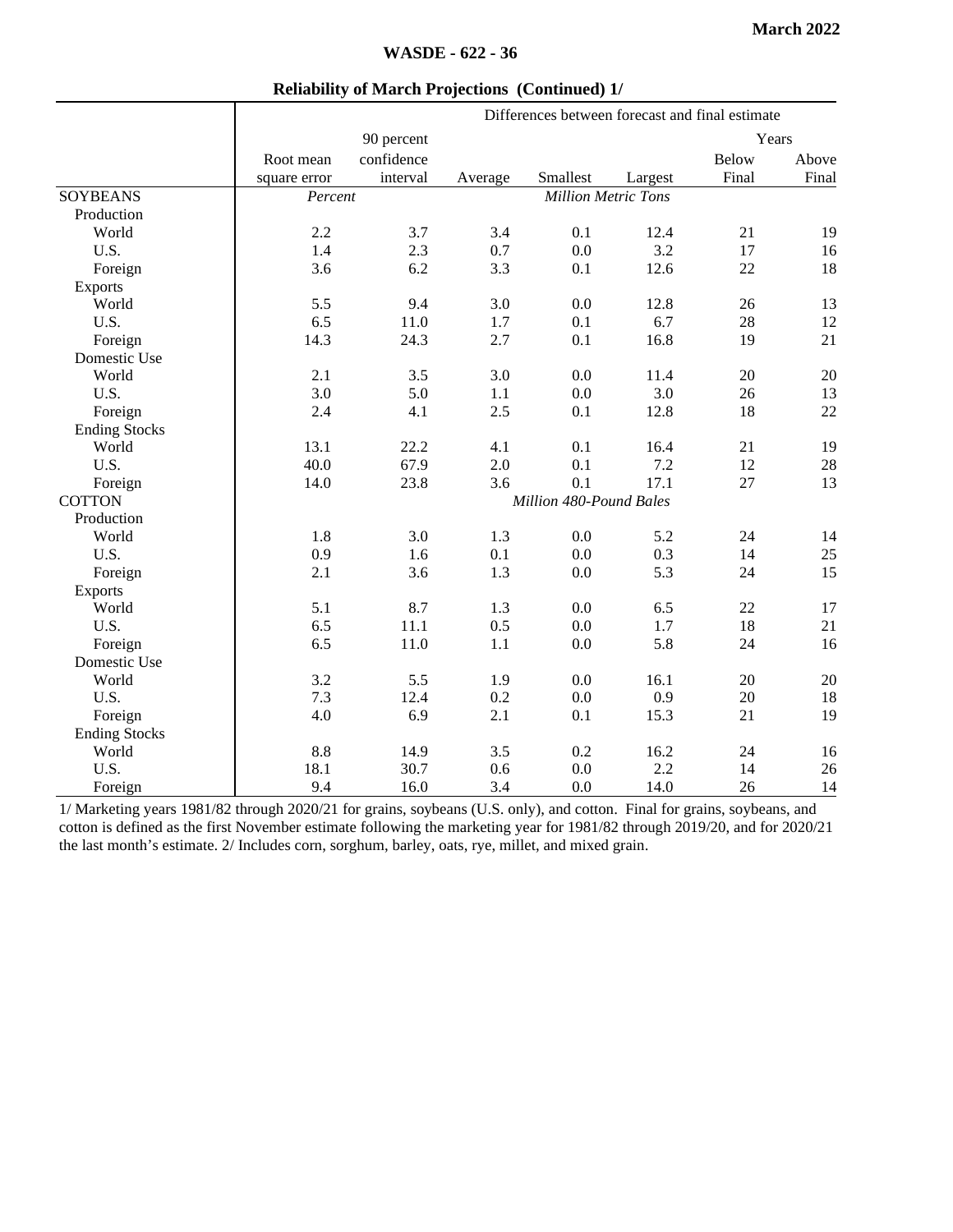Above

|           |              |            |         | Differences between forecast and final estimate |         |              |  |
|-----------|--------------|------------|---------|-------------------------------------------------|---------|--------------|--|
|           |              | 90 percent |         |                                                 |         | Years        |  |
|           | Root mean    | confidence |         |                                                 |         | <b>Below</b> |  |
|           | square error | interval   | Average | Smallest                                        | Largest | Final        |  |
| <b>NS</b> | Percent      |            |         | <b>Million Metric Tons</b>                      |         |              |  |
| tion      |              |            |         |                                                 |         |              |  |
| 1d        | 2.2          | 3.7        | 3.4     | 0.1                                             | 12.4    | 21           |  |
|           | 1.4          | 2.3        | 0.7     | 0.0                                             | 3.2     | 17           |  |
| ign       | 3.6          | 6.2        | 3.3     | 0.1                                             | 12.6    | 22           |  |
|           |              |            |         |                                                 |         |              |  |

#### **Reliability of March Projections (Continued) 1/**

|                      | square error | interval                | Average | Smallest                   | Largest | Final | Final |
|----------------------|--------------|-------------------------|---------|----------------------------|---------|-------|-------|
| <b>SOYBEANS</b>      | Percent      |                         |         | <b>Million Metric Tons</b> |         |       |       |
| Production           |              |                         |         |                            |         |       |       |
| World                | 2.2          | 3.7                     | 3.4     | 0.1                        | 12.4    | 21    | 19    |
| U.S.                 | 1.4          | 2.3                     | 0.7     | 0.0                        | 3.2     | 17    | 16    |
| Foreign              | 3.6          | 6.2                     | 3.3     | 0.1                        | 12.6    | 22    | 18    |
| <b>Exports</b>       |              |                         |         |                            |         |       |       |
| World                | 5.5          | 9.4                     | 3.0     | 0.0                        | 12.8    | 26    | 13    |
| U.S.                 | 6.5          | 11.0                    | 1.7     | 0.1                        | 6.7     | 28    | 12    |
| Foreign              | 14.3         | 24.3                    | 2.7     | 0.1                        | 16.8    | 19    | 21    |
| Domestic Use         |              |                         |         |                            |         |       |       |
| World                | 2.1          | 3.5                     | 3.0     | 0.0                        | 11.4    | 20    | 20    |
| U.S.                 | 3.0          | 5.0                     | 1.1     | 0.0                        | 3.0     | 26    | 13    |
| Foreign              | 2.4          | 4.1                     | 2.5     | 0.1                        | 12.8    | 18    | 22    |
| <b>Ending Stocks</b> |              |                         |         |                            |         |       |       |
| World                | 13.1         | 22.2                    | 4.1     | 0.1                        | 16.4    | 21    | 19    |
| U.S.                 | 40.0         | 67.9                    | 2.0     | 0.1                        | 7.2     | 12    | 28    |
| Foreign              | 14.0         | 23.8                    | 3.6     | 0.1                        | 17.1    | 27    | 13    |
| <b>COTTON</b>        |              | Million 480-Pound Bales |         |                            |         |       |       |
| Production           |              |                         |         |                            |         |       |       |
| World                | 1.8          | 3.0                     | 1.3     | 0.0                        | 5.2     | 24    | 14    |
| U.S.                 | 0.9          | 1.6                     | 0.1     | 0.0                        | 0.3     | 14    | 25    |
| Foreign              | 2.1          | 3.6                     | 1.3     | 0.0                        | 5.3     | 24    | 15    |
| <b>Exports</b>       |              |                         |         |                            |         |       |       |
| World                | 5.1          | 8.7                     | 1.3     | 0.0                        | 6.5     | 22    | 17    |
| U.S.                 | 6.5          | 11.1                    | 0.5     | 0.0                        | 1.7     | 18    | 21    |
| Foreign              | 6.5          | 11.0                    | $1.1\,$ | $0.0\,$                    | 5.8     | 24    | 16    |
| Domestic Use         |              |                         |         |                            |         |       |       |
| World                | 3.2          | 5.5                     | 1.9     | 0.0                        | 16.1    | 20    | 20    |
| U.S.                 | 7.3          | 12.4                    | 0.2     | 0.0                        | 0.9     | 20    | 18    |
| Foreign              | 4.0          | 6.9                     | 2.1     | 0.1                        | 15.3    | 21    | 19    |
| <b>Ending Stocks</b> |              |                         |         |                            |         |       |       |
| World                | 8.8          | 14.9                    | 3.5     | 0.2                        | 16.2    | 24    | 16    |
| U.S.                 | 18.1         | 30.7                    | 0.6     | 0.0                        | 2.2     | 14    | 26    |
| Foreign              | 9.4          | 16.0                    | 3.4     | 0.0                        | 14.0    | 26    | 14    |

1/ Marketing years 1981/82 through 2020/21 for grains, soybeans (U.S. only), and cotton. Final for grains, soybeans, and cotton is defined as the first November estimate following the marketing year for 1981/82 through 2019/20, and for 2020/21 the last month's estimate. 2/ Includes corn, sorghum, barley, oats, rye, millet, and mixed grain.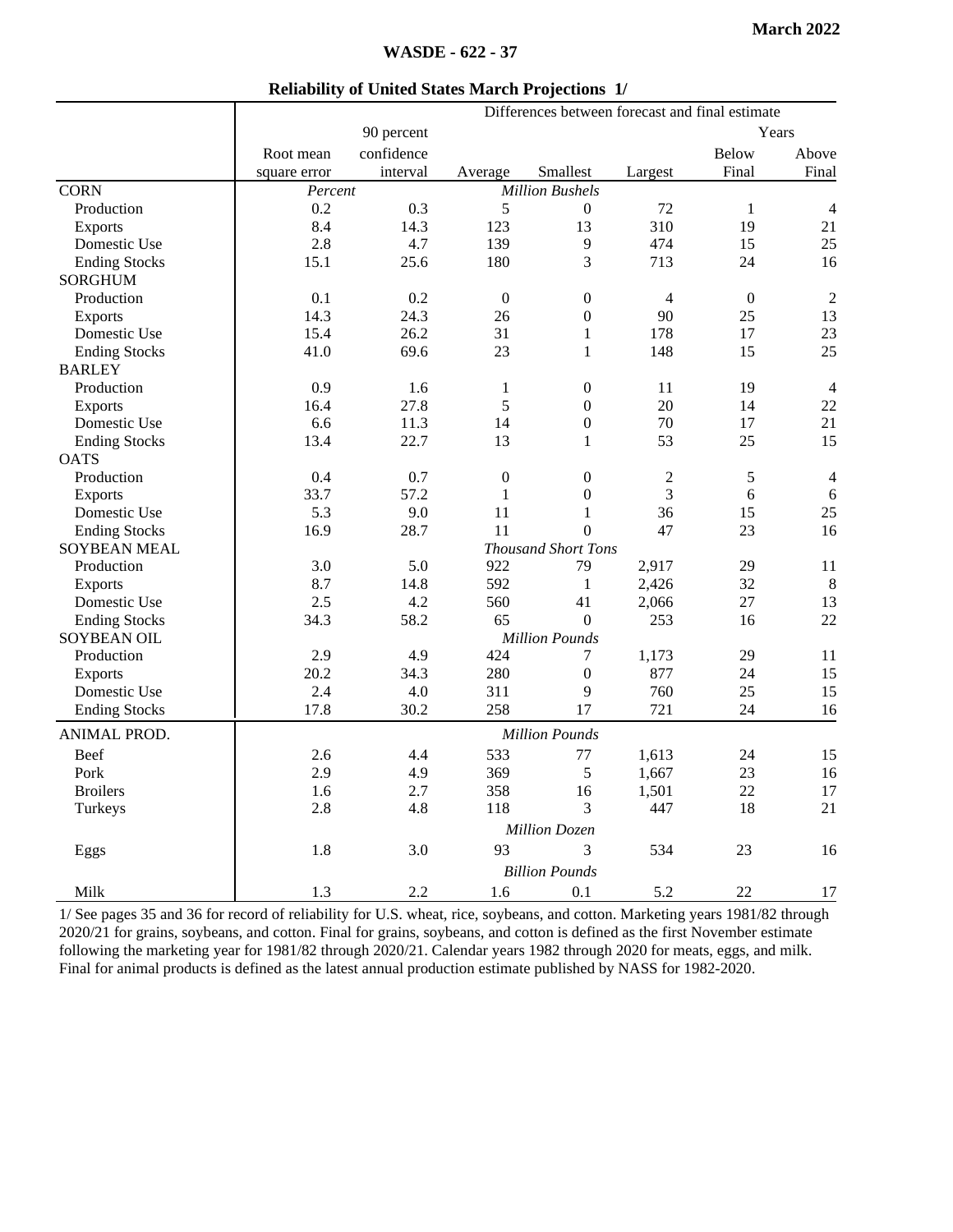|                      |                       | Differences between forecast and final estimate |                  |                        |                |                  |                |  |
|----------------------|-----------------------|-------------------------------------------------|------------------|------------------------|----------------|------------------|----------------|--|
|                      |                       | 90 percent                                      |                  |                        |                |                  | Years          |  |
|                      | Root mean             | confidence                                      |                  |                        |                | <b>Below</b>     | Above          |  |
|                      | square error          | interval                                        | Average          | Smallest               | Largest        | Final            | Final          |  |
| <b>CORN</b>          | Percent               |                                                 |                  | <b>Million Bushels</b> |                |                  |                |  |
| Production           | 0.2                   | 0.3                                             | 5                | $\overline{0}$         | 72             | $\mathbf{1}$     | $\overline{4}$ |  |
| Exports              | 8.4                   | 14.3                                            | 123              | 13                     | 310            | 19               | 21             |  |
| Domestic Use         | 2.8                   | 4.7                                             | 139              | 9                      | 474            | 15               | 25             |  |
| <b>Ending Stocks</b> | 15.1                  | 25.6                                            | 180              | 3                      | 713            | 24               | 16             |  |
| <b>SORGHUM</b>       |                       |                                                 |                  |                        |                |                  |                |  |
| Production           | 0.1                   | 0.2                                             | $\boldsymbol{0}$ | $\boldsymbol{0}$       | 4              | $\boldsymbol{0}$ | $\overline{2}$ |  |
| Exports              | 14.3                  | 24.3                                            | 26               | $\mathbf{0}$           | 90             | 25               | 13             |  |
| Domestic Use         | 15.4                  | 26.2                                            | 31               | $\mathbf{1}$           | 178            | 17               | 23             |  |
| <b>Ending Stocks</b> | 41.0                  | 69.6                                            | 23               | $\mathbf{1}$           | 148            | 15               | 25             |  |
| <b>BARLEY</b>        |                       |                                                 |                  |                        |                |                  |                |  |
| Production           | 0.9                   | 1.6                                             | 1                | $\overline{0}$         | 11             | 19               | $\overline{4}$ |  |
| Exports              | 16.4                  | 27.8                                            | 5                | $\mathbf{0}$           | 20             | 14               | 22             |  |
| Domestic Use         | 6.6                   | 11.3                                            | 14               | $\boldsymbol{0}$       | 70             | 17               | 21             |  |
| <b>Ending Stocks</b> | 13.4                  | 22.7                                            | 13               | $\mathbf{1}$           | 53             | 25               | 15             |  |
| <b>OATS</b>          |                       |                                                 |                  |                        |                |                  |                |  |
| Production           | 0.4                   | 0.7                                             | $\boldsymbol{0}$ | $\boldsymbol{0}$       | $\overline{c}$ | 5                | $\overline{4}$ |  |
| <b>Exports</b>       | 33.7                  | 57.2                                            | $\mathbf{1}$     | $\boldsymbol{0}$       | 3              | 6                | 6              |  |
| Domestic Use         | 5.3                   | 9.0                                             | 11               | $\mathbf{1}$           | 36             | 15               | 25             |  |
| <b>Ending Stocks</b> | 16.9                  | 28.7                                            | 11               | $\overline{0}$         | 47             | 23               | 16             |  |
| <b>SOYBEAN MEAL</b>  |                       | <b>Thousand Short Tons</b>                      |                  |                        |                |                  |                |  |
| Production           | 3.0                   | 5.0                                             | 922              | 79                     | 2,917          | 29               | 11             |  |
| <b>Exports</b>       | 8.7                   | 14.8                                            | 592              | 1                      | 2,426          | 32               | 8              |  |
| Domestic Use         | 2.5                   | 4.2                                             | 560              | 41                     | 2,066          | 27               | 13             |  |
| <b>Ending Stocks</b> | 34.3                  | 58.2                                            | 65               | $\theta$               | 253            | 16               | 22             |  |
| <b>SOYBEAN OIL</b>   | <b>Million Pounds</b> |                                                 |                  |                        |                |                  |                |  |
| Production           | 2.9                   | 4.9                                             | 424              | 7                      | 1,173          | 29               | 11             |  |
| Exports              | 20.2                  | 34.3                                            | 280              | $\boldsymbol{0}$       | 877            | 24               | 15             |  |
| Domestic Use         | 2.4                   | 4.0                                             | 311              | 9                      | 760            | 25               | 15             |  |
| <b>Ending Stocks</b> | 17.8                  | 30.2                                            | 258              | 17                     | 721            | 24               | 16             |  |
| ANIMAL PROD.         | <b>Million Pounds</b> |                                                 |                  |                        |                |                  |                |  |
| Beef                 | 2.6                   | 4.4                                             | 533              | 77                     | 1,613          | 24               | 15             |  |
| Pork                 | 2.9                   | 4.9                                             | 369              | 5                      | 1,667          | 23               | 16             |  |
| <b>Broilers</b>      | 1.6                   | 2.7                                             | 358              | 16                     | 1,501          | 22               | 17             |  |
| Turkeys              | 2.8                   | 4.8                                             | 118              | 3                      | 447            | 18               | 21             |  |
|                      |                       |                                                 |                  | <b>Million Dozen</b>   |                |                  |                |  |
| Eggs                 | 1.8                   | 3.0                                             | 93               | 3                      | 534            | 23               | 16             |  |
|                      |                       |                                                 |                  |                        |                |                  |                |  |
|                      |                       |                                                 |                  | <b>Billion Pounds</b>  |                |                  |                |  |
| Milk                 | 1.3                   | 2.2                                             | 1.6              | 0.1                    | 5.2            | 22               | 17             |  |

1/ See pages 35 and 36 for record of reliability for U.S. wheat, rice, soybeans, and cotton. Marketing years 1981/82 through 2020/21 for grains, soybeans, and cotton. Final for grains, soybeans, and cotton is defined as the first November estimate following the marketing year for 1981/82 through 2020/21. Calendar years 1982 through 2020 for meats, eggs, and milk. Final for animal products is defined as the latest annual production estimate published by NASS for 1982-2020.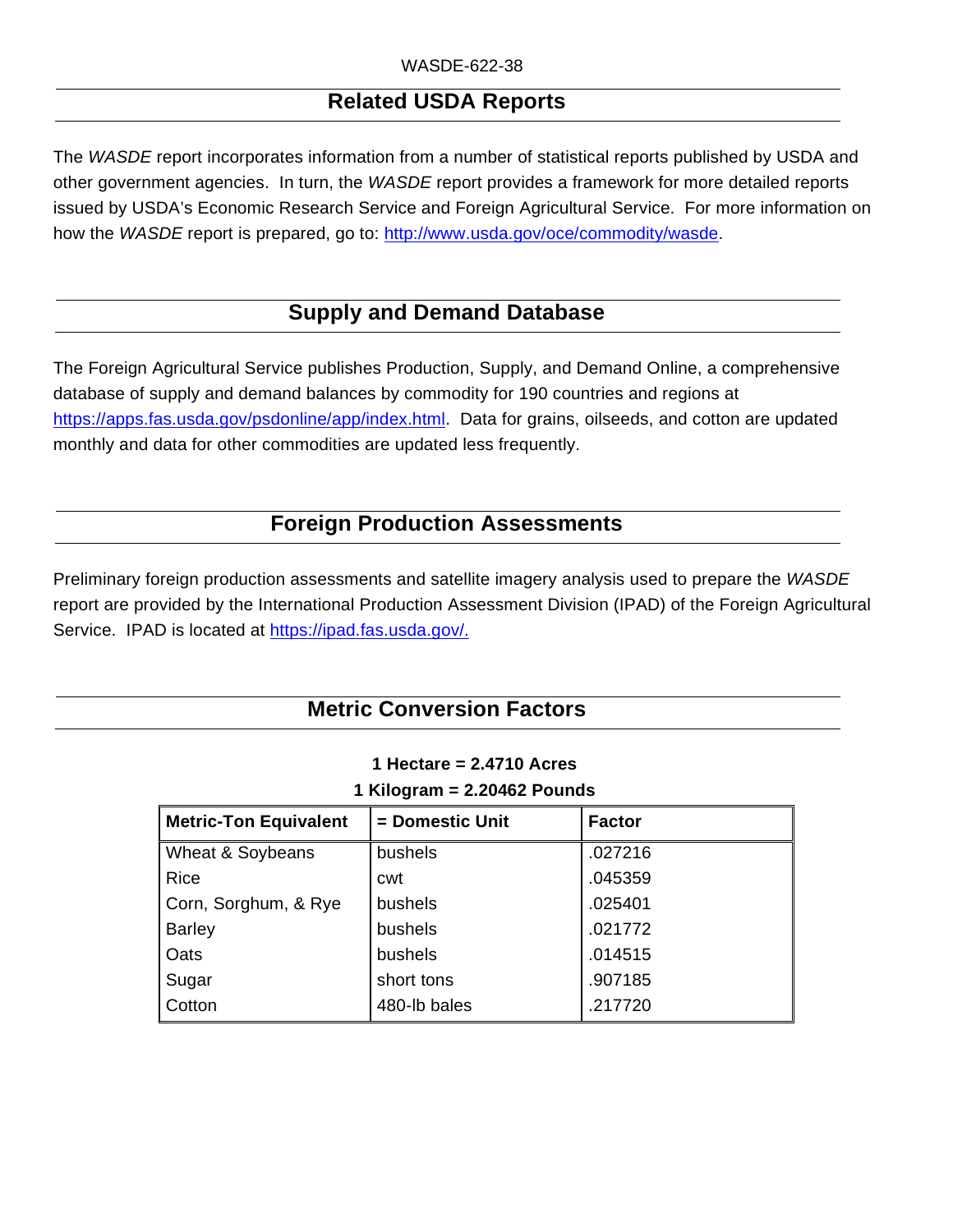# **Related USDA Reports**

The *WASDE* report incorporates information from a number of statistical reports published by USDA and other government agencies. In turn, the *WASDE* report provides a framework for more detailed reports issued by USDA's Economic Research Service and Foreign Agricultural Service. For more information on how the *WASDE* report is prepared, go to: http://www.usda.gov/oce/commodity/wasde.

# **Supply and Demand Database**

The Foreign Agricultural Service publishes Production, Supply, and Demand Online, a comprehensive database of supply and demand balances by commodity for 190 countries and regions at https://apps.fas.usda.gov/psdonline/app/index.html. Data for grains, oilseeds, and cotton are updated monthly and data for other commodities are updated less frequently.

## **Foreign Production Assessments**

Preliminary foreign production assessments and satellite imagery analysis used to prepare the *WASDE* report are provided by the International Production Assessment Division (IPAD) of the Foreign Agricultural Service. IPAD is located at [https://ipad.fas.usda.gov/.](https://gcc02.safelinks.protection.outlook.com/?url=https%3A%2F%2Fipad.fas.usda.gov%2F&data=02%7C01%7C%7C29f32aed80ba45f7952b08d7f1b5f50f%7Ced5b36e701ee4ebc867ee03cfa0d4697%7C0%7C0%7C637243636109752291&sdata=9IpKngEdDfYDP0LIFS2E3Ke9krbVRVdzQF28Zshdfys%3D&reserved=0)

### **Metric Conversion Factors**

| $\mathsf{I}$ Niloyi dili = 2.20402 Founds |                 |               |  |  |  |
|-------------------------------------------|-----------------|---------------|--|--|--|
| <b>Metric-Ton Equivalent</b>              | = Domestic Unit | <b>Factor</b> |  |  |  |
| Wheat & Soybeans                          | bushels         | .027216       |  |  |  |
| <b>Rice</b>                               | cwt             | .045359       |  |  |  |
| Corn, Sorghum, & Rye                      | bushels         | .025401       |  |  |  |
| <b>Barley</b>                             | bushels         | .021772       |  |  |  |
| Oats                                      | <b>bushels</b>  | .014515       |  |  |  |
| Sugar                                     | short tons      | .907185       |  |  |  |
| Cotton                                    | 480-lb bales    | .217720       |  |  |  |

#### **1 Hectare = 2.4710 Acres 1 Kilogram = 2.20462 Pounds**